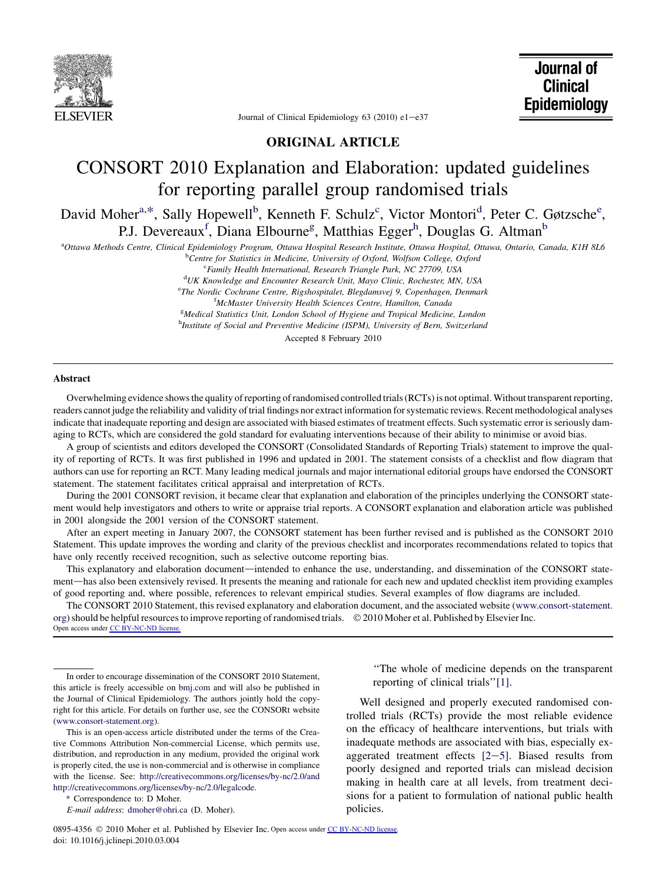

Journal of Clinical Epidemiology 63 (2010) e1-e37

# ORIGINAL ARTICLE

# CONSORT 2010 Explanation and Elaboration: updated guidelines for reporting parallel group randomised trials

David Moher<sup>a,\*</sup>, Sally Hopewell<sup>b</sup>, Kenneth F. Schulz<sup>c</sup>, Victor Montori<sup>d</sup>, Peter C. Gøtzsche<sup>e</sup>, P.J. Devereaux<sup>f</sup>, Diana Elbourne<sup>g</sup>, Matthias Egger<sup>h</sup>, Douglas G. Altman<sup>b</sup>

a Ottawa Methods Centre, Clinical Epidemiology Program, Ottawa Hospital Research Institute, Ottawa Hospital, Ottawa, Ontario, Canada, K1H 8L6

<sup>b</sup>Centre for Statistics in Medicine, University of Oxford, Wolfson College, Oxford

<sup>c</sup>Family Health International, Research Triangle Park, NC 27709, USA

<sup>d</sup>UK Knowledge and Encounter Research Unit, Mayo Clinic, Rochester, MN, USA

<sup>e</sup>The Nordic Cochrane Centre, Rigshospitalet, Blegdamsvej 9, Copenhagen, Denmark

<sup>f</sup>McMaster University Health Sciences Centre, Hamilton, Canada

<sup>g</sup>Medical Statistics Unit, London School of Hygiene and Tropical Medicine, London <sup>h</sup>Institute of Social and Preventive Medicine (ISPM), University of Bern, Switzerland

Accepted 8 February 2010

Abstract

Overwhelming evidence shows the quality of reporting of randomised controlled trials (RCTs) is not optimal. Without transparent reporting, readers cannot judge the reliability and validity of trial findings nor extract information for systematic reviews. Recent methodological analyses indicate that inadequate reporting and design are associated with biased estimates of treatment effects. Such systematic error is seriously damaging to RCTs, which are considered the gold standard for evaluating interventions because of their ability to minimise or avoid bias.

A group of scientists and editors developed the CONSORT (Consolidated Standards of Reporting Trials) statement to improve the quality of reporting of RCTs. It was first published in 1996 and updated in 2001. The statement consists of a checklist and flow diagram that authors can use for reporting an RCT. Many leading medical journals and major international editorial groups have endorsed the CONSORT statement. The statement facilitates critical appraisal and interpretation of RCTs.

During the 2001 CONSORT revision, it became clear that explanation and elaboration of the principles underlying the CONSORT statement would help investigators and others to write or appraise trial reports. A CONSORT explanation and elaboration article was published in 2001 alongside the 2001 version of the CONSORT statement.

After an expert meeting in January 2007, the CONSORT statement has been further revised and is published as the CONSORT 2010 Statement. This update improves the wording and clarity of the previous checklist and incorporates recommendations related to topics that have only recently received recognition, such as selective outcome reporting bias.

This explanatory and elaboration document—intended to enhance the use, understanding, and dissemination of the CONSORT statement—has also been extensively revised. It presents the meaning and rationale for each new and updated checklist item providing examples of good reporting and, where possible, references to relevant empirical studies. Several examples of flow diagrams are included.

The CONSORT 2010 Statement, this revised explanatory and elaboration document, and the associated website ([www.consort-statement.](http://www.consort-statement.org) [org\)](http://www.consort-statement.org) should be helpful resources to improve reporting of randomised trials. - 2010 Moher et al. Published by Elsevier Inc. Open access under [CC BY-NC-ND license.](http://creativecommons.org/licenses/by-nc-nd/4.0/)

\* Correspondence to: D Moher.

''The whole of medicine depends on the transparent reporting of clinical trials'['\[1\]](#page-29-0).

Well designed and properly executed randomised controlled trials (RCTs) provide the most reliable evidence on the efficacy of healthcare interventions, but trials with inadequate methods are associated with bias, especially exaggerated treatment effects  $[2-5]$ . Biased results from poorly designed and reported trials can mislead decision making in health care at all levels, from treatment decisions for a patient to formulation of national public health policies.

In order to encourage dissemination of the CONSORT 2010 Statement, this article is freely accessible on [bmj.com](http://bmj.com) and will also be published in the Journal of Clinical Epidemiology. The authors jointly hold the copyright for this article. For details on further use, see the CONSORt website [\(www.consort-statement.org](http://www.consort-statement.org)).

This is an open-access article distributed under the terms of the Creative Commons Attribution Non-commercial License, which permits use, distribution, and reproduction in any medium, provided the original work is properly cited, the use is non-commercial and is otherwise in compliance with the license. See: <http://creativecommons.org/licenses/by-nc/2.0/and> <http://creativecommons.org/licenses/by-nc/2.0/legalcode>.

E-mail address: [dmoher@ohri.ca](mailto:dmoher@ohri.ca) (D. Moher).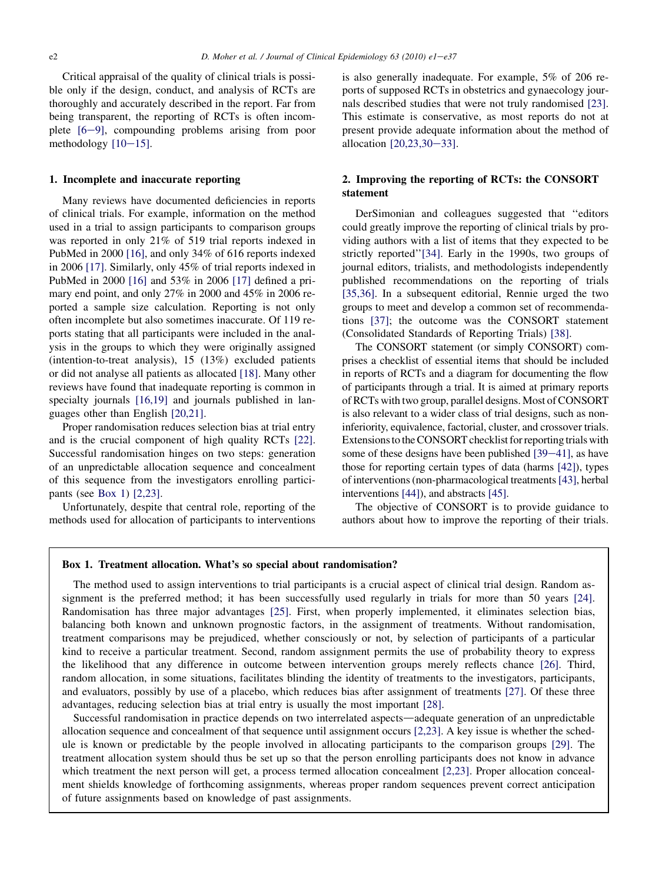Critical appraisal of the quality of clinical trials is possible only if the design, conduct, and analysis of RCTs are thoroughly and accurately described in the report. Far from being transparent, the reporting of RCTs is often incomplete  $[6-9]$ , compounding problems arising from poor methodology  $[10-15]$  $[10-15]$ .

#### 1. Incomplete and inaccurate reporting

Many reviews have documented deficiencies in reports of clinical trials. For example, information on the method used in a trial to assign participants to comparison groups was reported in only 21% of 519 trial reports indexed in PubMed in 2000 [\[16\],](#page-29-0) and only 34% of 616 reports indexed in 2006 [\[17\].](#page-29-0) Similarly, only 45% of trial reports indexed in PubMed in 2000 [\[16\]](#page-29-0) and 53% in 2006 [\[17\]](#page-29-0) defined a primary end point, and only 27% in 2000 and 45% in 2006 reported a sample size calculation. Reporting is not only often incomplete but also sometimes inaccurate. Of 119 reports stating that all participants were included in the analysis in the groups to which they were originally assigned (intention-to-treat analysis), 15 (13%) excluded patients or did not analyse all patients as allocated [\[18\].](#page-29-0) Many other reviews have found that inadequate reporting is common in specialty journals [\[16,19\]](#page-29-0) and journals published in languages other than English [\[20,21\].](#page-29-0)

Proper randomisation reduces selection bias at trial entry and is the crucial component of high quality RCTs [\[22\].](#page-30-0) Successful randomisation hinges on two steps: generation of an unpredictable allocation sequence and concealment of this sequence from the investigators enrolling participants (see Box 1) [\[2,23\].](#page-29-0)

Unfortunately, despite that central role, reporting of the methods used for allocation of participants to interventions is also generally inadequate. For example, 5% of 206 reports of supposed RCTs in obstetrics and gynaecology journals described studies that were not truly randomised [\[23\].](#page-30-0) This estimate is conservative, as most reports do not at present provide adequate information about the method of allocation  $[20, 23, 30 - 33]$ .

### 2. Improving the reporting of RCTs: the CONSORT statement

DerSimonian and colleagues suggested that ''editors could greatly improve the reporting of clinical trials by providing authors with a list of items that they expected to be strictly reported''[\[34\]](#page-30-0). Early in the 1990s, two groups of journal editors, trialists, and methodologists independently published recommendations on the reporting of trials [\[35,36\]](#page-30-0). In a subsequent editorial, Rennie urged the two groups to meet and develop a common set of recommendations [\[37\]](#page-30-0); the outcome was the CONSORT statement (Consolidated Standards of Reporting Trials) [\[38\].](#page-30-0)

The CONSORT statement (or simply CONSORT) comprises a checklist of essential items that should be included in reports of RCTs and a diagram for documenting the flow of participants through a trial. It is aimed at primary reports of RCTs with two group, parallel designs. Most of CONSORT is also relevant to a wider class of trial designs, such as noninferiority, equivalence, factorial, cluster, and crossover trials. Extensions to the CONSORT checklist for reporting trials with some of these designs have been published  $[39-41]$ , as have those for reporting certain types of data (harms [\[42\]\)](#page-30-0), types of interventions (non-pharmacological treatments[\[43\]](#page-30-0), herbal interventions [\[44\]\)](#page-30-0), and abstracts [\[45\]](#page-30-0).

The objective of CONSORT is to provide guidance to authors about how to improve the reporting of their trials.

#### Box 1. Treatment allocation. What's so special about randomisation?

The method used to assign interventions to trial participants is a crucial aspect of clinical trial design. Random assignment is the preferred method; it has been successfully used regularly in trials for more than 50 years [\[24\]](#page-30-0). Randomisation has three major advantages [\[25\]](#page-30-0). First, when properly implemented, it eliminates selection bias, balancing both known and unknown prognostic factors, in the assignment of treatments. Without randomisation, treatment comparisons may be prejudiced, whether consciously or not, by selection of participants of a particular kind to receive a particular treatment. Second, random assignment permits the use of probability theory to express the likelihood that any difference in outcome between intervention groups merely reflects chance [\[26\]](#page-30-0). Third, random allocation, in some situations, facilitates blinding the identity of treatments to the investigators, participants, and evaluators, possibly by use of a placebo, which reduces bias after assignment of treatments [\[27\].](#page-30-0) Of these three advantages, reducing selection bias at trial entry is usually the most important [\[28\]](#page-30-0).

Successful randomisation in practice depends on two interrelated aspects—adequate generation of an unpredictable allocation sequence and concealment of that sequence until assignment occurs [\[2,23\].](#page-29-0) A key issue is whether the schedule is known or predictable by the people involved in allocating participants to the comparison groups [\[29\].](#page-30-0) The treatment allocation system should thus be set up so that the person enrolling participants does not know in advance which treatment the next person will get, a process termed allocation concealment [\[2,23\]](#page-29-0). Proper allocation concealment shields knowledge of forthcoming assignments, whereas proper random sequences prevent correct anticipation of future assignments based on knowledge of past assignments.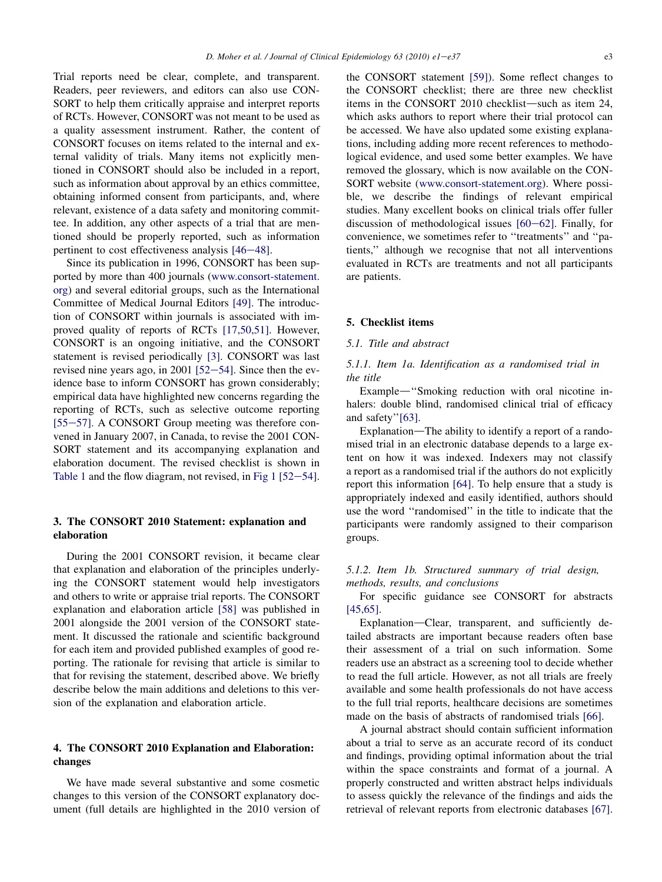Trial reports need be clear, complete, and transparent. Readers, peer reviewers, and editors can also use CON-SORT to help them critically appraise and interpret reports of RCTs. However, CONSORT was not meant to be used as a quality assessment instrument. Rather, the content of CONSORT focuses on items related to the internal and external validity of trials. Many items not explicitly mentioned in CONSORT should also be included in a report, such as information about approval by an ethics committee, obtaining informed consent from participants, and, where relevant, existence of a data safety and monitoring committee. In addition, any other aspects of a trial that are mentioned should be properly reported, such as information pertinent to cost effectiveness analysis  $[46-48]$  $[46-48]$ .

Since its publication in 1996, CONSORT has been supported by more than 400 journals ([www.consort-statement.](http://www.consort-statement.org) [org\)](http://www.consort-statement.org) and several editorial groups, such as the International Committee of Medical Journal Editors [\[49\]](#page-30-0). The introduction of CONSORT within journals is associated with improved quality of reports of RCTs [\[17,50,51\]](#page-29-0). However, CONSORT is an ongoing initiative, and the CONSORT statement is revised periodically [\[3\].](#page-29-0) CONSORT was last revised nine years ago, in 2001 [\[52](#page-30-0) $-$ 54]. Since then the evidence base to inform CONSORT has grown considerably; empirical data have highlighted new concerns regarding the reporting of RCTs, such as selective outcome reporting [55-[57\].](#page-30-0) A CONSORT Group meeting was therefore convened in January 2007, in Canada, to revise the 2001 CON-SORT statement and its accompanying explanation and elaboration document. The revised checklist is shown in [Table 1](#page-3-0) and the flow diagram, not revised, in Fig  $1$  [\[52](#page-30-0)-54].

### 3. The CONSORT 2010 Statement: explanation and elaboration

During the 2001 CONSORT revision, it became clear that explanation and elaboration of the principles underlying the CONSORT statement would help investigators and others to write or appraise trial reports. The CONSORT explanation and elaboration article [\[58\]](#page-30-0) was published in 2001 alongside the 2001 version of the CONSORT statement. It discussed the rationale and scientific background for each item and provided published examples of good reporting. The rationale for revising that article is similar to that for revising the statement, described above. We briefly describe below the main additions and deletions to this version of the explanation and elaboration article.

#### 4. The CONSORT 2010 Explanation and Elaboration: changes

We have made several substantive and some cosmetic changes to this version of the CONSORT explanatory document (full details are highlighted in the 2010 version of the CONSORT statement [\[59\]\)](#page-30-0). Some reflect changes to the CONSORT checklist; there are three new checklist items in the CONSORT 2010 checklist—such as item 24, which asks authors to report where their trial protocol can be accessed. We have also updated some existing explanations, including adding more recent references to methodological evidence, and used some better examples. We have removed the glossary, which is now available on the CON-SORT website [\(www.consort-statement.org](http://www.consort-statement.org)). Where possible, we describe the findings of relevant empirical studies. Many excellent books on clinical trials offer fuller discussion of methodological issues  $[60-62]$  $[60-62]$ . Finally, for convenience, we sometimes refer to ''treatments'' and ''patients,'' although we recognise that not all interventions evaluated in RCTs are treatments and not all participants are patients.

#### 5. Checklist items

#### 5.1. Title and abstract

### 5.1.1. Item 1a. Identification as a randomised trial in the title

Example—"Smoking reduction with oral nicotine inhalers: double blind, randomised clinical trial of efficacy and safety'['\[63\]](#page-30-0).

Explanation—The ability to identify a report of a randomised trial in an electronic database depends to a large extent on how it was indexed. Indexers may not classify a report as a randomised trial if the authors do not explicitly report this information [\[64\].](#page-30-0) To help ensure that a study is appropriately indexed and easily identified, authors should use the word ''randomised'' in the title to indicate that the participants were randomly assigned to their comparison groups.

### 5.1.2. Item 1b. Structured summary of trial design, methods, results, and conclusions

For specific guidance see CONSORT for abstracts [\[45,65\].](#page-30-0)

Explanation-Clear, transparent, and sufficiently detailed abstracts are important because readers often base their assessment of a trial on such information. Some readers use an abstract as a screening tool to decide whether to read the full article. However, as not all trials are freely available and some health professionals do not have access to the full trial reports, healthcare decisions are sometimes made on the basis of abstracts of randomised trials [\[66\].](#page-30-0)

A journal abstract should contain sufficient information about a trial to serve as an accurate record of its conduct and findings, providing optimal information about the trial within the space constraints and format of a journal. A properly constructed and written abstract helps individuals to assess quickly the relevance of the findings and aids the retrieval of relevant reports from electronic databases [\[67\]](#page-30-0).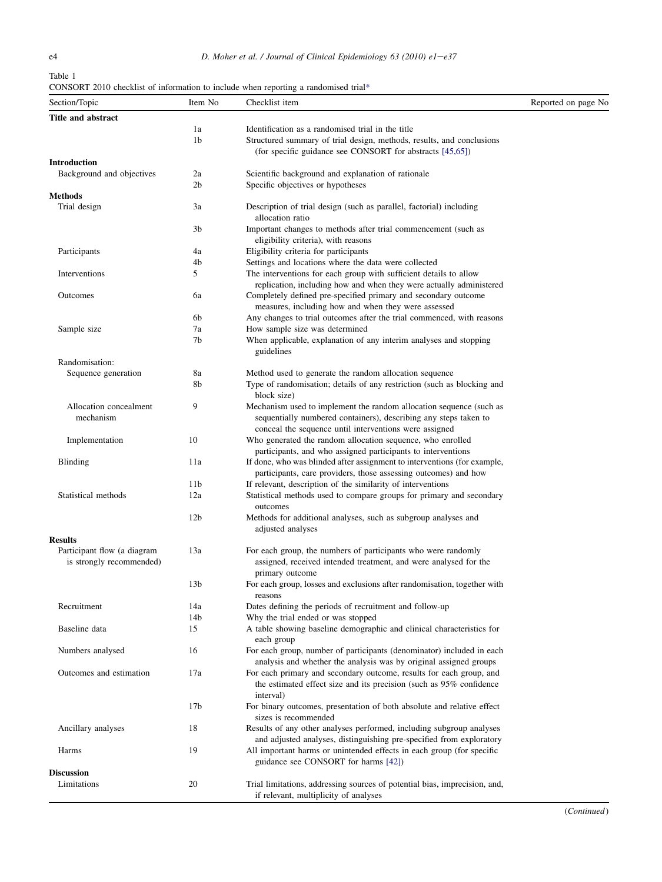<span id="page-3-0"></span>

| Table 1                                                                             |  |
|-------------------------------------------------------------------------------------|--|
| CONSORT 2010 checklist of information to include when reporting a randomised trial* |  |

| Section/Topic                                           | Item No         | Checklist item                                                                                                                                                                                    | Reported on page No |
|---------------------------------------------------------|-----------------|---------------------------------------------------------------------------------------------------------------------------------------------------------------------------------------------------|---------------------|
| Title and abstract                                      |                 |                                                                                                                                                                                                   |                     |
|                                                         | 1a              | Identification as a randomised trial in the title                                                                                                                                                 |                     |
|                                                         | 1b              | Structured summary of trial design, methods, results, and conclusions                                                                                                                             |                     |
|                                                         |                 | (for specific guidance see CONSORT for abstracts [45,65])                                                                                                                                         |                     |
| <b>Introduction</b>                                     |                 |                                                                                                                                                                                                   |                     |
| Background and objectives                               | 2a<br>2b        | Scientific background and explanation of rationale<br>Specific objectives or hypotheses                                                                                                           |                     |
| <b>Methods</b>                                          |                 |                                                                                                                                                                                                   |                     |
| Trial design                                            | 3a              | Description of trial design (such as parallel, factorial) including<br>allocation ratio                                                                                                           |                     |
|                                                         | 3b              | Important changes to methods after trial commencement (such as<br>eligibility criteria), with reasons                                                                                             |                     |
| Participants                                            | 4a              | Eligibility criteria for participants                                                                                                                                                             |                     |
|                                                         | 4b              | Settings and locations where the data were collected                                                                                                                                              |                     |
| Interventions                                           | 5               | The interventions for each group with sufficient details to allow<br>replication, including how and when they were actually administered                                                          |                     |
| Outcomes                                                | 6a              | Completely defined pre-specified primary and secondary outcome<br>measures, including how and when they were assessed                                                                             |                     |
|                                                         | 6b              | Any changes to trial outcomes after the trial commenced, with reasons                                                                                                                             |                     |
| Sample size                                             | 7a              | How sample size was determined                                                                                                                                                                    |                     |
|                                                         | 7b              | When applicable, explanation of any interim analyses and stopping<br>guidelines                                                                                                                   |                     |
| Randomisation:                                          |                 |                                                                                                                                                                                                   |                     |
| Sequence generation                                     | 8a<br>8b        | Method used to generate the random allocation sequence<br>Type of randomisation; details of any restriction (such as blocking and<br>block size)                                                  |                     |
| Allocation concealment<br>mechanism                     | 9               | Mechanism used to implement the random allocation sequence (such as<br>sequentially numbered containers), describing any steps taken to<br>conceal the sequence until interventions were assigned |                     |
| Implementation                                          | 10              | Who generated the random allocation sequence, who enrolled<br>participants, and who assigned participants to interventions                                                                        |                     |
| <b>Blinding</b>                                         | 11a             | If done, who was blinded after assignment to interventions (for example,<br>participants, care providers, those assessing outcomes) and how                                                       |                     |
|                                                         | 11 <sub>b</sub> | If relevant, description of the similarity of interventions                                                                                                                                       |                     |
| Statistical methods                                     | 12a             | Statistical methods used to compare groups for primary and secondary<br>outcomes                                                                                                                  |                     |
|                                                         | 12 <sub>b</sub> | Methods for additional analyses, such as subgroup analyses and<br>adjusted analyses                                                                                                               |                     |
| <b>Results</b>                                          |                 |                                                                                                                                                                                                   |                     |
| Participant flow (a diagram<br>is strongly recommended) | 13a             | For each group, the numbers of participants who were randomly<br>assigned, received intended treatment, and were analysed for the<br>primary outcome                                              |                     |
|                                                         | 13 <sub>b</sub> | For each group, losses and exclusions after randomisation, together with                                                                                                                          |                     |
| Recruitment                                             | 14a             | Dates defining the periods of recruitment and follow-up                                                                                                                                           |                     |
|                                                         | 14b             | Why the trial ended or was stopped                                                                                                                                                                |                     |
| Baseline data                                           | 15              | A table showing baseline demographic and clinical characteristics for<br>each group                                                                                                               |                     |
| Numbers analysed                                        | 16              | For each group, number of participants (denominator) included in each<br>analysis and whether the analysis was by original assigned groups                                                        |                     |
| Outcomes and estimation                                 | 17a             | For each primary and secondary outcome, results for each group, and<br>the estimated effect size and its precision (such as 95% confidence<br>interval)                                           |                     |
|                                                         | 17 <sub>b</sub> | For binary outcomes, presentation of both absolute and relative effect<br>sizes is recommended                                                                                                    |                     |
| Ancillary analyses                                      | 18              | Results of any other analyses performed, including subgroup analyses<br>and adjusted analyses, distinguishing pre-specified from exploratory                                                      |                     |
| Harms                                                   | 19              | All important harms or unintended effects in each group (for specific<br>guidance see CONSORT for harms [42])                                                                                     |                     |
| <b>Discussion</b>                                       |                 |                                                                                                                                                                                                   |                     |
| Limitations                                             | 20              | Trial limitations, addressing sources of potential bias, imprecision, and,<br>if relevant, multiplicity of analyses                                                                               |                     |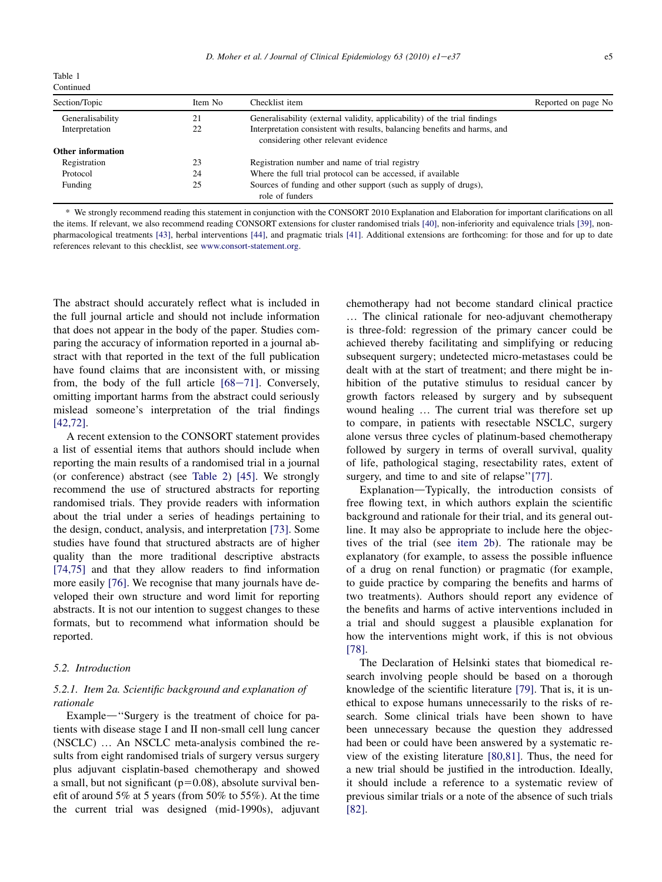<span id="page-4-0"></span>Table 1 Continued

| Section/Topic     | Item No | Checklist item                                                                                                   | Reported on page No |
|-------------------|---------|------------------------------------------------------------------------------------------------------------------|---------------------|
| Generalisability  | 21      | Generalisability (external validity, applicability) of the trial findings                                        |                     |
| Interpretation    | 22      | Interpretation consistent with results, balancing benefits and harms, and<br>considering other relevant evidence |                     |
| Other information |         |                                                                                                                  |                     |
| Registration      | 23      | Registration number and name of trial registry                                                                   |                     |
| Protocol          | 24      | Where the full trial protocol can be accessed, if available                                                      |                     |
| Funding           | 25      | Sources of funding and other support (such as supply of drugs),<br>role of funders                               |                     |

\* We strongly recommend reading this statement in conjunction with the CONSORT 2010 Explanation and Elaboration for important clarifications on all the items. If relevant, we also recommend reading CONSORT extensions for cluster randomised trials [\[40\]](#page-30-0), non-inferiority and equivalence trials [\[39\]](#page-30-0), nonpharmacological treatments [\[43\]](#page-30-0), herbal interventions [\[44\]](#page-30-0), and pragmatic trials [\[41\]](#page-30-0). Additional extensions are forthcoming: for those and for up to date references relevant to this checklist, see [www.consort-statement.org.](http://www.consort-statement.org)

The abstract should accurately reflect what is included in the full journal article and should not include information that does not appear in the body of the paper. Studies comparing the accuracy of information reported in a journal abstract with that reported in the text of the full publication have found claims that are inconsistent with, or missing from, the body of the full article  $[68-71]$  $[68-71]$ . Conversely, omitting important harms from the abstract could seriously mislead someone's interpretation of the trial findings [\[42,72\].](#page-30-0)

A recent extension to the CONSORT statement provides a list of essential items that authors should include when reporting the main results of a randomised trial in a journal (or conference) abstract (see [Table 2\)](#page-6-0) [\[45\]](#page-30-0). We strongly recommend the use of structured abstracts for reporting randomised trials. They provide readers with information about the trial under a series of headings pertaining to the design, conduct, analysis, and interpretation [\[73\].](#page-31-0) Some studies have found that structured abstracts are of higher quality than the more traditional descriptive abstracts [\[74,75\]](#page-31-0) and that they allow readers to find information more easily [\[76\].](#page-31-0) We recognise that many journals have developed their own structure and word limit for reporting abstracts. It is not our intention to suggest changes to these formats, but to recommend what information should be reported.

#### 5.2. Introduction

### 5.2.1. Item 2a. Scientific background and explanation of rationale

Example—"Surgery is the treatment of choice for patients with disease stage I and II non-small cell lung cancer (NSCLC) ... An NSCLC meta-analysis combined the results from eight randomised trials of surgery versus surgery plus adjuvant cisplatin-based chemotherapy and showed a small, but not significant ( $p=0.08$ ), absolute survival benefit of around 5% at 5 years (from 50% to 55%). At the time the current trial was designed (mid-1990s), adjuvant chemotherapy had not become standard clinical practice ... The clinical rationale for neo-adjuvant chemotherapy is three-fold: regression of the primary cancer could be achieved thereby facilitating and simplifying or reducing subsequent surgery; undetected micro-metastases could be dealt with at the start of treatment; and there might be inhibition of the putative stimulus to residual cancer by growth factors released by surgery and by subsequent wound healing ... The current trial was therefore set up to compare, in patients with resectable NSCLC, surgery alone versus three cycles of platinum-based chemotherapy followed by surgery in terms of overall survival, quality of life, pathological staging, resectability rates, extent of surgery, and time to and site of relapse"[\[77\].](#page-31-0)

Explanation-Typically, the introduction consists of free flowing text, in which authors explain the scientific background and rationale for their trial, and its general outline. It may also be appropriate to include here the objectives of the trial (see item 2b). The rationale may be explanatory (for example, to assess the possible influence of a drug on renal function) or pragmatic (for example, to guide practice by comparing the benefits and harms of two treatments). Authors should report any evidence of the benefits and harms of active interventions included in a trial and should suggest a plausible explanation for how the interventions might work, if this is not obvious [\[78\].](#page-31-0)

The Declaration of Helsinki states that biomedical research involving people should be based on a thorough knowledge of the scientific literature [\[79\]](#page-31-0). That is, it is unethical to expose humans unnecessarily to the risks of research. Some clinical trials have been shown to have been unnecessary because the question they addressed had been or could have been answered by a systematic review of the existing literature [\[80,81\].](#page-31-0) Thus, the need for a new trial should be justified in the introduction. Ideally, it should include a reference to a systematic review of previous similar trials or a note of the absence of such trials [\[82\]](#page-31-0).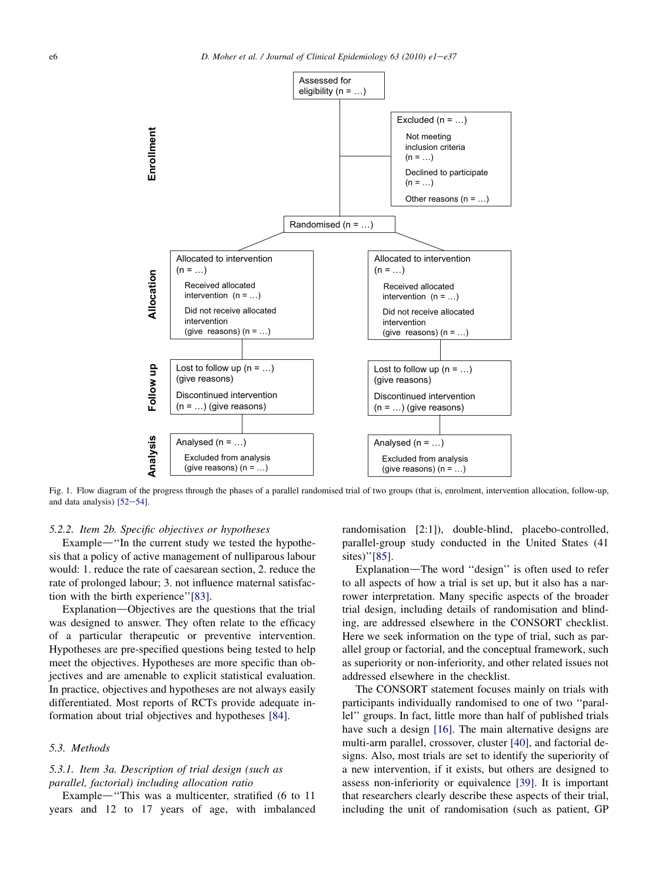<span id="page-5-0"></span>

Fig. 1. Flow diagram of the progress through the phases of a parallel randomised trial of two groups (that is, enrolment, intervention allocation, follow-up, and data analysis)  $[52-54]$  $[52-54]$ .

#### 5.2.2. Item 2b. Specific objectives or hypotheses

Example—"In the current study we tested the hypothesis that a policy of active management of nulliparous labour would: 1. reduce the rate of caesarean section, 2. reduce the rate of prolonged labour; 3. not influence maternal satisfaction with the birth experience'['\[83\].](#page-31-0)

Explanation—Objectives are the questions that the trial was designed to answer. They often relate to the efficacy of a particular therapeutic or preventive intervention. Hypotheses are pre-specified questions being tested to help meet the objectives. Hypotheses are more specific than objectives and are amenable to explicit statistical evaluation. In practice, objectives and hypotheses are not always easily differentiated. Most reports of RCTs provide adequate information about trial objectives and hypotheses [\[84\].](#page-31-0)

#### 5.3. Methods

### 5.3.1. Item 3a. Description of trial design (such as parallel, factorial) including allocation ratio

Example—"This was a multicenter, stratified (6 to 11 years and 12 to 17 years of age, with imbalanced randomisation [2:1]), double-blind, placebo-controlled, parallel-group study conducted in the United States (41 sites)"[85].

Explanation-The word "design" is often used to refer to all aspects of how a trial is set up, but it also has a narrower interpretation. Many specific aspects of the broader trial design, including details of randomisation and blinding, are addressed elsewhere in the CONSORT checklist. Here we seek information on the type of trial, such as parallel group or factorial, and the conceptual framework, such as superiority or non-inferiority, and other related issues not addressed elsewhere in the checklist.

The CONSORT statement focuses mainly on trials with participants individually randomised to one of two ''parallel'' groups. In fact, little more than half of published trials have such a design [\[16\].](#page-29-0) The main alternative designs are multi-arm parallel, crossover, cluster [\[40\],](#page-30-0) and factorial designs. Also, most trials are set to identify the superiority of a new intervention, if it exists, but others are designed to assess non-inferiority or equivalence [\[39\].](#page-30-0) It is important that researchers clearly describe these aspects of their trial, including the unit of randomisation (such as patient, GP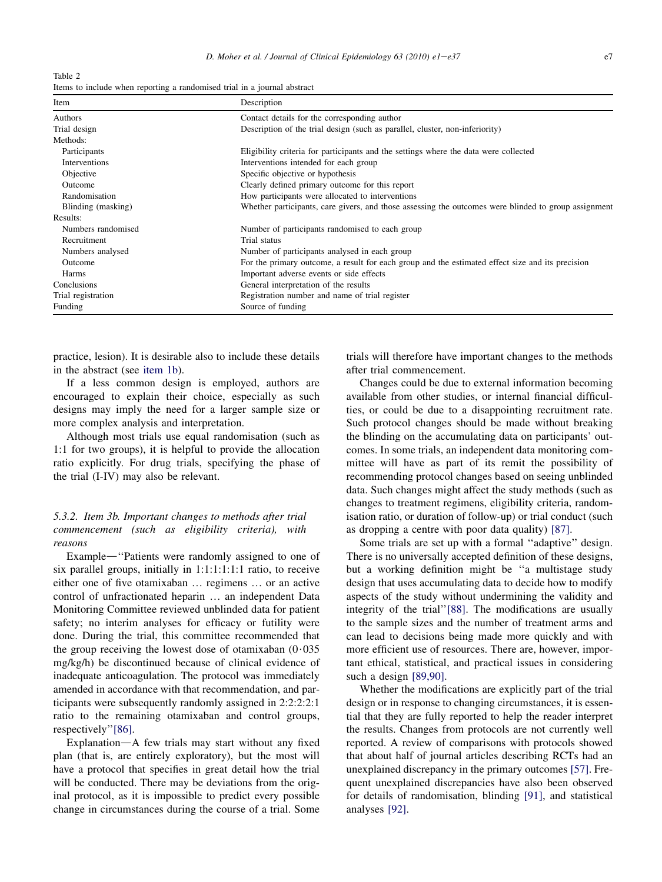<span id="page-6-0"></span>Table 2

Items to include when reporting a randomised trial in a journal abstract

| Item               | Description                                                                                          |
|--------------------|------------------------------------------------------------------------------------------------------|
| <b>Authors</b>     | Contact details for the corresponding author                                                         |
| Trial design       | Description of the trial design (such as parallel, cluster, non-inferiority)                         |
| Methods:           |                                                                                                      |
| Participants       | Eligibility criteria for participants and the settings where the data were collected                 |
| Interventions      | Interventions intended for each group                                                                |
| Objective          | Specific objective or hypothesis                                                                     |
| Outcome            | Clearly defined primary outcome for this report                                                      |
| Randomisation      | How participants were allocated to interventions                                                     |
| Blinding (masking) | Whether participants, care givers, and those assessing the outcomes were blinded to group assignment |
| Results:           |                                                                                                      |
| Numbers randomised | Number of participants randomised to each group                                                      |
| Recruitment        | Trial status                                                                                         |
| Numbers analysed   | Number of participants analysed in each group                                                        |
| Outcome            | For the primary outcome, a result for each group and the estimated effect size and its precision     |
| Harms              | Important adverse events or side effects                                                             |
| Conclusions        | General interpretation of the results                                                                |
| Trial registration | Registration number and name of trial register                                                       |
| Funding            | Source of funding                                                                                    |

practice, lesion). It is desirable also to include these details in the abstract (see item 1b).

If a less common design is employed, authors are encouraged to explain their choice, especially as such designs may imply the need for a larger sample size or more complex analysis and interpretation.

Although most trials use equal randomisation (such as 1:1 for two groups), it is helpful to provide the allocation ratio explicitly. For drug trials, specifying the phase of the trial (I-IV) may also be relevant.

### 5.3.2. Item 3b. Important changes to methods after trial commencement (such as eligibility criteria), with reasons

Example—"Patients were randomly assigned to one of six parallel groups, initially in 1:1:1:1:1:1 ratio, to receive either one of five otamixaban ... regimens ... or an active control of unfractionated heparin ... an independent Data Monitoring Committee reviewed unblinded data for patient safety; no interim analyses for efficacy or futility were done. During the trial, this committee recommended that the group receiving the lowest dose of otamixaban  $(0.035)$ mg/kg/h) be discontinued because of clinical evidence of inadequate anticoagulation. The protocol was immediately amended in accordance with that recommendation, and participants were subsequently randomly assigned in 2:2:2:2:1 ratio to the remaining otamixaban and control groups, respectively''[\[86\].](#page-31-0)

Explanation-A few trials may start without any fixed plan (that is, are entirely exploratory), but the most will have a protocol that specifies in great detail how the trial will be conducted. There may be deviations from the original protocol, as it is impossible to predict every possible change in circumstances during the course of a trial. Some

trials will therefore have important changes to the methods after trial commencement.

Changes could be due to external information becoming available from other studies, or internal financial difficulties, or could be due to a disappointing recruitment rate. Such protocol changes should be made without breaking the blinding on the accumulating data on participants' outcomes. In some trials, an independent data monitoring committee will have as part of its remit the possibility of recommending protocol changes based on seeing unblinded data. Such changes might affect the study methods (such as changes to treatment regimens, eligibility criteria, randomisation ratio, or duration of follow-up) or trial conduct (such as dropping a centre with poor data quality) [\[87\]](#page-31-0).

Some trials are set up with a formal ''adaptive'' design. There is no universally accepted definition of these designs, but a working definition might be ''a multistage study design that uses accumulating data to decide how to modify aspects of the study without undermining the validity and integrity of the trial'['\[88\].](#page-31-0) The modifications are usually to the sample sizes and the number of treatment arms and can lead to decisions being made more quickly and with more efficient use of resources. There are, however, important ethical, statistical, and practical issues in considering such a design [\[89,90\].](#page-31-0)

Whether the modifications are explicitly part of the trial design or in response to changing circumstances, it is essential that they are fully reported to help the reader interpret the results. Changes from protocols are not currently well reported. A review of comparisons with protocols showed that about half of journal articles describing RCTs had an unexplained discrepancy in the primary outcomes [\[57\]](#page-30-0). Frequent unexplained discrepancies have also been observed for details of randomisation, blinding [\[91\],](#page-31-0) and statistical analyses [\[92\].](#page-31-0)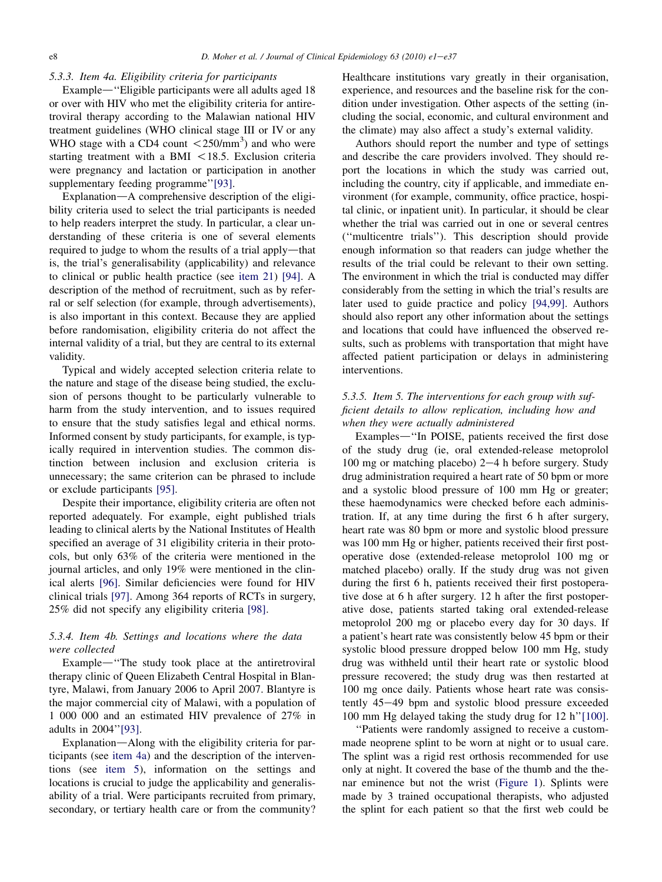#### 5.3.3. Item 4a. Eligibility criteria for participants

Example—"Eligible participants were all adults aged 18 or over with HIV who met the eligibility criteria for antiretroviral therapy according to the Malawian national HIV treatment guidelines (WHO clinical stage III or IV or any WHO stage with a CD4 count  $\langle 250/\text{mm}^3 \rangle$  and who were starting treatment with a BMI  $\langle 18.5.$  Exclusion criteria were pregnancy and lactation or participation in another supplementary feeding programme''[\[93\].](#page-31-0)

Explanation $-A$  comprehensive description of the eligibility criteria used to select the trial participants is needed to help readers interpret the study. In particular, a clear understanding of these criteria is one of several elements required to judge to whom the results of a trial apply—that is, the trial's generalisability (applicability) and relevance to clinical or public health practice (see item 21) [\[94\].](#page-31-0) A description of the method of recruitment, such as by referral or self selection (for example, through advertisements), is also important in this context. Because they are applied before randomisation, eligibility criteria do not affect the internal validity of a trial, but they are central to its external validity.

Typical and widely accepted selection criteria relate to the nature and stage of the disease being studied, the exclusion of persons thought to be particularly vulnerable to harm from the study intervention, and to issues required to ensure that the study satisfies legal and ethical norms. Informed consent by study participants, for example, is typically required in intervention studies. The common distinction between inclusion and exclusion criteria is unnecessary; the same criterion can be phrased to include or exclude participants [\[95\].](#page-31-0)

Despite their importance, eligibility criteria are often not reported adequately. For example, eight published trials leading to clinical alerts by the National Institutes of Health specified an average of 31 eligibility criteria in their protocols, but only 63% of the criteria were mentioned in the journal articles, and only 19% were mentioned in the clinical alerts [\[96\].](#page-31-0) Similar deficiencies were found for HIV clinical trials [\[97\]](#page-31-0). Among 364 reports of RCTs in surgery, 25% did not specify any eligibility criteria [\[98\].](#page-31-0)

### 5.3.4. Item 4b. Settings and locations where the data were collected

Example—"The study took place at the antiretroviral therapy clinic of Queen Elizabeth Central Hospital in Blantyre, Malawi, from January 2006 to April 2007. Blantyre is the major commercial city of Malawi, with a population of 1 000 000 and an estimated HIV prevalence of 27% in adults in 2004'['\[93\].](#page-31-0)

 $Explanation - Along with the eligibility criteria for par$ ticipants (see item 4a) and the description of the interventions (see item 5), information on the settings and locations is crucial to judge the applicability and generalisability of a trial. Were participants recruited from primary, secondary, or tertiary health care or from the community?

Healthcare institutions vary greatly in their organisation, experience, and resources and the baseline risk for the condition under investigation. Other aspects of the setting (including the social, economic, and cultural environment and the climate) may also affect a study's external validity.

Authors should report the number and type of settings and describe the care providers involved. They should report the locations in which the study was carried out, including the country, city if applicable, and immediate environment (for example, community, office practice, hospital clinic, or inpatient unit). In particular, it should be clear whether the trial was carried out in one or several centres (''multicentre trials''). This description should provide enough information so that readers can judge whether the results of the trial could be relevant to their own setting. The environment in which the trial is conducted may differ considerably from the setting in which the trial's results are later used to guide practice and policy [\[94,99\].](#page-31-0) Authors should also report any other information about the settings and locations that could have influenced the observed results, such as problems with transportation that might have affected patient participation or delays in administering interventions.

### 5.3.5. Item 5. The interventions for each group with sufficient details to allow replication, including how and when they were actually administered

Examples—"In POISE, patients received the first dose of the study drug (ie, oral extended-release metoprolol 100 mg or matching placebo)  $2-4$  h before surgery. Study drug administration required a heart rate of 50 bpm or more and a systolic blood pressure of 100 mm Hg or greater; these haemodynamics were checked before each administration. If, at any time during the first 6 h after surgery, heart rate was 80 bpm or more and systolic blood pressure was 100 mm Hg or higher, patients received their first postoperative dose (extended-release metoprolol 100 mg or matched placebo) orally. If the study drug was not given during the first 6 h, patients received their first postoperative dose at 6 h after surgery. 12 h after the first postoperative dose, patients started taking oral extended-release metoprolol 200 mg or placebo every day for 30 days. If a patient's heart rate was consistently below 45 bpm or their systolic blood pressure dropped below 100 mm Hg, study drug was withheld until their heart rate or systolic blood pressure recovered; the study drug was then restarted at 100 mg once daily. Patients whose heart rate was consis $tently 45-49$  bpm and systolic blood pressure exceeded 100 mm Hg delayed taking the study drug for 12 h'['\[100\].](#page-31-0)

''Patients were randomly assigned to receive a custommade neoprene splint to be worn at night or to usual care. The splint was a rigid rest orthosis recommended for use only at night. It covered the base of the thumb and the thenar eminence but not the wrist ([Figure 1\)](#page-5-0). Splints were made by 3 trained occupational therapists, who adjusted the splint for each patient so that the first web could be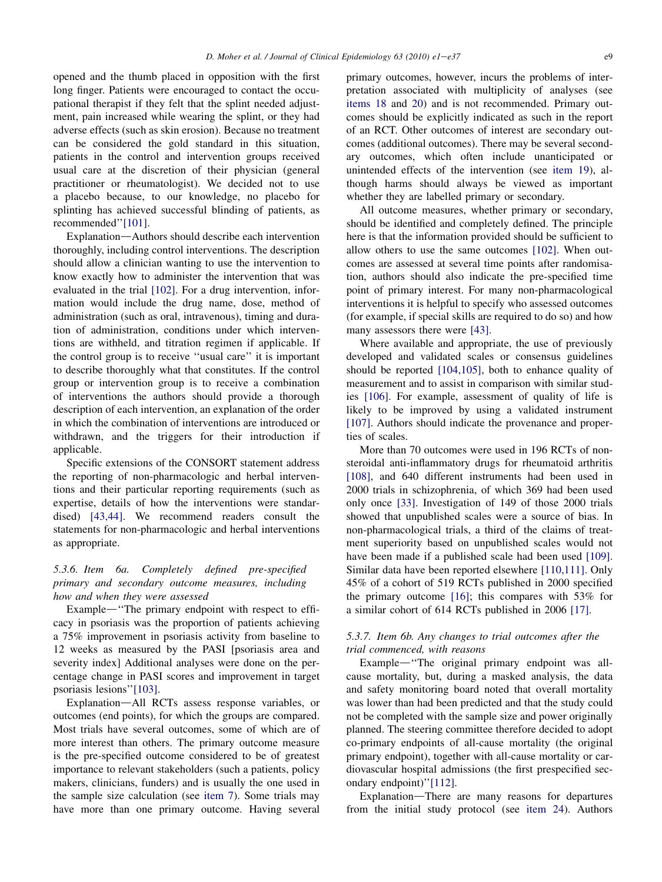opened and the thumb placed in opposition with the first long finger. Patients were encouraged to contact the occupational therapist if they felt that the splint needed adjustment, pain increased while wearing the splint, or they had adverse effects (such as skin erosion). Because no treatment can be considered the gold standard in this situation, patients in the control and intervention groups received usual care at the discretion of their physician (general practitioner or rheumatologist). We decided not to use a placebo because, to our knowledge, no placebo for splinting has achieved successful blinding of patients, as recommended'['\[101\]](#page-31-0).

Explanation—Authors should describe each intervention thoroughly, including control interventions. The description should allow a clinician wanting to use the intervention to know exactly how to administer the intervention that was evaluated in the trial [\[102\]](#page-31-0). For a drug intervention, information would include the drug name, dose, method of administration (such as oral, intravenous), timing and duration of administration, conditions under which interventions are withheld, and titration regimen if applicable. If the control group is to receive ''usual care'' it is important to describe thoroughly what that constitutes. If the control group or intervention group is to receive a combination of interventions the authors should provide a thorough description of each intervention, an explanation of the order in which the combination of interventions are introduced or withdrawn, and the triggers for their introduction if applicable.

Specific extensions of the CONSORT statement address the reporting of non-pharmacologic and herbal interventions and their particular reporting requirements (such as expertise, details of how the interventions were standardised) [\[43,44\]](#page-30-0). We recommend readers consult the statements for non-pharmacologic and herbal interventions as appropriate.

# 5.3.6. Item 6a. Completely defined pre-specified primary and secondary outcome measures, including how and when they were assessed

Example—"The primary endpoint with respect to efficacy in psoriasis was the proportion of patients achieving a 75% improvement in psoriasis activity from baseline to 12 weeks as measured by the PASI [psoriasis area and severity index] Additional analyses were done on the percentage change in PASI scores and improvement in target psoriasis lesions''[\[103\]](#page-31-0).

Explanation-All RCTs assess response variables, or outcomes (end points), for which the groups are compared. Most trials have several outcomes, some of which are of more interest than others. The primary outcome measure is the pre-specified outcome considered to be of greatest importance to relevant stakeholders (such a patients, policy makers, clinicians, funders) and is usually the one used in the sample size calculation (see item 7). Some trials may have more than one primary outcome. Having several primary outcomes, however, incurs the problems of interpretation associated with multiplicity of analyses (see items 18 and 20) and is not recommended. Primary outcomes should be explicitly indicated as such in the report of an RCT. Other outcomes of interest are secondary outcomes (additional outcomes). There may be several secondary outcomes, which often include unanticipated or unintended effects of the intervention (see item 19), although harms should always be viewed as important whether they are labelled primary or secondary.

All outcome measures, whether primary or secondary, should be identified and completely defined. The principle here is that the information provided should be sufficient to allow others to use the same outcomes [\[102\]](#page-31-0). When outcomes are assessed at several time points after randomisation, authors should also indicate the pre-specified time point of primary interest. For many non-pharmacological interventions it is helpful to specify who assessed outcomes (for example, if special skills are required to do so) and how many assessors there were [\[43\].](#page-30-0)

Where available and appropriate, the use of previously developed and validated scales or consensus guidelines should be reported [\[104,105\],](#page-31-0) both to enhance quality of measurement and to assist in comparison with similar studies [\[106\].](#page-31-0) For example, assessment of quality of life is likely to be improved by using a validated instrument [\[107\]](#page-31-0). Authors should indicate the provenance and properties of scales.

More than 70 outcomes were used in 196 RCTs of nonsteroidal anti-inflammatory drugs for rheumatoid arthritis [\[108\]](#page-31-0), and 640 different instruments had been used in 2000 trials in schizophrenia, of which 369 had been used only once [\[33\].](#page-30-0) Investigation of 149 of those 2000 trials showed that unpublished scales were a source of bias. In non-pharmacological trials, a third of the claims of treatment superiority based on unpublished scales would not have been made if a published scale had been used [\[109\]](#page-31-0). Similar data have been reported elsewhere [\[110,111\].](#page-31-0) Only 45% of a cohort of 519 RCTs published in 2000 specified the primary outcome [\[16\]](#page-29-0); this compares with 53% for a similar cohort of 614 RCTs published in 2006 [\[17\]](#page-29-0).

### 5.3.7. Item 6b. Any changes to trial outcomes after the trial commenced, with reasons

Example—"The original primary endpoint was allcause mortality, but, during a masked analysis, the data and safety monitoring board noted that overall mortality was lower than had been predicted and that the study could not be completed with the sample size and power originally planned. The steering committee therefore decided to adopt co-primary endpoints of all-cause mortality (the original primary endpoint), together with all-cause mortality or cardiovascular hospital admissions (the first prespecified secondary endpoint)"[112].

Explanation—There are many reasons for departures from the initial study protocol (see item 24). Authors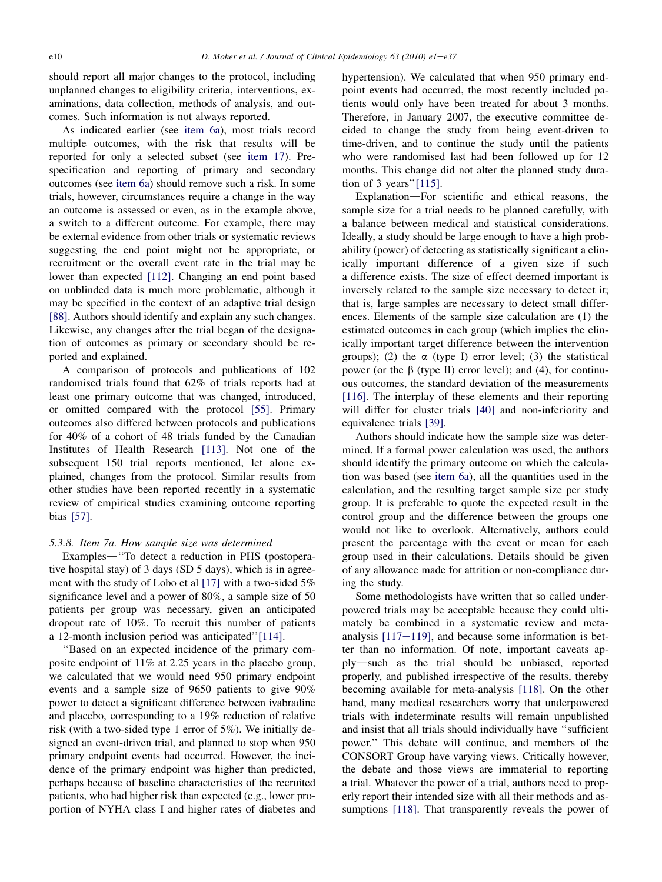should report all major changes to the protocol, including unplanned changes to eligibility criteria, interventions, examinations, data collection, methods of analysis, and outcomes. Such information is not always reported.

As indicated earlier (see item 6a), most trials record multiple outcomes, with the risk that results will be reported for only a selected subset (see item 17). Prespecification and reporting of primary and secondary outcomes (see item 6a) should remove such a risk. In some trials, however, circumstances require a change in the way an outcome is assessed or even, as in the example above, a switch to a different outcome. For example, there may be external evidence from other trials or systematic reviews suggesting the end point might not be appropriate, or recruitment or the overall event rate in the trial may be lower than expected [\[112\].](#page-32-0) Changing an end point based on unblinded data is much more problematic, although it may be specified in the context of an adaptive trial design [\[88\].](#page-31-0) Authors should identify and explain any such changes. Likewise, any changes after the trial began of the designation of outcomes as primary or secondary should be reported and explained.

A comparison of protocols and publications of 102 randomised trials found that 62% of trials reports had at least one primary outcome that was changed, introduced, or omitted compared with the protocol [\[55\].](#page-30-0) Primary outcomes also differed between protocols and publications for 40% of a cohort of 48 trials funded by the Canadian Institutes of Health Research [\[113\]](#page-32-0). Not one of the subsequent 150 trial reports mentioned, let alone explained, changes from the protocol. Similar results from other studies have been reported recently in a systematic review of empirical studies examining outcome reporting bias [\[57\]](#page-30-0).

#### 5.3.8. Item 7a. How sample size was determined

Examples—"To detect a reduction in PHS (postoperative hospital stay) of 3 days (SD 5 days), which is in agreement with the study of Lobo et al [\[17\]](#page-29-0) with a two-sided 5% significance level and a power of 80%, a sample size of 50 patients per group was necessary, given an anticipated dropout rate of 10%. To recruit this number of patients a 12-month inclusion period was anticipated''[\[114\]](#page-32-0).

''Based on an expected incidence of the primary composite endpoint of 11% at 2.25 years in the placebo group, we calculated that we would need 950 primary endpoint events and a sample size of 9650 patients to give 90% power to detect a significant difference between ivabradine and placebo, corresponding to a 19% reduction of relative risk (with a two-sided type 1 error of 5%). We initially designed an event-driven trial, and planned to stop when 950 primary endpoint events had occurred. However, the incidence of the primary endpoint was higher than predicted, perhaps because of baseline characteristics of the recruited patients, who had higher risk than expected (e.g., lower proportion of NYHA class I and higher rates of diabetes and

hypertension). We calculated that when 950 primary endpoint events had occurred, the most recently included patients would only have been treated for about 3 months. Therefore, in January 2007, the executive committee decided to change the study from being event-driven to time-driven, and to continue the study until the patients who were randomised last had been followed up for 12 months. This change did not alter the planned study duration of 3 years'['\[115\].](#page-32-0)

Explanation-For scientific and ethical reasons, the sample size for a trial needs to be planned carefully, with a balance between medical and statistical considerations. Ideally, a study should be large enough to have a high probability (power) of detecting as statistically significant a clinically important difference of a given size if such a difference exists. The size of effect deemed important is inversely related to the sample size necessary to detect it; that is, large samples are necessary to detect small differences. Elements of the sample size calculation are (1) the estimated outcomes in each group (which implies the clinically important target difference between the intervention groups); (2) the  $\alpha$  (type I) error level; (3) the statistical power (or the  $\beta$  (type II) error level); and (4), for continuous outcomes, the standard deviation of the measurements [\[116\].](#page-32-0) The interplay of these elements and their reporting will differ for cluster trials [\[40\]](#page-30-0) and non-inferiority and equivalence trials [\[39\].](#page-30-0)

Authors should indicate how the sample size was determined. If a formal power calculation was used, the authors should identify the primary outcome on which the calculation was based (see item 6a), all the quantities used in the calculation, and the resulting target sample size per study group. It is preferable to quote the expected result in the control group and the difference between the groups one would not like to overlook. Alternatively, authors could present the percentage with the event or mean for each group used in their calculations. Details should be given of any allowance made for attrition or non-compliance during the study.

Some methodologists have written that so called underpowered trials may be acceptable because they could ultimately be combined in a systematic review and metaanalysis  $[117-119]$ , and because some information is better than no information. Of note, important caveats apply—such as the trial should be unbiased, reported properly, and published irrespective of the results, thereby becoming available for meta-analysis [\[118\].](#page-32-0) On the other hand, many medical researchers worry that underpowered trials with indeterminate results will remain unpublished and insist that all trials should individually have ''sufficient power.'' This debate will continue, and members of the CONSORT Group have varying views. Critically however, the debate and those views are immaterial to reporting a trial. Whatever the power of a trial, authors need to properly report their intended size with all their methods and as-sumptions [\[118\]](#page-32-0). That transparently reveals the power of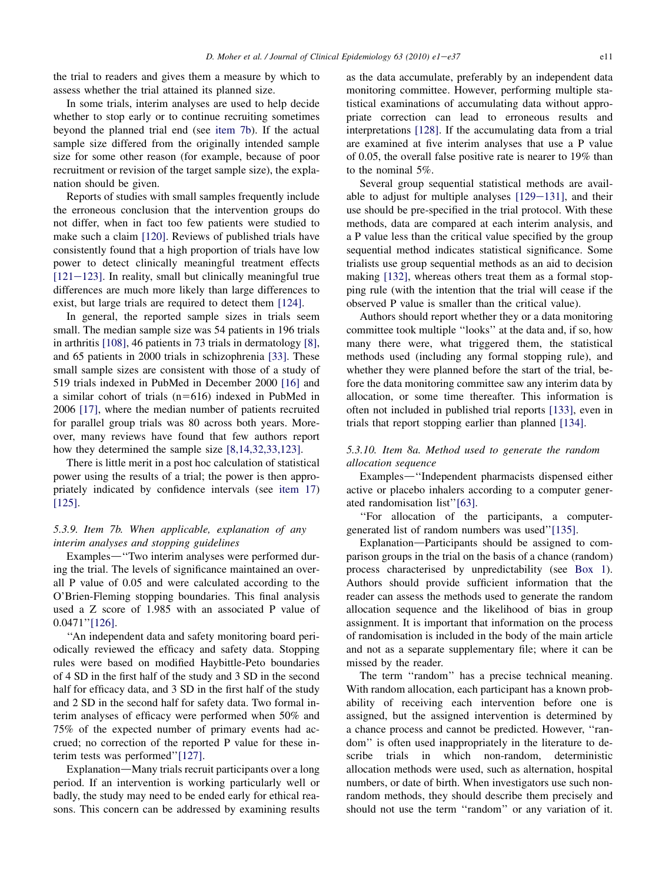the trial to readers and gives them a measure by which to assess whether the trial attained its planned size.

In some trials, interim analyses are used to help decide whether to stop early or to continue recruiting sometimes beyond the planned trial end (see item 7b). If the actual sample size differed from the originally intended sample size for some other reason (for example, because of poor recruitment or revision of the target sample size), the explanation should be given.

Reports of studies with small samples frequently include the erroneous conclusion that the intervention groups do not differ, when in fact too few patients were studied to make such a claim [\[120\].](#page-32-0) Reviews of published trials have consistently found that a high proportion of trials have low power to detect clinically meaningful treatment effects  $[121-123]$ . In reality, small but clinically meaningful true differences are much more likely than large differences to exist, but large trials are required to detect them [\[124\].](#page-32-0)

In general, the reported sample sizes in trials seem small. The median sample size was 54 patients in 196 trials in arthritis [\[108\]](#page-31-0), 46 patients in 73 trials in dermatology [\[8\]](#page-29-0), and 65 patients in 2000 trials in schizophrenia [\[33\]](#page-30-0). These small sample sizes are consistent with those of a study of 519 trials indexed in PubMed in December 2000 [\[16\]](#page-29-0) and a similar cohort of trials  $(n=616)$  indexed in PubMed in 2006 [\[17\],](#page-29-0) where the median number of patients recruited for parallel group trials was 80 across both years. Moreover, many reviews have found that few authors report how they determined the sample size [\[8,14,32,33,123\].](#page-29-0)

There is little merit in a post hoc calculation of statistical power using the results of a trial; the power is then appropriately indicated by confidence intervals (see item 17) [\[125\]](#page-32-0).

#### 5.3.9. Item 7b. When applicable, explanation of any interim analyses and stopping guidelines

Examples—"Two interim analyses were performed during the trial. The levels of significance maintained an overall P value of 0.05 and were calculated according to the O'Brien-Fleming stopping boundaries. This final analysis used a Z score of 1.985 with an associated P value of 0.0471'['\[126\].](#page-32-0)

''An independent data and safety monitoring board periodically reviewed the efficacy and safety data. Stopping rules were based on modified Haybittle-Peto boundaries of 4 SD in the first half of the study and 3 SD in the second half for efficacy data, and 3 SD in the first half of the study and 2 SD in the second half for safety data. Two formal interim analyses of efficacy were performed when 50% and 75% of the expected number of primary events had accrued; no correction of the reported P value for these interim tests was performed''[\[127\].](#page-32-0)

Explanation—Many trials recruit participants over a long period. If an intervention is working particularly well or badly, the study may need to be ended early for ethical reasons. This concern can be addressed by examining results as the data accumulate, preferably by an independent data monitoring committee. However, performing multiple statistical examinations of accumulating data without appropriate correction can lead to erroneous results and interpretations [\[128\].](#page-32-0) If the accumulating data from a trial are examined at five interim analyses that use a P value of 0.05, the overall false positive rate is nearer to 19% than to the nominal 5%.

Several group sequential statistical methods are available to adjust for multiple analyses  $[129-131]$ , and their use should be pre-specified in the trial protocol. With these methods, data are compared at each interim analysis, and a P value less than the critical value specified by the group sequential method indicates statistical significance. Some trialists use group sequential methods as an aid to decision making [\[132\],](#page-32-0) whereas others treat them as a formal stopping rule (with the intention that the trial will cease if the observed P value is smaller than the critical value).

Authors should report whether they or a data monitoring committee took multiple ''looks'' at the data and, if so, how many there were, what triggered them, the statistical methods used (including any formal stopping rule), and whether they were planned before the start of the trial, before the data monitoring committee saw any interim data by allocation, or some time thereafter. This information is often not included in published trial reports [\[133\]](#page-32-0), even in trials that report stopping earlier than planned [\[134\].](#page-32-0)

#### 5.3.10. Item 8a. Method used to generate the random allocation sequence

Examples—"Independent pharmacists dispensed either active or placebo inhalers according to a computer generated randomisation list''[\[63\]](#page-30-0).

''For allocation of the participants, a computergenerated list of random numbers was used'['\[135\].](#page-32-0)

Explanation—Participants should be assigned to comparison groups in the trial on the basis of a chance (random) process characterised by unpredictability (see Box 1). Authors should provide sufficient information that the reader can assess the methods used to generate the random allocation sequence and the likelihood of bias in group assignment. It is important that information on the process of randomisation is included in the body of the main article and not as a separate supplementary file; where it can be missed by the reader.

The term "random" has a precise technical meaning. With random allocation, each participant has a known probability of receiving each intervention before one is assigned, but the assigned intervention is determined by a chance process and cannot be predicted. However, ''random'' is often used inappropriately in the literature to describe trials in which non-random, deterministic allocation methods were used, such as alternation, hospital numbers, or date of birth. When investigators use such nonrandom methods, they should describe them precisely and should not use the term ''random'' or any variation of it.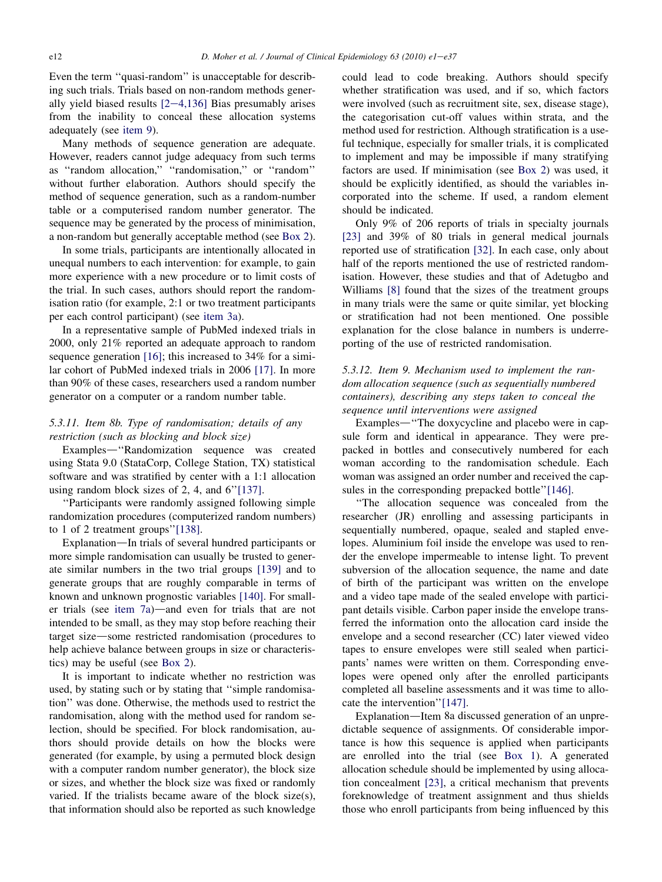Even the term ''quasi-random'' is unacceptable for describing such trials. Trials based on non-random methods generally yield biased results  $[2-4,136]$  $[2-4,136]$  Bias presumably arises from the inability to conceal these allocation systems adequately (see item 9).

Many methods of sequence generation are adequate. However, readers cannot judge adequacy from such terms as ''random allocation,'' ''randomisation,'' or ''random'' without further elaboration. Authors should specify the method of sequence generation, such as a random-number table or a computerised random number generator. The sequence may be generated by the process of minimisation, a non-random but generally acceptable method (see Box 2).

In some trials, participants are intentionally allocated in unequal numbers to each intervention: for example, to gain more experience with a new procedure or to limit costs of the trial. In such cases, authors should report the randomisation ratio (for example, 2:1 or two treatment participants per each control participant) (see item 3a).

In a representative sample of PubMed indexed trials in 2000, only 21% reported an adequate approach to random sequence generation [\[16\]](#page-29-0); this increased to 34% for a similar cohort of PubMed indexed trials in 2006 [\[17\]](#page-29-0). In more than 90% of these cases, researchers used a random number generator on a computer or a random number table.

### 5.3.11. Item 8b. Type of randomisation; details of any restriction (such as blocking and block size)

Examples—"Randomization sequence was created using Stata 9.0 (StataCorp, College Station, TX) statistical software and was stratified by center with a 1:1 allocation using random block sizes of 2, 4, and 6'['\[137\].](#page-32-0)

''Participants were randomly assigned following simple randomization procedures (computerized random numbers) to 1 of 2 treatment groups''[\[138\]](#page-32-0).

Explanation—In trials of several hundred participants or more simple randomisation can usually be trusted to generate similar numbers in the two trial groups [\[139\]](#page-32-0) and to generate groups that are roughly comparable in terms of known and unknown prognostic variables [\[140\]](#page-32-0). For smaller trials (see item  $7a$ )—and even for trials that are not intended to be small, as they may stop before reaching their target size-some restricted randomisation (procedures to help achieve balance between groups in size or characteristics) may be useful (see Box 2).

It is important to indicate whether no restriction was used, by stating such or by stating that ''simple randomisation'' was done. Otherwise, the methods used to restrict the randomisation, along with the method used for random selection, should be specified. For block randomisation, authors should provide details on how the blocks were generated (for example, by using a permuted block design with a computer random number generator), the block size or sizes, and whether the block size was fixed or randomly varied. If the trialists became aware of the block size(s), that information should also be reported as such knowledge

could lead to code breaking. Authors should specify whether stratification was used, and if so, which factors were involved (such as recruitment site, sex, disease stage), the categorisation cut-off values within strata, and the method used for restriction. Although stratification is a useful technique, especially for smaller trials, it is complicated to implement and may be impossible if many stratifying factors are used. If minimisation (see Box 2) was used, it should be explicitly identified, as should the variables incorporated into the scheme. If used, a random element should be indicated.

Only 9% of 206 reports of trials in specialty journals [\[23\]](#page-30-0) and 39% of 80 trials in general medical journals reported use of stratification [\[32\]](#page-30-0). In each case, only about half of the reports mentioned the use of restricted randomisation. However, these studies and that of Adetugbo and Williams [\[8\]](#page-29-0) found that the sizes of the treatment groups in many trials were the same or quite similar, yet blocking or stratification had not been mentioned. One possible explanation for the close balance in numbers is underreporting of the use of restricted randomisation.

### 5.3.12. Item 9. Mechanism used to implement the random allocation sequence (such as sequentially numbered containers), describing any steps taken to conceal the sequence until interventions were assigned

Examples—"The doxycycline and placebo were in capsule form and identical in appearance. They were prepacked in bottles and consecutively numbered for each woman according to the randomisation schedule. Each woman was assigned an order number and received the cap-sules in the corresponding prepacked bottle"[\[146\].](#page-32-0)

''The allocation sequence was concealed from the researcher (JR) enrolling and assessing participants in sequentially numbered, opaque, sealed and stapled envelopes. Aluminium foil inside the envelope was used to render the envelope impermeable to intense light. To prevent subversion of the allocation sequence, the name and date of birth of the participant was written on the envelope and a video tape made of the sealed envelope with participant details visible. Carbon paper inside the envelope transferred the information onto the allocation card inside the envelope and a second researcher (CC) later viewed video tapes to ensure envelopes were still sealed when participants' names were written on them. Corresponding envelopes were opened only after the enrolled participants completed all baseline assessments and it was time to allocate the intervention''[\[147\]](#page-32-0).

Explanation—Item 8a discussed generation of an unpredictable sequence of assignments. Of considerable importance is how this sequence is applied when participants are enrolled into the trial (see Box 1). A generated allocation schedule should be implemented by using allocation concealment [\[23\],](#page-30-0) a critical mechanism that prevents foreknowledge of treatment assignment and thus shields those who enroll participants from being influenced by this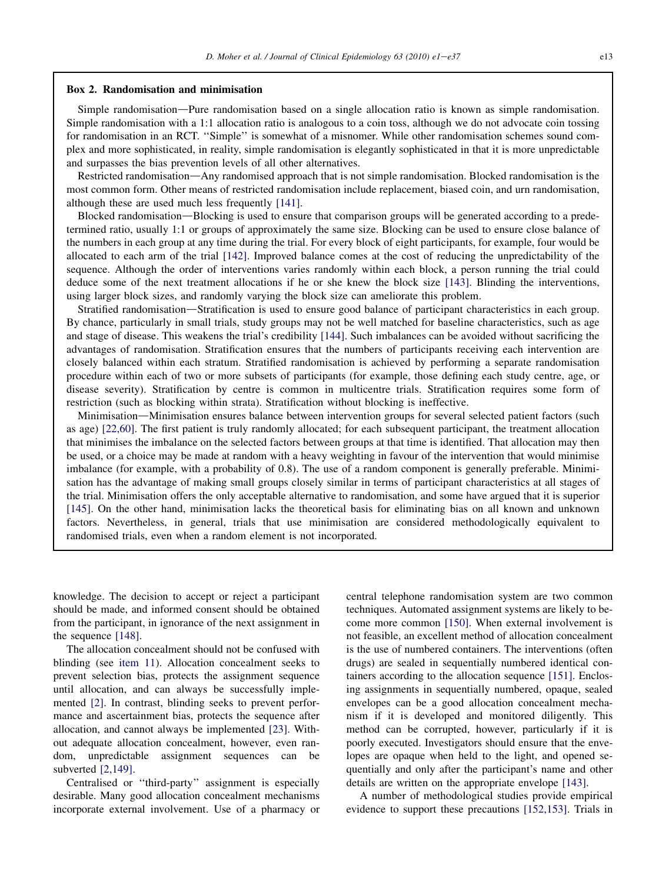#### Box 2. Randomisation and minimisation

Simple randomisation—Pure randomisation based on a single allocation ratio is known as simple randomisation. Simple randomisation with a 1:1 allocation ratio is analogous to a coin toss, although we do not advocate coin tossing for randomisation in an RCT. ''Simple'' is somewhat of a misnomer. While other randomisation schemes sound complex and more sophisticated, in reality, simple randomisation is elegantly sophisticated in that it is more unpredictable and surpasses the bias prevention levels of all other alternatives.

Restricted randomisation—Any randomised approach that is not simple randomisation. Blocked randomisation is the most common form. Other means of restricted randomisation include replacement, biased coin, and urn randomisation, although these are used much less frequently [\[141\]](#page-32-0).

Blocked randomisation—Blocking is used to ensure that comparison groups will be generated according to a predetermined ratio, usually 1:1 or groups of approximately the same size. Blocking can be used to ensure close balance of the numbers in each group at any time during the trial. For every block of eight participants, for example, four would be allocated to each arm of the trial [\[142\].](#page-32-0) Improved balance comes at the cost of reducing the unpredictability of the sequence. Although the order of interventions varies randomly within each block, a person running the trial could deduce some of the next treatment allocations if he or she knew the block size [\[143\]](#page-32-0). Blinding the interventions, using larger block sizes, and randomly varying the block size can ameliorate this problem.

Stratified randomisation—Stratification is used to ensure good balance of participant characteristics in each group. By chance, particularly in small trials, study groups may not be well matched for baseline characteristics, such as age and stage of disease. This weakens the trial's credibility [\[144\]](#page-32-0). Such imbalances can be avoided without sacrificing the advantages of randomisation. Stratification ensures that the numbers of participants receiving each intervention are closely balanced within each stratum. Stratified randomisation is achieved by performing a separate randomisation procedure within each of two or more subsets of participants (for example, those defining each study centre, age, or disease severity). Stratification by centre is common in multicentre trials. Stratification requires some form of restriction (such as blocking within strata). Stratification without blocking is ineffective.

Minimisation—Minimisation ensures balance between intervention groups for several selected patient factors (such as age) [\[22,60\].](#page-30-0) The first patient is truly randomly allocated; for each subsequent participant, the treatment allocation that minimises the imbalance on the selected factors between groups at that time is identified. That allocation may then be used, or a choice may be made at random with a heavy weighting in favour of the intervention that would minimise imbalance (for example, with a probability of 0.8). The use of a random component is generally preferable. Minimisation has the advantage of making small groups closely similar in terms of participant characteristics at all stages of the trial. Minimisation offers the only acceptable alternative to randomisation, and some have argued that it is superior [\[145\]](#page-32-0). On the other hand, minimisation lacks the theoretical basis for eliminating bias on all known and unknown factors. Nevertheless, in general, trials that use minimisation are considered methodologically equivalent to randomised trials, even when a random element is not incorporated.

knowledge. The decision to accept or reject a participant should be made, and informed consent should be obtained from the participant, in ignorance of the next assignment in the sequence [\[148\]](#page-32-0).

The allocation concealment should not be confused with blinding (see item 11). Allocation concealment seeks to prevent selection bias, protects the assignment sequence until allocation, and can always be successfully implemented [\[2\]](#page-29-0). In contrast, blinding seeks to prevent performance and ascertainment bias, protects the sequence after allocation, and cannot always be implemented [\[23\].](#page-30-0) Without adequate allocation concealment, however, even random, unpredictable assignment sequences can be subverted [\[2,149\].](#page-29-0)

Centralised or ''third-party'' assignment is especially desirable. Many good allocation concealment mechanisms incorporate external involvement. Use of a pharmacy or central telephone randomisation system are two common techniques. Automated assignment systems are likely to become more common [\[150\].](#page-32-0) When external involvement is not feasible, an excellent method of allocation concealment is the use of numbered containers. The interventions (often drugs) are sealed in sequentially numbered identical containers according to the allocation sequence [\[151\].](#page-32-0) Enclosing assignments in sequentially numbered, opaque, sealed envelopes can be a good allocation concealment mechanism if it is developed and monitored diligently. This method can be corrupted, however, particularly if it is poorly executed. Investigators should ensure that the envelopes are opaque when held to the light, and opened sequentially and only after the participant's name and other details are written on the appropriate envelope [\[143\].](#page-32-0)

A number of methodological studies provide empirical evidence to support these precautions [\[152,153\].](#page-32-0) Trials in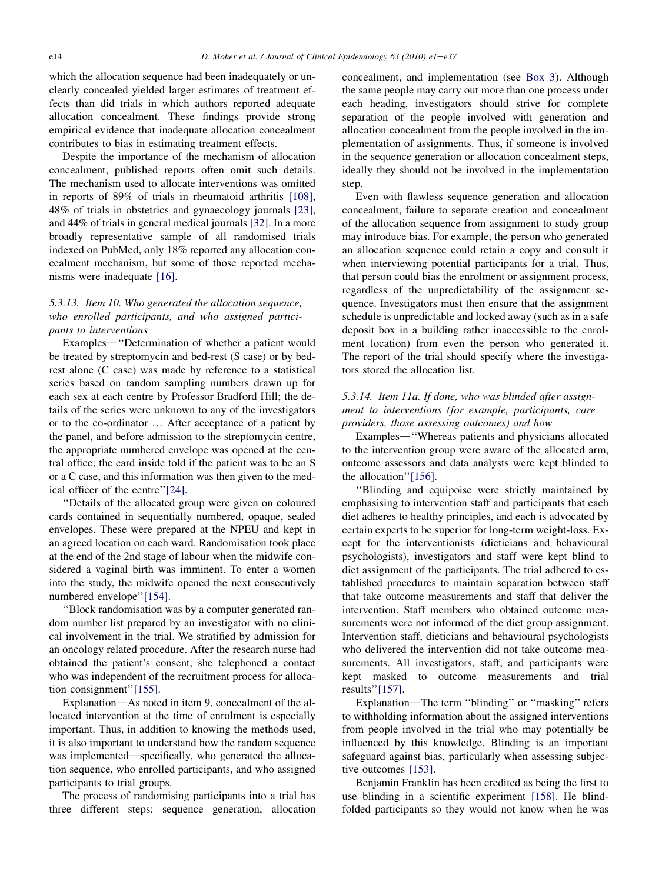which the allocation sequence had been inadequately or unclearly concealed yielded larger estimates of treatment effects than did trials in which authors reported adequate allocation concealment. These findings provide strong empirical evidence that inadequate allocation concealment contributes to bias in estimating treatment effects.

Despite the importance of the mechanism of allocation concealment, published reports often omit such details. The mechanism used to allocate interventions was omitted in reports of 89% of trials in rheumatoid arthritis [\[108\],](#page-31-0) 48% of trials in obstetrics and gynaecology journals [\[23\],](#page-30-0) and 44% of trials in general medical journals [\[32\].](#page-30-0) In a more broadly representative sample of all randomised trials indexed on PubMed, only 18% reported any allocation concealment mechanism, but some of those reported mechanisms were inadequate [\[16\].](#page-29-0)

### 5.3.13. Item 10. Who generated the allocation sequence, who enrolled participants, and who assigned participants to interventions

Examples—"Determination of whether a patient would be treated by streptomycin and bed-rest (S case) or by bedrest alone (C case) was made by reference to a statistical series based on random sampling numbers drawn up for each sex at each centre by Professor Bradford Hill; the details of the series were unknown to any of the investigators or to the co-ordinator ... After acceptance of a patient by the panel, and before admission to the streptomycin centre, the appropriate numbered envelope was opened at the central office; the card inside told if the patient was to be an S or a C case, and this information was then given to the medical officer of the centre'['\[24\].](#page-30-0)

''Details of the allocated group were given on coloured cards contained in sequentially numbered, opaque, sealed envelopes. These were prepared at the NPEU and kept in an agreed location on each ward. Randomisation took place at the end of the 2nd stage of labour when the midwife considered a vaginal birth was imminent. To enter a women into the study, the midwife opened the next consecutively numbered envelope"[154].

''Block randomisation was by a computer generated random number list prepared by an investigator with no clinical involvement in the trial. We stratified by admission for an oncology related procedure. After the research nurse had obtained the patient's consent, she telephoned a contact who was independent of the recruitment process for allocation consignment'['\[155\].](#page-33-0)

Explanation $-As$  noted in item 9, concealment of the allocated intervention at the time of enrolment is especially important. Thus, in addition to knowing the methods used, it is also important to understand how the random sequence was implemented—specifically, who generated the allocation sequence, who enrolled participants, and who assigned participants to trial groups.

The process of randomising participants into a trial has three different steps: sequence generation, allocation

concealment, and implementation (see Box 3). Although the same people may carry out more than one process under each heading, investigators should strive for complete separation of the people involved with generation and allocation concealment from the people involved in the implementation of assignments. Thus, if someone is involved in the sequence generation or allocation concealment steps, ideally they should not be involved in the implementation step.

Even with flawless sequence generation and allocation concealment, failure to separate creation and concealment of the allocation sequence from assignment to study group may introduce bias. For example, the person who generated an allocation sequence could retain a copy and consult it when interviewing potential participants for a trial. Thus, that person could bias the enrolment or assignment process, regardless of the unpredictability of the assignment sequence. Investigators must then ensure that the assignment schedule is unpredictable and locked away (such as in a safe deposit box in a building rather inaccessible to the enrolment location) from even the person who generated it. The report of the trial should specify where the investigators stored the allocation list.

### 5.3.14. Item 11a. If done, who was blinded after assignment to interventions (for example, participants, care providers, those assessing outcomes) and how

Examples—"Whereas patients and physicians allocated to the intervention group were aware of the allocated arm, outcome assessors and data analysts were kept blinded to the allocation'['\[156\].](#page-33-0)

''Blinding and equipoise were strictly maintained by emphasising to intervention staff and participants that each diet adheres to healthy principles, and each is advocated by certain experts to be superior for long-term weight-loss. Except for the interventionists (dieticians and behavioural psychologists), investigators and staff were kept blind to diet assignment of the participants. The trial adhered to established procedures to maintain separation between staff that take outcome measurements and staff that deliver the intervention. Staff members who obtained outcome measurements were not informed of the diet group assignment. Intervention staff, dieticians and behavioural psychologists who delivered the intervention did not take outcome measurements. All investigators, staff, and participants were kept masked to outcome measurements and trial results'['\[157\].](#page-33-0)

Explanation-The term "blinding" or "masking" refers to withholding information about the assigned interventions from people involved in the trial who may potentially be influenced by this knowledge. Blinding is an important safeguard against bias, particularly when assessing subjective outcomes [\[153\].](#page-32-0)

Benjamin Franklin has been credited as being the first to use blinding in a scientific experiment [\[158\]](#page-33-0). He blindfolded participants so they would not know when he was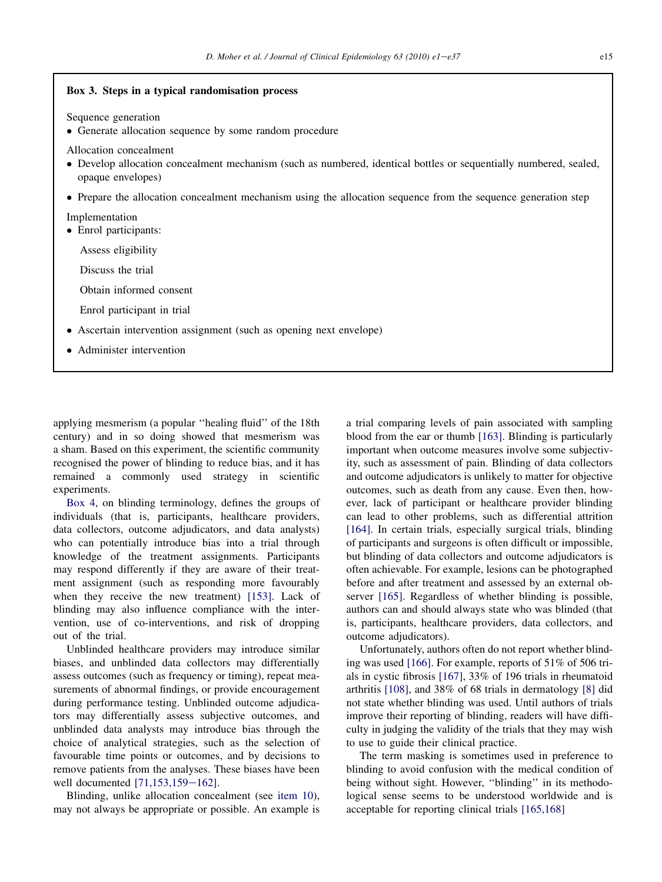#### Box 3. Steps in a typical randomisation process

Sequence generation

- Generate allocation sequence by some random procedure

Allocation concealment

- Develop allocation concealment mechanism (such as numbered, identical bottles or sequentially numbered, sealed, opaque envelopes)
- Prepare the allocation concealment mechanism using the allocation sequence from the sequence generation step

Implementation

- Enrol participants:

Assess eligibility

Discuss the trial

Obtain informed consent

- Enrol participant in trial
- $\bullet$ Ascertain intervention assignment (such as opening next envelope)
- Administer intervention

applying mesmerism (a popular ''healing fluid'' of the 18th century) and in so doing showed that mesmerism was a sham. Based on this experiment, the scientific community recognised the power of blinding to reduce bias, and it has remained a commonly used strategy in scientific experiments.

Box 4, on blinding terminology, defines the groups of individuals (that is, participants, healthcare providers, data collectors, outcome adjudicators, and data analysts) who can potentially introduce bias into a trial through knowledge of the treatment assignments. Participants may respond differently if they are aware of their treatment assignment (such as responding more favourably when they receive the new treatment) [\[153\].](#page-32-0) Lack of blinding may also influence compliance with the intervention, use of co-interventions, and risk of dropping out of the trial.

Unblinded healthcare providers may introduce similar biases, and unblinded data collectors may differentially assess outcomes (such as frequency or timing), repeat measurements of abnormal findings, or provide encouragement during performance testing. Unblinded outcome adjudicators may differentially assess subjective outcomes, and unblinded data analysts may introduce bias through the choice of analytical strategies, such as the selection of favourable time points or outcomes, and by decisions to remove patients from the analyses. These biases have been well documented  $[71, 153, 159 - 162]$ .

Blinding, unlike allocation concealment (see item 10), may not always be appropriate or possible. An example is a trial comparing levels of pain associated with sampling blood from the ear or thumb [\[163\].](#page-33-0) Blinding is particularly important when outcome measures involve some subjectivity, such as assessment of pain. Blinding of data collectors and outcome adjudicators is unlikely to matter for objective outcomes, such as death from any cause. Even then, however, lack of participant or healthcare provider blinding can lead to other problems, such as differential attrition [\[164\]](#page-33-0). In certain trials, especially surgical trials, blinding of participants and surgeons is often difficult or impossible, but blinding of data collectors and outcome adjudicators is often achievable. For example, lesions can be photographed before and after treatment and assessed by an external observer [\[165\]](#page-33-0). Regardless of whether blinding is possible, authors can and should always state who was blinded (that is, participants, healthcare providers, data collectors, and outcome adjudicators).

Unfortunately, authors often do not report whether blinding was used [\[166\].](#page-33-0) For example, reports of 51% of 506 trials in cystic fibrosis [\[167\]](#page-33-0), 33% of 196 trials in rheumatoid arthritis [\[108\],](#page-31-0) and 38% of 68 trials in dermatology [\[8\]](#page-29-0) did not state whether blinding was used. Until authors of trials improve their reporting of blinding, readers will have difficulty in judging the validity of the trials that they may wish to use to guide their clinical practice.

The term masking is sometimes used in preference to blinding to avoid confusion with the medical condition of being without sight. However, ''blinding'' in its methodological sense seems to be understood worldwide and is acceptable for reporting clinical trials [\[165,168\]](#page-33-0)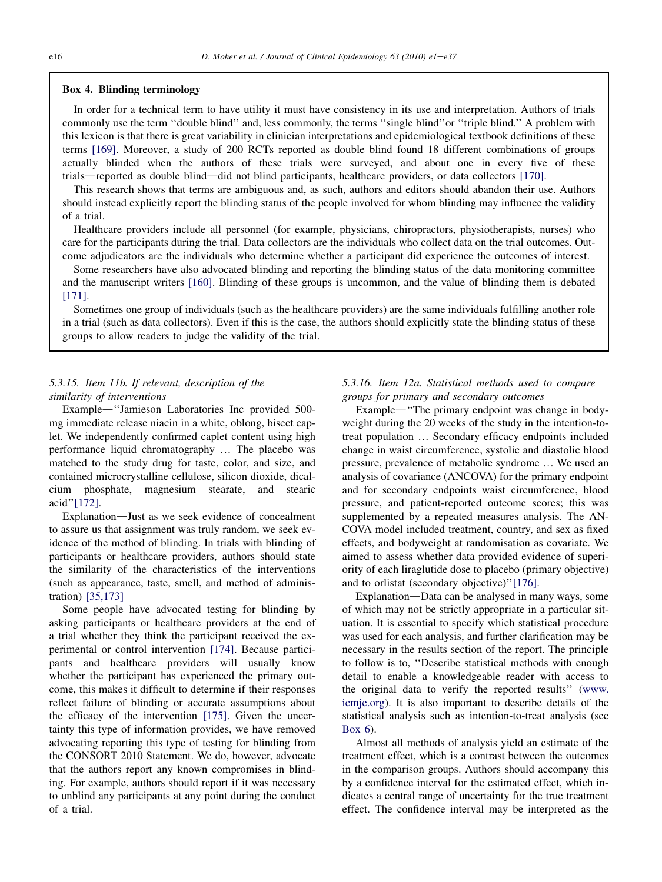#### Box 4. Blinding terminology

In order for a technical term to have utility it must have consistency in its use and interpretation. Authors of trials commonly use the term ''double blind'' and, less commonly, the terms ''single blind''or ''triple blind.'' A problem with this lexicon is that there is great variability in clinician interpretations and epidemiological textbook definitions of these terms [\[169\]](#page-33-0). Moreover, a study of 200 RCTs reported as double blind found 18 different combinations of groups actually blinded when the authors of these trials were surveyed, and about one in every five of these trials—reported as double blind—did not blind participants, healthcare providers, or data collectors [\[170\]](#page-33-0).

This research shows that terms are ambiguous and, as such, authors and editors should abandon their use. Authors should instead explicitly report the blinding status of the people involved for whom blinding may influence the validity of a trial.

Healthcare providers include all personnel (for example, physicians, chiropractors, physiotherapists, nurses) who care for the participants during the trial. Data collectors are the individuals who collect data on the trial outcomes. Outcome adjudicators are the individuals who determine whether a participant did experience the outcomes of interest.

Some researchers have also advocated blinding and reporting the blinding status of the data monitoring committee and the manuscript writers [\[160\].](#page-33-0) Blinding of these groups is uncommon, and the value of blinding them is debated [\[171\].](#page-33-0)

Sometimes one group of individuals (such as the healthcare providers) are the same individuals fulfilling another role in a trial (such as data collectors). Even if this is the case, the authors should explicitly state the blinding status of these groups to allow readers to judge the validity of the trial.

### 5.3.15. Item 11b. If relevant, description of the similarity of interventions

Example-"Jamieson Laboratories Inc provided 500mg immediate release niacin in a white, oblong, bisect caplet. We independently confirmed caplet content using high performance liquid chromatography ... The placebo was matched to the study drug for taste, color, and size, and contained microcrystalline cellulose, silicon dioxide, dicalcium phosphate, magnesium stearate, and stearic acid''[\[172\]](#page-33-0).

Explanation—Just as we seek evidence of concealment to assure us that assignment was truly random, we seek evidence of the method of blinding. In trials with blinding of participants or healthcare providers, authors should state the similarity of the characteristics of the interventions (such as appearance, taste, smell, and method of administration) [\[35,173\]](#page-30-0)

Some people have advocated testing for blinding by asking participants or healthcare providers at the end of a trial whether they think the participant received the experimental or control intervention [\[174\]](#page-33-0). Because participants and healthcare providers will usually know whether the participant has experienced the primary outcome, this makes it difficult to determine if their responses reflect failure of blinding or accurate assumptions about the efficacy of the intervention [\[175\].](#page-33-0) Given the uncertainty this type of information provides, we have removed advocating reporting this type of testing for blinding from the CONSORT 2010 Statement. We do, however, advocate that the authors report any known compromises in blinding. For example, authors should report if it was necessary to unblind any participants at any point during the conduct of a trial.

#### 5.3.16. Item 12a. Statistical methods used to compare groups for primary and secondary outcomes

Example—"The primary endpoint was change in bodyweight during the 20 weeks of the study in the intention-totreat population ... Secondary efficacy endpoints included change in waist circumference, systolic and diastolic blood pressure, prevalence of metabolic syndrome ... We used an analysis of covariance (ANCOVA) for the primary endpoint and for secondary endpoints waist circumference, blood pressure, and patient-reported outcome scores; this was supplemented by a repeated measures analysis. The AN-COVA model included treatment, country, and sex as fixed effects, and bodyweight at randomisation as covariate. We aimed to assess whether data provided evidence of superiority of each liraglutide dose to placebo (primary objective) and to orlistat (secondary objective)'['\[176\].](#page-33-0)

Explanation—Data can be analysed in many ways, some of which may not be strictly appropriate in a particular situation. It is essential to specify which statistical procedure was used for each analysis, and further clarification may be necessary in the results section of the report. The principle to follow is to, ''Describe statistical methods with enough detail to enable a knowledgeable reader with access to the original data to verify the reported results'' ([www.](http://www.icmje.org) [icmje.org](http://www.icmje.org)). It is also important to describe details of the statistical analysis such as intention-to-treat analysis (see Box 6).

Almost all methods of analysis yield an estimate of the treatment effect, which is a contrast between the outcomes in the comparison groups. Authors should accompany this by a confidence interval for the estimated effect, which indicates a central range of uncertainty for the true treatment effect. The confidence interval may be interpreted as the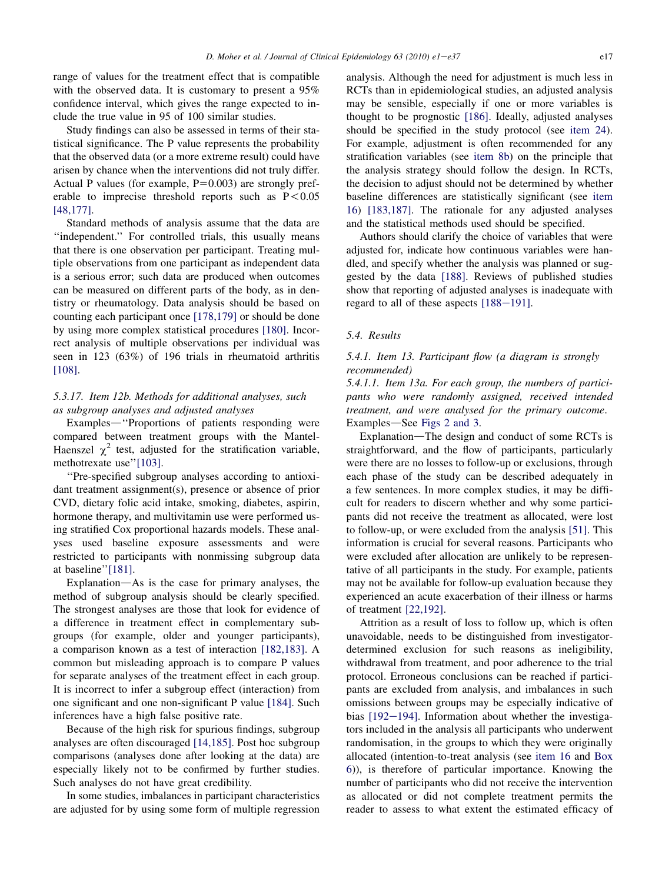range of values for the treatment effect that is compatible with the observed data. It is customary to present a 95% confidence interval, which gives the range expected to include the true value in 95 of 100 similar studies.

Study findings can also be assessed in terms of their statistical significance. The P value represents the probability that the observed data (or a more extreme result) could have arisen by chance when the interventions did not truly differ. Actual P values (for example,  $P=0.003$ ) are strongly preferable to imprecise threshold reports such as  $P < 0.05$ [\[48,177\].](#page-30-0)

Standard methods of analysis assume that the data are ''independent.'' For controlled trials, this usually means that there is one observation per participant. Treating multiple observations from one participant as independent data is a serious error; such data are produced when outcomes can be measured on different parts of the body, as in dentistry or rheumatology. Data analysis should be based on counting each participant once [\[178,179\]](#page-33-0) or should be done by using more complex statistical procedures [\[180\].](#page-33-0) Incorrect analysis of multiple observations per individual was seen in 123 (63%) of 196 trials in rheumatoid arthritis [\[108\]](#page-31-0).

### 5.3.17. Item 12b. Methods for additional analyses, such as subgroup analyses and adjusted analyses

Examples—"Proportions of patients responding were compared between treatment groups with the Mantel-Haenszel  $\chi^2$  test, adjusted for the stratification variable, methotrexate use"[\[103\]](#page-31-0).

''Pre-specified subgroup analyses according to antioxidant treatment assignment(s), presence or absence of prior CVD, dietary folic acid intake, smoking, diabetes, aspirin, hormone therapy, and multivitamin use were performed using stratified Cox proportional hazards models. These analyses used baseline exposure assessments and were restricted to participants with nonmissing subgroup data at baseline'['\[181\].](#page-33-0)

Explanation $-As$  is the case for primary analyses, the method of subgroup analysis should be clearly specified. The strongest analyses are those that look for evidence of a difference in treatment effect in complementary subgroups (for example, older and younger participants), a comparison known as a test of interaction [\[182,183\]](#page-33-0). A common but misleading approach is to compare P values for separate analyses of the treatment effect in each group. It is incorrect to infer a subgroup effect (interaction) from one significant and one non-significant P value [\[184\].](#page-33-0) Such inferences have a high false positive rate.

Because of the high risk for spurious findings, subgroup analyses are often discouraged [\[14,185\].](#page-29-0) Post hoc subgroup comparisons (analyses done after looking at the data) are especially likely not to be confirmed by further studies. Such analyses do not have great credibility.

In some studies, imbalances in participant characteristics are adjusted for by using some form of multiple regression

analysis. Although the need for adjustment is much less in RCTs than in epidemiological studies, an adjusted analysis may be sensible, especially if one or more variables is thought to be prognostic [\[186\]](#page-33-0). Ideally, adjusted analyses should be specified in the study protocol (see item 24). For example, adjustment is often recommended for any stratification variables (see item 8b) on the principle that the analysis strategy should follow the design. In RCTs, the decision to adjust should not be determined by whether baseline differences are statistically significant (see item 16) [\[183,187\].](#page-33-0) The rationale for any adjusted analyses and the statistical methods used should be specified.

Authors should clarify the choice of variables that were adjusted for, indicate how continuous variables were handled, and specify whether the analysis was planned or suggested by the data [\[188\].](#page-33-0) Reviews of published studies show that reporting of adjusted analyses is inadequate with regard to all of these aspects  $[188-191]$ .

#### 5.4. Results

### 5.4.1. Item 13. Participant flow (a diagram is strongly recommended)

5.4.1.1. Item 13a. For each group, the numbers of participants who were randomly assigned, received intended treatment, and were analysed for the primary outcome. Examples—See [Figs 2 and 3.](#page-17-0)

Explanation—The design and conduct of some RCTs is straightforward, and the flow of participants, particularly were there are no losses to follow-up or exclusions, through each phase of the study can be described adequately in a few sentences. In more complex studies, it may be difficult for readers to discern whether and why some participants did not receive the treatment as allocated, were lost to follow-up, or were excluded from the analysis [\[51\].](#page-30-0) This information is crucial for several reasons. Participants who were excluded after allocation are unlikely to be representative of all participants in the study. For example, patients may not be available for follow-up evaluation because they experienced an acute exacerbation of their illness or harms of treatment [\[22,192\].](#page-30-0)

Attrition as a result of loss to follow up, which is often unavoidable, needs to be distinguished from investigatordetermined exclusion for such reasons as ineligibility, withdrawal from treatment, and poor adherence to the trial protocol. Erroneous conclusions can be reached if participants are excluded from analysis, and imbalances in such omissions between groups may be especially indicative of bias  $[192-194]$ . Information about whether the investigators included in the analysis all participants who underwent randomisation, in the groups to which they were originally allocated (intention-to-treat analysis (see item 16 and Box 6)), is therefore of particular importance. Knowing the number of participants who did not receive the intervention as allocated or did not complete treatment permits the reader to assess to what extent the estimated efficacy of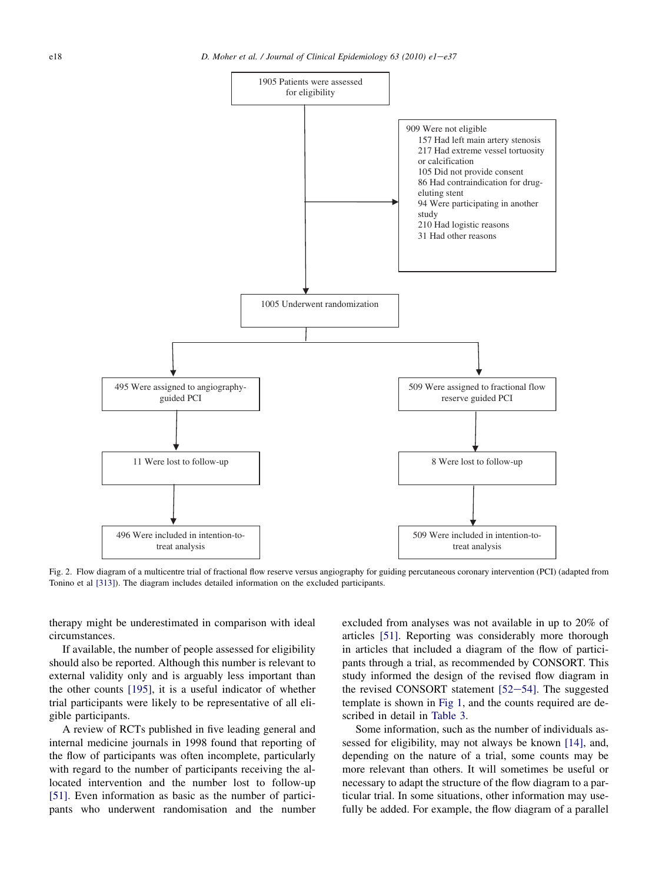<span id="page-17-0"></span>

Fig. 2. Flow diagram of a multicentre trial of fractional flow reserve versus angiography for guiding percutaneous coronary intervention (PCI) (adapted from Tonino et al [\[313\]](#page-36-0)). The diagram includes detailed information on the excluded participants.

therapy might be underestimated in comparison with ideal circumstances.

If available, the number of people assessed for eligibility should also be reported. Although this number is relevant to external validity only and is arguably less important than the other counts [\[195\]](#page-33-0), it is a useful indicator of whether trial participants were likely to be representative of all eligible participants.

A review of RCTs published in five leading general and internal medicine journals in 1998 found that reporting of the flow of participants was often incomplete, particularly with regard to the number of participants receiving the allocated intervention and the number lost to follow-up [\[51\].](#page-30-0) Even information as basic as the number of participants who underwent randomisation and the number

excluded from analyses was not available in up to 20% of articles [\[51\]](#page-30-0). Reporting was considerably more thorough in articles that included a diagram of the flow of participants through a trial, as recommended by CONSORT. This study informed the design of the revised flow diagram in the revised CONSORT statement  $[52-54]$  $[52-54]$ . The suggested template is shown in [Fig 1,](#page-5-0) and the counts required are described in detail in [Table 3.](#page-19-0)

Some information, such as the number of individuals assessed for eligibility, may not always be known [\[14\]](#page-29-0), and, depending on the nature of a trial, some counts may be more relevant than others. It will sometimes be useful or necessary to adapt the structure of the flow diagram to a particular trial. In some situations, other information may usefully be added. For example, the flow diagram of a parallel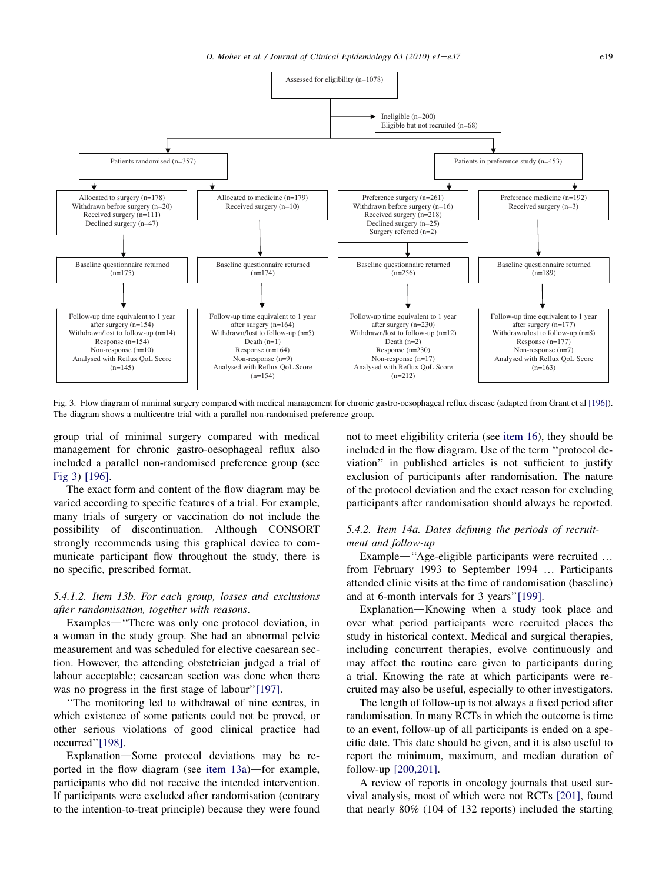<span id="page-18-0"></span>

Fig. 3. Flow diagram of minimal surgery compared with medical management for chronic gastro-oesophageal reflux disease (adapted from Grant et al [\[196\]](#page-33-0)). The diagram shows a multicentre trial with a parallel non-randomised preference group.

group trial of minimal surgery compared with medical management for chronic gastro-oesophageal reflux also included a parallel non-randomised preference group (see Fig 3) [\[196\].](#page-33-0)

The exact form and content of the flow diagram may be varied according to specific features of a trial. For example, many trials of surgery or vaccination do not include the possibility of discontinuation. Although CONSORT strongly recommends using this graphical device to communicate participant flow throughout the study, there is no specific, prescribed format.

### 5.4.1.2. Item 13b. For each group, losses and exclusions after randomisation, together with reasons.

Examples—"There was only one protocol deviation, in a woman in the study group. She had an abnormal pelvic measurement and was scheduled for elective caesarean section. However, the attending obstetrician judged a trial of labour acceptable; caesarean section was done when there was no progress in the first stage of labour''[\[197\]](#page-33-0).

''The monitoring led to withdrawal of nine centres, in which existence of some patients could not be proved, or other serious violations of good clinical practice had occurred''[\[198\]](#page-33-0).

Explanation—Some protocol deviations may be reported in the flow diagram (see item  $13a$ )—for example, participants who did not receive the intended intervention. If participants were excluded after randomisation (contrary to the intention-to-treat principle) because they were found not to meet eligibility criteria (see item 16), they should be included in the flow diagram. Use of the term ''protocol deviation'' in published articles is not sufficient to justify exclusion of participants after randomisation. The nature of the protocol deviation and the exact reason for excluding participants after randomisation should always be reported.

### 5.4.2. Item 14a. Dates defining the periods of recruitment and follow-up

Example—"Age-eligible participants were recruited ... from February 1993 to September 1994 ... Participants attended clinic visits at the time of randomisation (baseline) and at 6-month intervals for 3 years'['\[199\].](#page-33-0)

Explanation-Knowing when a study took place and over what period participants were recruited places the study in historical context. Medical and surgical therapies, including concurrent therapies, evolve continuously and may affect the routine care given to participants during a trial. Knowing the rate at which participants were recruited may also be useful, especially to other investigators.

The length of follow-up is not always a fixed period after randomisation. In many RCTs in which the outcome is time to an event, follow-up of all participants is ended on a specific date. This date should be given, and it is also useful to report the minimum, maximum, and median duration of follow-up [\[200,201\]](#page-34-0).

A review of reports in oncology journals that used survival analysis, most of which were not RCTs [\[201\],](#page-34-0) found that nearly 80% (104 of 132 reports) included the starting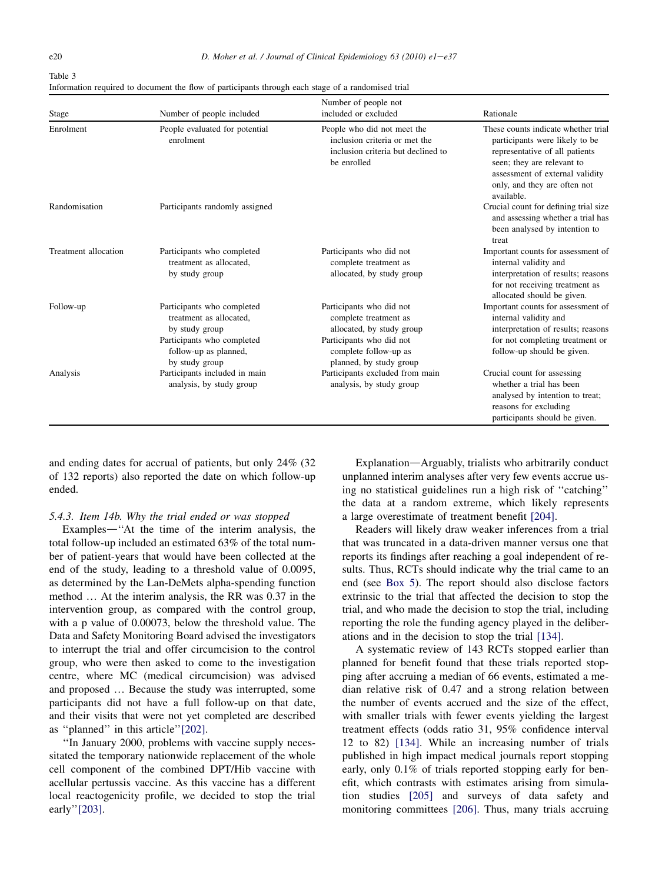#### <span id="page-19-0"></span>Table 3

Information required to document the flow of participants through each stage of a randomised trial

| Stage                | Number of people included                                                                                                                        | Number of people not<br>included or excluded                                                                                                                   | Rationale                                                                                                                                                                                                              |
|----------------------|--------------------------------------------------------------------------------------------------------------------------------------------------|----------------------------------------------------------------------------------------------------------------------------------------------------------------|------------------------------------------------------------------------------------------------------------------------------------------------------------------------------------------------------------------------|
| Enrolment            | People evaluated for potential<br>enrolment                                                                                                      | People who did not meet the<br>inclusion criteria or met the<br>inclusion criteria but declined to<br>be enrolled                                              | These counts indicate whether trial<br>participants were likely to be<br>representative of all patients<br>seen; they are relevant to<br>assessment of external validity<br>only, and they are often not<br>available. |
| Randomisation        | Participants randomly assigned                                                                                                                   |                                                                                                                                                                | Crucial count for defining trial size<br>and assessing whether a trial has<br>been analysed by intention to<br>treat                                                                                                   |
| Treatment allocation | Participants who completed<br>treatment as allocated.<br>by study group                                                                          | Participants who did not<br>complete treatment as<br>allocated, by study group                                                                                 | Important counts for assessment of<br>internal validity and<br>interpretation of results; reasons<br>for not receiving treatment as<br>allocated should be given.                                                      |
| Follow-up            | Participants who completed<br>treatment as allocated,<br>by study group<br>Participants who completed<br>follow-up as planned,<br>by study group | Participants who did not<br>complete treatment as<br>allocated, by study group<br>Participants who did not<br>complete follow-up as<br>planned, by study group | Important counts for assessment of<br>internal validity and<br>interpretation of results; reasons<br>for not completing treatment or<br>follow-up should be given.                                                     |
| Analysis             | Participants included in main<br>analysis, by study group                                                                                        | Participants excluded from main<br>analysis, by study group                                                                                                    | Crucial count for assessing<br>whether a trial has been<br>analysed by intention to treat;<br>reasons for excluding<br>participants should be given.                                                                   |

and ending dates for accrual of patients, but only 24% (32 of 132 reports) also reported the date on which follow-up ended.

5.4.3. Item 14b. Why the trial ended or was stopped

 $Examples$ —"At the time of the interim analysis, the total follow-up included an estimated 63% of the total number of patient-years that would have been collected at the end of the study, leading to a threshold value of 0.0095, as determined by the Lan-DeMets alpha-spending function method ... At the interim analysis, the RR was 0.37 in the intervention group, as compared with the control group, with a p value of 0.00073, below the threshold value. The Data and Safety Monitoring Board advised the investigators to interrupt the trial and offer circumcision to the control group, who were then asked to come to the investigation centre, where MC (medical circumcision) was advised and proposed ... Because the study was interrupted, some participants did not have a full follow-up on that date, and their visits that were not yet completed are described as ''planned'' in this article''[\[202\]](#page-34-0).

''In January 2000, problems with vaccine supply necessitated the temporary nationwide replacement of the whole cell component of the combined DPT/Hib vaccine with acellular pertussis vaccine. As this vaccine has a different local reactogenicity profile, we decided to stop the trial early'['\[203\].](#page-34-0)

Explanation—Arguably, trialists who arbitrarily conduct unplanned interim analyses after very few events accrue using no statistical guidelines run a high risk of ''catching'' the data at a random extreme, which likely represents a large overestimate of treatment benefit [\[204\].](#page-34-0)

Readers will likely draw weaker inferences from a trial that was truncated in a data-driven manner versus one that reports its findings after reaching a goal independent of results. Thus, RCTs should indicate why the trial came to an end (see Box 5). The report should also disclose factors extrinsic to the trial that affected the decision to stop the trial, and who made the decision to stop the trial, including reporting the role the funding agency played in the deliberations and in the decision to stop the trial [\[134\]](#page-32-0).

A systematic review of 143 RCTs stopped earlier than planned for benefit found that these trials reported stopping after accruing a median of 66 events, estimated a median relative risk of 0.47 and a strong relation between the number of events accrued and the size of the effect, with smaller trials with fewer events yielding the largest treatment effects (odds ratio 31, 95% confidence interval 12 to 82) [\[134\]](#page-32-0). While an increasing number of trials published in high impact medical journals report stopping early, only 0.1% of trials reported stopping early for benefit, which contrasts with estimates arising from simulation studies [\[205\]](#page-34-0) and surveys of data safety and monitoring committees [\[206\].](#page-34-0) Thus, many trials accruing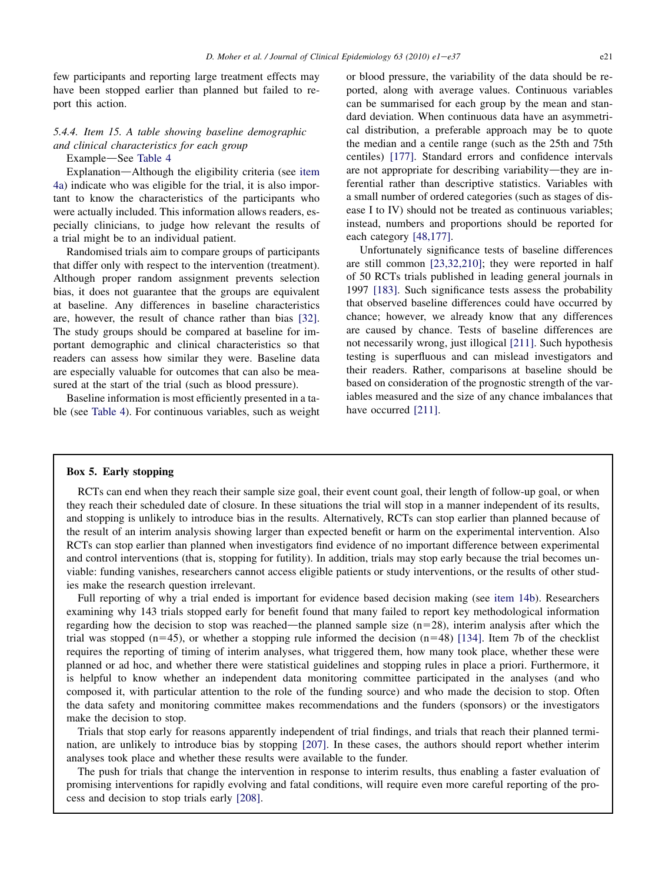few participants and reporting large treatment effects may have been stopped earlier than planned but failed to report this action.

### 5.4.4. Item 15. A table showing baseline demographic and clinical characteristics for each group

Example-See [Table 4](#page-21-0)

Explanation-Although the eligibility criteria (see item 4a) indicate who was eligible for the trial, it is also important to know the characteristics of the participants who were actually included. This information allows readers, especially clinicians, to judge how relevant the results of a trial might be to an individual patient.

Randomised trials aim to compare groups of participants that differ only with respect to the intervention (treatment). Although proper random assignment prevents selection bias, it does not guarantee that the groups are equivalent at baseline. Any differences in baseline characteristics are, however, the result of chance rather than bias [\[32\]](#page-30-0). The study groups should be compared at baseline for important demographic and clinical characteristics so that readers can assess how similar they were. Baseline data are especially valuable for outcomes that can also be measured at the start of the trial (such as blood pressure).

Baseline information is most efficiently presented in a table (see [Table 4\)](#page-21-0). For continuous variables, such as weight or blood pressure, the variability of the data should be reported, along with average values. Continuous variables can be summarised for each group by the mean and standard deviation. When continuous data have an asymmetrical distribution, a preferable approach may be to quote the median and a centile range (such as the 25th and 75th centiles) [\[177\]](#page-33-0). Standard errors and confidence intervals are not appropriate for describing variability—they are inferential rather than descriptive statistics. Variables with a small number of ordered categories (such as stages of disease I to IV) should not be treated as continuous variables; instead, numbers and proportions should be reported for each category [\[48,177\]](#page-30-0).

Unfortunately significance tests of baseline differences are still common [\[23,32,210\];](#page-30-0) they were reported in half of 50 RCTs trials published in leading general journals in 1997 [\[183\].](#page-33-0) Such significance tests assess the probability that observed baseline differences could have occurred by chance; however, we already know that any differences are caused by chance. Tests of baseline differences are not necessarily wrong, just illogical [\[211\]](#page-34-0). Such hypothesis testing is superfluous and can mislead investigators and their readers. Rather, comparisons at baseline should be based on consideration of the prognostic strength of the variables measured and the size of any chance imbalances that have occurred [\[211\].](#page-34-0)

#### Box 5. Early stopping

RCTs can end when they reach their sample size goal, their event count goal, their length of follow-up goal, or when they reach their scheduled date of closure. In these situations the trial will stop in a manner independent of its results, and stopping is unlikely to introduce bias in the results. Alternatively, RCTs can stop earlier than planned because of the result of an interim analysis showing larger than expected benefit or harm on the experimental intervention. Also RCTs can stop earlier than planned when investigators find evidence of no important difference between experimental and control interventions (that is, stopping for futility). In addition, trials may stop early because the trial becomes unviable: funding vanishes, researchers cannot access eligible patients or study interventions, or the results of other studies make the research question irrelevant.

Full reporting of why a trial ended is important for evidence based decision making (see item 14b). Researchers examining why 143 trials stopped early for benefit found that many failed to report key methodological information regarding how the decision to stop was reached—the planned sample size  $(n=28)$ , interim analysis after which the trial was stopped (n=45), or whether a stopping rule informed the decision (n=48) [\[134\]](#page-32-0). Item 7b of the checklist requires the reporting of timing of interim analyses, what triggered them, how many took place, whether these were planned or ad hoc, and whether there were statistical guidelines and stopping rules in place a priori. Furthermore, it is helpful to know whether an independent data monitoring committee participated in the analyses (and who composed it, with particular attention to the role of the funding source) and who made the decision to stop. Often the data safety and monitoring committee makes recommendations and the funders (sponsors) or the investigators make the decision to stop.

Trials that stop early for reasons apparently independent of trial findings, and trials that reach their planned termination, are unlikely to introduce bias by stopping [\[207\].](#page-34-0) In these cases, the authors should report whether interim analyses took place and whether these results were available to the funder.

The push for trials that change the intervention in response to interim results, thus enabling a faster evaluation of promising interventions for rapidly evolving and fatal conditions, will require even more careful reporting of the process and decision to stop trials early [\[208\].](#page-34-0)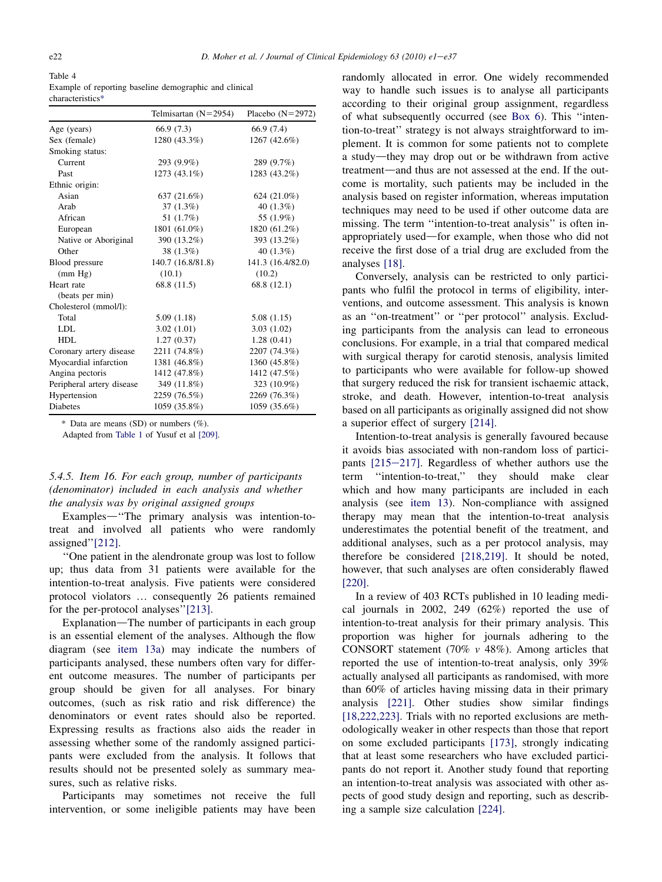<span id="page-21-0"></span>Table 4

Example of reporting baseline demographic and clinical characteristics\*

|                           | Telmisartan $(N=2954)$ | Placebo $(N=2972)$ |
|---------------------------|------------------------|--------------------|
| Age (years)               | 66.9(7.3)              | 66.9(7.4)          |
| Sex (female)              | 1280 (43.3%)           | 1267 (42.6%)       |
| Smoking status:           |                        |                    |
| Current                   | 293 (9.9%)             | 289 (9.7%)         |
| Past                      | 1273 (43.1%)           | 1283 (43.2%)       |
| Ethnic origin:            |                        |                    |
| Asian                     | 637 (21.6%)            | 624 (21.0%)        |
| Arab                      | $37(1.3\%)$            | 40 (1.3%)          |
| African                   | 51 (1.7%)              | 55 (1.9%)          |
| European                  | 1801 (61.0%)           | 1820 (61.2%)       |
| Native or Aboriginal      | 390 (13.2%)            | 393 (13.2%)        |
| Other                     | 38 (1.3%)              | 40 (1.3%)          |
| Blood pressure            | 140.7 (16.8/81.8)      | 141.3 (16.4/82.0)  |
| (mm Hg)                   | (10.1)                 | (10.2)             |
| Heart rate                | 68.8 (11.5)            | 68.8 (12.1)        |
| (beats per min)           |                        |                    |
| Cholesterol (mmol/l):     |                        |                    |
| Total                     | 5.09 (1.18)            | 5.08(1.15)         |
| LDL                       | 3.02(1.01)             | 3.03(1.02)         |
| HDL                       | 1.27(0.37)             | 1.28(0.41)         |
| Coronary artery disease   | 2211 (74.8%)           | 2207 (74.3%)       |
| Myocardial infarction     | 1381 (46.8%)           | 1360 (45.8%)       |
| Angina pectoris           | 1412 (47.8%)           | 1412 (47.5%)       |
| Peripheral artery disease | 349 (11.8%)            | 323 (10.9%)        |
| Hypertension              | 2259 (76.5%)           | 2269 (76.3%)       |
| <b>Diabetes</b>           | 1059 (35.8%)           | 1059 (35.6%)       |

\* Data are means (SD) or numbers (%).

Adapted from [Table 1](#page-3-0) of Yusuf et al [\[209\]](#page-34-0).

### 5.4.5. Item 16. For each group, number of participants (denominator) included in each analysis and whether the analysis was by original assigned groups

Examples—"The primary analysis was intention-totreat and involved all patients who were randomly assigned'['\[212\]](#page-34-0).

''One patient in the alendronate group was lost to follow up; thus data from 31 patients were available for the intention-to-treat analysis. Five patients were considered protocol violators ... consequently 26 patients remained for the per-protocol analyses'['\[213\].](#page-34-0)

Explanation—The number of participants in each group is an essential element of the analyses. Although the flow diagram (see item 13a) may indicate the numbers of participants analysed, these numbers often vary for different outcome measures. The number of participants per group should be given for all analyses. For binary outcomes, (such as risk ratio and risk difference) the denominators or event rates should also be reported. Expressing results as fractions also aids the reader in assessing whether some of the randomly assigned participants were excluded from the analysis. It follows that results should not be presented solely as summary measures, such as relative risks.

Participants may sometimes not receive the full intervention, or some ineligible patients may have been

randomly allocated in error. One widely recommended way to handle such issues is to analyse all participants according to their original group assignment, regardless of what subsequently occurred (see Box 6). This ''intention-to-treat'' strategy is not always straightforward to implement. It is common for some patients not to complete a study—they may drop out or be withdrawn from active treatment—and thus are not assessed at the end. If the outcome is mortality, such patients may be included in the analysis based on register information, whereas imputation techniques may need to be used if other outcome data are missing. The term ''intention-to-treat analysis'' is often inappropriately used—for example, when those who did not receive the first dose of a trial drug are excluded from the analyses [\[18\].](#page-29-0)

Conversely, analysis can be restricted to only participants who fulfil the protocol in terms of eligibility, interventions, and outcome assessment. This analysis is known as an ''on-treatment'' or ''per protocol'' analysis. Excluding participants from the analysis can lead to erroneous conclusions. For example, in a trial that compared medical with surgical therapy for carotid stenosis, analysis limited to participants who were available for follow-up showed that surgery reduced the risk for transient ischaemic attack, stroke, and death. However, intention-to-treat analysis based on all participants as originally assigned did not show a superior effect of surgery [\[214\]](#page-34-0).

Intention-to-treat analysis is generally favoured because it avoids bias associated with non-random loss of participants  $[215-217]$ . Regardless of whether authors use the term ''intention-to-treat,'' they should make clear which and how many participants are included in each analysis (see item 13). Non-compliance with assigned therapy may mean that the intention-to-treat analysis underestimates the potential benefit of the treatment, and additional analyses, such as a per protocol analysis, may therefore be considered [\[218,219\]](#page-34-0). It should be noted, however, that such analyses are often considerably flawed [\[220\].](#page-34-0)

In a review of 403 RCTs published in 10 leading medical journals in 2002, 249 (62%) reported the use of intention-to-treat analysis for their primary analysis. This proportion was higher for journals adhering to the CONSORT statement (70%  $v$  48%). Among articles that reported the use of intention-to-treat analysis, only 39% actually analysed all participants as randomised, with more than 60% of articles having missing data in their primary analysis [\[221\].](#page-34-0) Other studies show similar findings [\[18,222,223\].](#page-29-0) Trials with no reported exclusions are methodologically weaker in other respects than those that report on some excluded participants [\[173\]](#page-33-0), strongly indicating that at least some researchers who have excluded participants do not report it. Another study found that reporting an intention-to-treat analysis was associated with other aspects of good study design and reporting, such as describing a sample size calculation [\[224\].](#page-34-0)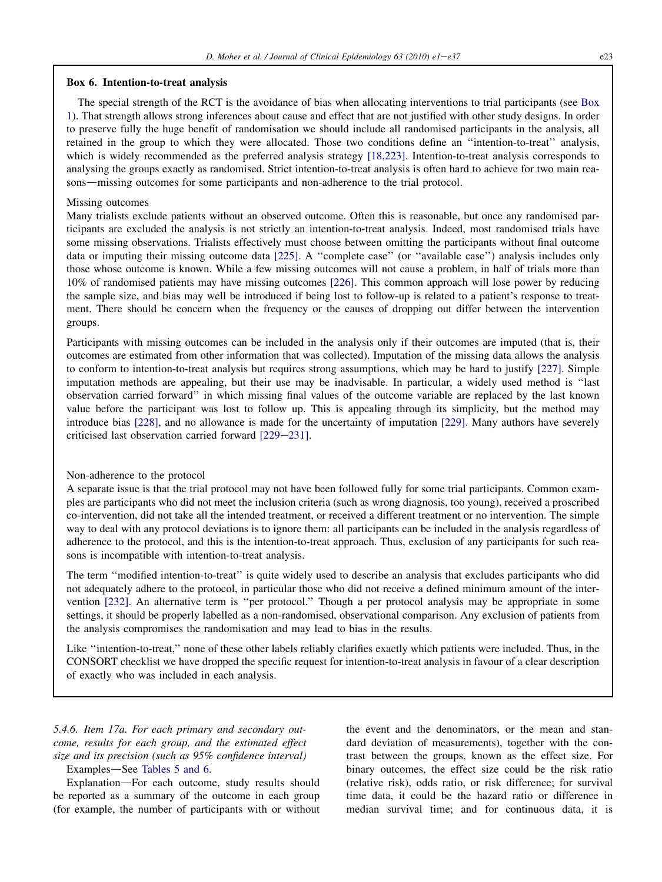#### Box 6. Intention-to-treat analysis

The special strength of the RCT is the avoidance of bias when allocating interventions to trial participants (see Box 1). That strength allows strong inferences about cause and effect that are not justified with other study designs. In order to preserve fully the huge benefit of randomisation we should include all randomised participants in the analysis, all retained in the group to which they were allocated. Those two conditions define an ''intention-to-treat'' analysis, which is widely recommended as the preferred analysis strategy [\[18,223\].](#page-29-0) Intention-to-treat analysis corresponds to analysing the groups exactly as randomised. Strict intention-to-treat analysis is often hard to achieve for two main reasons—missing outcomes for some participants and non-adherence to the trial protocol.

#### Missing outcomes

Many trialists exclude patients without an observed outcome. Often this is reasonable, but once any randomised participants are excluded the analysis is not strictly an intention-to-treat analysis. Indeed, most randomised trials have some missing observations. Trialists effectively must choose between omitting the participants without final outcome data or imputing their missing outcome data [\[225\].](#page-34-0) A ''complete case'' (or ''available case'') analysis includes only those whose outcome is known. While a few missing outcomes will not cause a problem, in half of trials more than 10% of randomised patients may have missing outcomes [\[226\].](#page-34-0) This common approach will lose power by reducing the sample size, and bias may well be introduced if being lost to follow-up is related to a patient's response to treatment. There should be concern when the frequency or the causes of dropping out differ between the intervention groups.

Participants with missing outcomes can be included in the analysis only if their outcomes are imputed (that is, their outcomes are estimated from other information that was collected). Imputation of the missing data allows the analysis to conform to intention-to-treat analysis but requires strong assumptions, which may be hard to justify [\[227\].](#page-34-0) Simple imputation methods are appealing, but their use may be inadvisable. In particular, a widely used method is ''last observation carried forward'' in which missing final values of the outcome variable are replaced by the last known value before the participant was lost to follow up. This is appealing through its simplicity, but the method may introduce bias [\[228\]](#page-34-0), and no allowance is made for the uncertainty of imputation [\[229\].](#page-34-0) Many authors have severely criticised last observation carried forward  $[229-231]$  $[229-231]$  $[229-231]$ .

#### Non-adherence to the protocol

A separate issue is that the trial protocol may not have been followed fully for some trial participants. Common examples are participants who did not meet the inclusion criteria (such as wrong diagnosis, too young), received a proscribed co-intervention, did not take all the intended treatment, or received a different treatment or no intervention. The simple way to deal with any protocol deviations is to ignore them: all participants can be included in the analysis regardless of adherence to the protocol, and this is the intention-to-treat approach. Thus, exclusion of any participants for such reasons is incompatible with intention-to-treat analysis.

The term ''modified intention-to-treat'' is quite widely used to describe an analysis that excludes participants who did not adequately adhere to the protocol, in particular those who did not receive a defined minimum amount of the intervention [\[232\]](#page-34-0). An alternative term is ''per protocol.'' Though a per protocol analysis may be appropriate in some settings, it should be properly labelled as a non-randomised, observational comparison. Any exclusion of patients from the analysis compromises the randomisation and may lead to bias in the results.

Like ''intention-to-treat,'' none of these other labels reliably clarifies exactly which patients were included. Thus, in the CONSORT checklist we have dropped the specific request for intention-to-treat analysis in favour of a clear description of exactly who was included in each analysis.

5.4.6. Item 17a. For each primary and secondary outcome, results for each group, and the estimated effect size and its precision (such as 95% confidence interval)

Examples—See [Tables 5 and 6](#page-23-0).

Explanation-For each outcome, study results should be reported as a summary of the outcome in each group (for example, the number of participants with or without the event and the denominators, or the mean and standard deviation of measurements), together with the contrast between the groups, known as the effect size. For binary outcomes, the effect size could be the risk ratio (relative risk), odds ratio, or risk difference; for survival time data, it could be the hazard ratio or difference in median survival time; and for continuous data, it is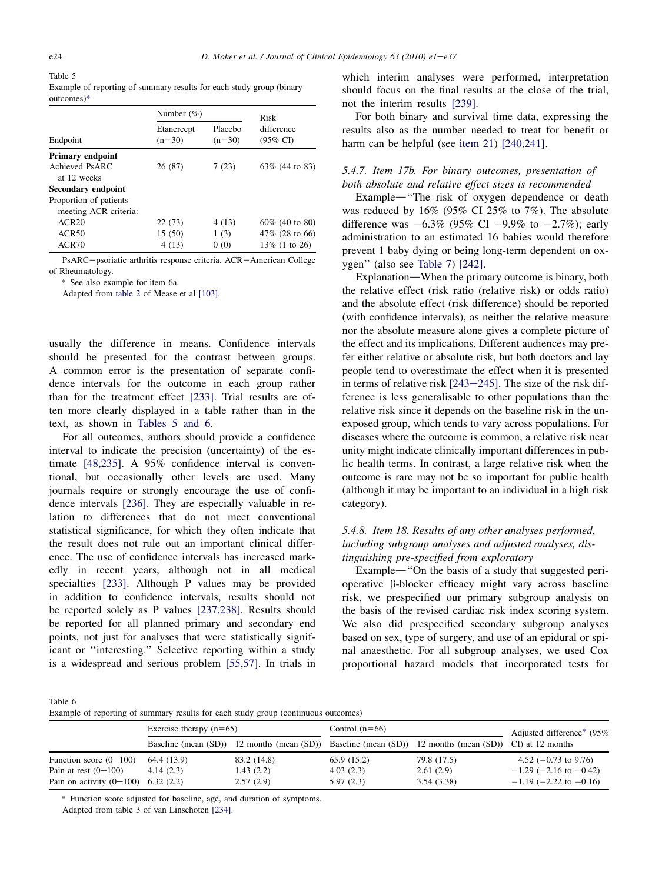#### <span id="page-23-0"></span>Table 5

Example of reporting of summary results for each study group (binary outcomes)\*

|                         | Number $(\%)$          |                     | Risk                              |
|-------------------------|------------------------|---------------------|-----------------------------------|
| Endpoint                | Etanercept<br>$(n=30)$ | Placebo<br>$(n=30)$ | difference<br>$(95\% \text{ CI})$ |
| <b>Primary endpoint</b> |                        |                     |                                   |
| Achieved PsARC          | 26 (87)                | 7(23)               | $63\%$ (44 to 83)                 |
| at 12 weeks             |                        |                     |                                   |
| Secondary endpoint      |                        |                     |                                   |
| Proportion of patients  |                        |                     |                                   |
| meeting ACR criteria:   |                        |                     |                                   |
| ACR20                   | 22 (73)                | 4 (13)              | $60\%$ (40 to 80)                 |
| ACR50                   | 15(50)                 | 1(3)                | 47\% (28 to 66)                   |
| ACR70                   | 4(13)                  | 0(0)                | 13\% (1 to 26)                    |

PsARC=psoriatic arthritis response criteria. ACR=American College of Rheumatology.

\* See also example for item 6a.

Adapted from [table 2](#page-6-0) of Mease et al [\[103\].](#page-31-0)

usually the difference in means. Confidence intervals should be presented for the contrast between groups. A common error is the presentation of separate confidence intervals for the outcome in each group rather than for the treatment effect [\[233\].](#page-34-0) Trial results are often more clearly displayed in a table rather than in the text, as shown in Tables 5 and 6.

For all outcomes, authors should provide a confidence interval to indicate the precision (uncertainty) of the estimate [\[48,235\]](#page-30-0). A 95% confidence interval is conventional, but occasionally other levels are used. Many journals require or strongly encourage the use of confidence intervals [\[236\]](#page-34-0). They are especially valuable in relation to differences that do not meet conventional statistical significance, for which they often indicate that the result does not rule out an important clinical difference. The use of confidence intervals has increased markedly in recent years, although not in all medical specialties [\[233\].](#page-34-0) Although P values may be provided in addition to confidence intervals, results should not be reported solely as P values [\[237,238\].](#page-34-0) Results should be reported for all planned primary and secondary end points, not just for analyses that were statistically significant or ''interesting.'' Selective reporting within a study is a widespread and serious problem [\[55,57\].](#page-30-0) In trials in

which interim analyses were performed, interpretation should focus on the final results at the close of the trial, not the interim results [\[239\].](#page-34-0)

For both binary and survival time data, expressing the results also as the number needed to treat for benefit or harm can be helpful (see item 21) [\[240,241\]](#page-34-0).

### 5.4.7. Item 17b. For binary outcomes, presentation of both absolute and relative effect sizes is recommended

Example—"The risk of oxygen dependence or death was reduced by 16% (95% CI 25% to 7%). The absolute difference was  $-6.3\%$  (95% CI  $-9.9\%$  to  $-2.7\%$ ); early administration to an estimated 16 babies would therefore prevent 1 baby dying or being long-term dependent on oxygen'' (also see [Table 7](#page-25-0)) [\[242\]](#page-34-0).

Explanation—When the primary outcome is binary, both the relative effect (risk ratio (relative risk) or odds ratio) and the absolute effect (risk difference) should be reported (with confidence intervals), as neither the relative measure nor the absolute measure alone gives a complete picture of the effect and its implications. Different audiences may prefer either relative or absolute risk, but both doctors and lay people tend to overestimate the effect when it is presented in terms of relative risk  $[243-245]$  $[243-245]$ . The size of the risk difference is less generalisable to other populations than the relative risk since it depends on the baseline risk in the unexposed group, which tends to vary across populations. For diseases where the outcome is common, a relative risk near unity might indicate clinically important differences in public health terms. In contrast, a large relative risk when the outcome is rare may not be so important for public health (although it may be important to an individual in a high risk category).

# 5.4.8. Item 18. Results of any other analyses performed, including subgroup analyses and adjusted analyses, distinguishing pre-specified from exploratory

Example—"On the basis of a study that suggested perioperative  $\beta$ -blocker efficacy might vary across baseline risk, we prespecified our primary subgroup analysis on the basis of the revised cardiac risk index scoring system. We also did prespecified secondary subgroup analyses based on sex, type of surgery, and use of an epidural or spinal anaesthetic. For all subgroup analyses, we used Cox proportional hazard models that incorporated tests for

Table 6

Example of reporting of summary results for each study group (continuous outcomes)

|                            | Exercise therapy $(n=65)$ |             | Control $(n=66)$ |                                                                                                        | Adjusted difference* (95%       |
|----------------------------|---------------------------|-------------|------------------|--------------------------------------------------------------------------------------------------------|---------------------------------|
|                            |                           |             |                  | Baseline (mean (SD)) 12 months (mean (SD)) Baseline (mean (SD)) 12 months (mean (SD)) CI) at 12 months |                                 |
| Function score $(0-100)$   | 64.4 (13.9)               | 83.2 (14.8) | 65.9 (15.2)      | 79.8 (17.5)                                                                                            | 4.52 $(-0.73 \text{ to } 9.76)$ |
| Pain at rest $(0-100)$     | 4.14(2.3)                 | 1.43(2.2)   | 4.03(2.3)        | 2.61(2.9)                                                                                              | $-1.29$ (-2.16 to -0.42)        |
| Pain on activity $(0-100)$ | 6.32(2.2)                 | 2.57(2.9)   | 5.97(2.3)        | 3.54(3.38)                                                                                             | $-1.19$ (-2.22 to -0.16)        |

\* Function score adjusted for baseline, age, and duration of symptoms.

Adapted from table 3 of van Linschoten [\[234\]](#page-34-0).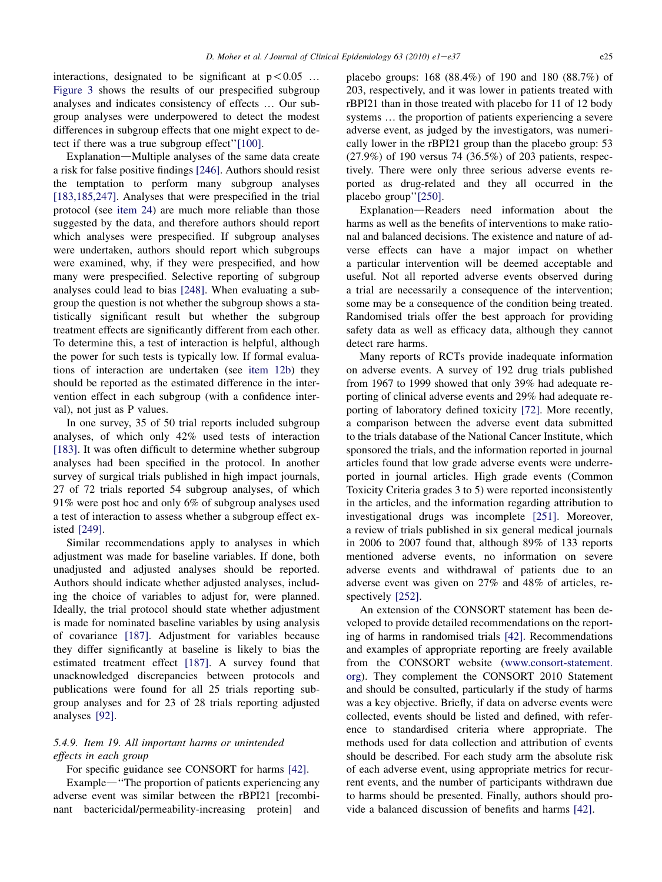interactions, designated to be significant at  $p < 0.05$  ... [Figure 3](#page-18-0) shows the results of our prespecified subgroup analyses and indicates consistency of effects ... Our subgroup analyses were underpowered to detect the modest differences in subgroup effects that one might expect to detect if there was a true subgroup effect''[\[100\].](#page-31-0)

Explanation-Multiple analyses of the same data create a risk for false positive findings [\[246\]](#page-35-0). Authors should resist the temptation to perform many subgroup analyses [\[183,185,247\]](#page-33-0). Analyses that were prespecified in the trial protocol (see item 24) are much more reliable than those suggested by the data, and therefore authors should report which analyses were prespecified. If subgroup analyses were undertaken, authors should report which subgroups were examined, why, if they were prespecified, and how many were prespecified. Selective reporting of subgroup analyses could lead to bias [\[248\].](#page-35-0) When evaluating a subgroup the question is not whether the subgroup shows a statistically significant result but whether the subgroup treatment effects are significantly different from each other. To determine this, a test of interaction is helpful, although the power for such tests is typically low. If formal evaluations of interaction are undertaken (see item 12b) they should be reported as the estimated difference in the intervention effect in each subgroup (with a confidence interval), not just as P values.

In one survey, 35 of 50 trial reports included subgroup analyses, of which only 42% used tests of interaction [\[183\]](#page-33-0). It was often difficult to determine whether subgroup analyses had been specified in the protocol. In another survey of surgical trials published in high impact journals, 27 of 72 trials reported 54 subgroup analyses, of which 91% were post hoc and only 6% of subgroup analyses used a test of interaction to assess whether a subgroup effect existed [\[249\].](#page-35-0)

Similar recommendations apply to analyses in which adjustment was made for baseline variables. If done, both unadjusted and adjusted analyses should be reported. Authors should indicate whether adjusted analyses, including the choice of variables to adjust for, were planned. Ideally, the trial protocol should state whether adjustment is made for nominated baseline variables by using analysis of covariance [\[187\]](#page-33-0). Adjustment for variables because they differ significantly at baseline is likely to bias the estimated treatment effect [\[187\]](#page-33-0). A survey found that unacknowledged discrepancies between protocols and publications were found for all 25 trials reporting subgroup analyses and for 23 of 28 trials reporting adjusted analyses [\[92\]](#page-31-0).

#### 5.4.9. Item 19. All important harms or unintended effects in each group

For specific guidance see CONSORT for harms [\[42\].](#page-30-0)

Example—"The proportion of patients experiencing any adverse event was similar between the rBPI21 [recombinant bactericidal/permeability-increasing protein] and placebo groups: 168 (88.4%) of 190 and 180 (88.7%) of 203, respectively, and it was lower in patients treated with rBPI21 than in those treated with placebo for 11 of 12 body systems ... the proportion of patients experiencing a severe adverse event, as judged by the investigators, was numerically lower in the rBPI21 group than the placebo group: 53 (27.9%) of 190 versus 74 (36.5%) of 203 patients, respectively. There were only three serious adverse events reported as drug-related and they all occurred in the placebo group''[\[250\]](#page-35-0).

Explanation-Readers need information about the harms as well as the benefits of interventions to make rational and balanced decisions. The existence and nature of adverse effects can have a major impact on whether a particular intervention will be deemed acceptable and useful. Not all reported adverse events observed during a trial are necessarily a consequence of the intervention; some may be a consequence of the condition being treated. Randomised trials offer the best approach for providing safety data as well as efficacy data, although they cannot detect rare harms.

Many reports of RCTs provide inadequate information on adverse events. A survey of 192 drug trials published from 1967 to 1999 showed that only 39% had adequate reporting of clinical adverse events and 29% had adequate reporting of laboratory defined toxicity [\[72\]](#page-31-0). More recently, a comparison between the adverse event data submitted to the trials database of the National Cancer Institute, which sponsored the trials, and the information reported in journal articles found that low grade adverse events were underreported in journal articles. High grade events (Common Toxicity Criteria grades 3 to 5) were reported inconsistently in the articles, and the information regarding attribution to investigational drugs was incomplete [\[251\].](#page-35-0) Moreover, a review of trials published in six general medical journals in 2006 to 2007 found that, although 89% of 133 reports mentioned adverse events, no information on severe adverse events and withdrawal of patients due to an adverse event was given on 27% and 48% of articles, re-spectively [\[252\]](#page-35-0).

An extension of the CONSORT statement has been developed to provide detailed recommendations on the reporting of harms in randomised trials [\[42\]](#page-30-0). Recommendations and examples of appropriate reporting are freely available from the CONSORT website ([www.consort-statement.](http://www.consort-statement.org) [org](http://www.consort-statement.org)). They complement the CONSORT 2010 Statement and should be consulted, particularly if the study of harms was a key objective. Briefly, if data on adverse events were collected, events should be listed and defined, with reference to standardised criteria where appropriate. The methods used for data collection and attribution of events should be described. For each study arm the absolute risk of each adverse event, using appropriate metrics for recurrent events, and the number of participants withdrawn due to harms should be presented. Finally, authors should provide a balanced discussion of benefits and harms [\[42\]](#page-30-0).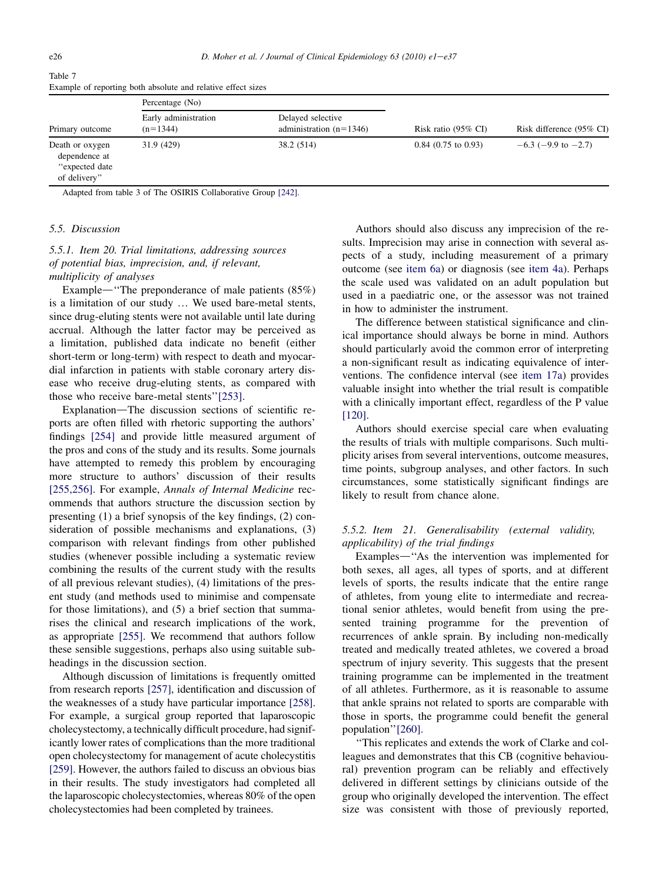<span id="page-25-0"></span>

| Table 7                                                      |
|--------------------------------------------------------------|
| Example of reporting both absolute and relative effect sizes |

| Primary outcome                                                     | Percentage (No)                    |                                                | Risk ratio $(95\% \text{ CI})$ | Risk difference (95% CI) |
|---------------------------------------------------------------------|------------------------------------|------------------------------------------------|--------------------------------|--------------------------|
|                                                                     | Early administration<br>$(n=1344)$ | Delayed selective<br>administration $(n=1346)$ |                                |                          |
| Death or oxygen<br>dependence at<br>"expected date"<br>of delivery" | 31.9 (429)                         | 38.2 (514)                                     | $0.84$ (0.75 to 0.93)          | $-6.3$ (-9.9 to -2.7)    |

Adapted from table 3 of The OSIRIS Collaborative Group [\[242\].](#page-34-0)

#### 5.5. Discussion

### 5.5.1. Item 20. Trial limitations, addressing sources of potential bias, imprecision, and, if relevant, multiplicity of analyses

Example—"The preponderance of male patients  $(85%)$ is a limitation of our study ... We used bare-metal stents, since drug-eluting stents were not available until late during accrual. Although the latter factor may be perceived as a limitation, published data indicate no benefit (either short-term or long-term) with respect to death and myocardial infarction in patients with stable coronary artery disease who receive drug-eluting stents, as compared with those who receive bare-metal stents''[\[253\]](#page-35-0).

Explanation-The discussion sections of scientific reports are often filled with rhetoric supporting the authors' findings [\[254\]](#page-35-0) and provide little measured argument of the pros and cons of the study and its results. Some journals have attempted to remedy this problem by encouraging more structure to authors' discussion of their results [\[255,256\]](#page-35-0). For example, Annals of Internal Medicine recommends that authors structure the discussion section by presenting (1) a brief synopsis of the key findings, (2) consideration of possible mechanisms and explanations, (3) comparison with relevant findings from other published studies (whenever possible including a systematic review combining the results of the current study with the results of all previous relevant studies), (4) limitations of the present study (and methods used to minimise and compensate for those limitations), and (5) a brief section that summarises the clinical and research implications of the work, as appropriate [\[255\]](#page-35-0). We recommend that authors follow these sensible suggestions, perhaps also using suitable subheadings in the discussion section.

Although discussion of limitations is frequently omitted from research reports [\[257\],](#page-35-0) identification and discussion of the weaknesses of a study have particular importance [\[258\].](#page-35-0) For example, a surgical group reported that laparoscopic cholecystectomy, a technically difficult procedure, had significantly lower rates of complications than the more traditional open cholecystectomy for management of acute cholecystitis [\[259\]](#page-35-0). However, the authors failed to discuss an obvious bias in their results. The study investigators had completed all the laparoscopic cholecystectomies, whereas 80% of the open cholecystectomies had been completed by trainees.

Authors should also discuss any imprecision of the results. Imprecision may arise in connection with several aspects of a study, including measurement of a primary outcome (see item 6a) or diagnosis (see item 4a). Perhaps the scale used was validated on an adult population but used in a paediatric one, or the assessor was not trained in how to administer the instrument.

The difference between statistical significance and clinical importance should always be borne in mind. Authors should particularly avoid the common error of interpreting a non-significant result as indicating equivalence of interventions. The confidence interval (see item 17a) provides valuable insight into whether the trial result is compatible with a clinically important effect, regardless of the P value [\[120\].](#page-32-0)

Authors should exercise special care when evaluating the results of trials with multiple comparisons. Such multiplicity arises from several interventions, outcome measures, time points, subgroup analyses, and other factors. In such circumstances, some statistically significant findings are likely to result from chance alone.

#### 5.5.2. Item 21. Generalisability (external validity, applicability) of the trial findings

Examples—"As the intervention was implemented for both sexes, all ages, all types of sports, and at different levels of sports, the results indicate that the entire range of athletes, from young elite to intermediate and recreational senior athletes, would benefit from using the presented training programme for the prevention of recurrences of ankle sprain. By including non-medically treated and medically treated athletes, we covered a broad spectrum of injury severity. This suggests that the present training programme can be implemented in the treatment of all athletes. Furthermore, as it is reasonable to assume that ankle sprains not related to sports are comparable with those in sports, the programme could benefit the general population''[\[260\].](#page-35-0)

''This replicates and extends the work of Clarke and colleagues and demonstrates that this CB (cognitive behavioural) prevention program can be reliably and effectively delivered in different settings by clinicians outside of the group who originally developed the intervention. The effect size was consistent with those of previously reported,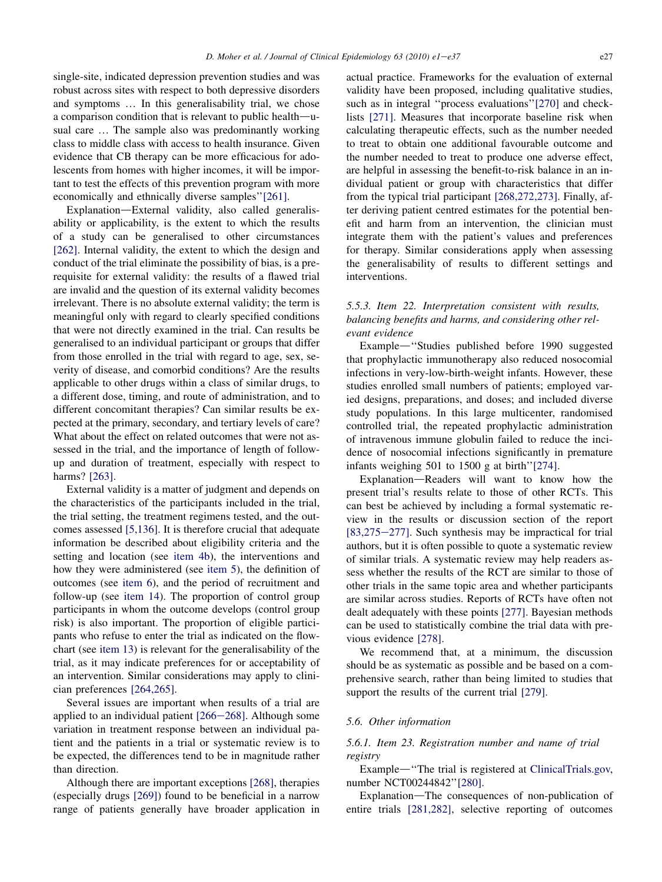single-site, indicated depression prevention studies and was robust across sites with respect to both depressive disorders and symptoms ... In this generalisability trial, we chose a comparison condition that is relevant to public health— $u$ sual care ... The sample also was predominantly working class to middle class with access to health insurance. Given evidence that CB therapy can be more efficacious for adolescents from homes with higher incomes, it will be important to test the effects of this prevention program with more economically and ethnically diverse samples''[\[261\].](#page-35-0)

Explanation—External validity, also called generalisability or applicability, is the extent to which the results of a study can be generalised to other circumstances [\[262\]](#page-35-0). Internal validity, the extent to which the design and conduct of the trial eliminate the possibility of bias, is a prerequisite for external validity: the results of a flawed trial are invalid and the question of its external validity becomes irrelevant. There is no absolute external validity; the term is meaningful only with regard to clearly specified conditions that were not directly examined in the trial. Can results be generalised to an individual participant or groups that differ from those enrolled in the trial with regard to age, sex, severity of disease, and comorbid conditions? Are the results applicable to other drugs within a class of similar drugs, to a different dose, timing, and route of administration, and to different concomitant therapies? Can similar results be expected at the primary, secondary, and tertiary levels of care? What about the effect on related outcomes that were not assessed in the trial, and the importance of length of followup and duration of treatment, especially with respect to harms? [\[263\].](#page-35-0)

External validity is a matter of judgment and depends on the characteristics of the participants included in the trial, the trial setting, the treatment regimens tested, and the outcomes assessed [\[5,136\].](#page-29-0) It is therefore crucial that adequate information be described about eligibility criteria and the setting and location (see item 4b), the interventions and how they were administered (see item 5), the definition of outcomes (see item 6), and the period of recruitment and follow-up (see item 14). The proportion of control group participants in whom the outcome develops (control group risk) is also important. The proportion of eligible participants who refuse to enter the trial as indicated on the flowchart (see item 13) is relevant for the generalisability of the trial, as it may indicate preferences for or acceptability of an intervention. Similar considerations may apply to clinician preferences [\[264,265\]](#page-35-0).

Several issues are important when results of a trial are applied to an individual patient  $[266-268]$  $[266-268]$ . Although some variation in treatment response between an individual patient and the patients in a trial or systematic review is to be expected, the differences tend to be in magnitude rather than direction.

Although there are important exceptions [\[268\],](#page-35-0) therapies (especially drugs [\[269\]](#page-35-0)) found to be beneficial in a narrow range of patients generally have broader application in

actual practice. Frameworks for the evaluation of external validity have been proposed, including qualitative studies, such as in integral ''process evaluations'['\[270\]](#page-35-0) and checklists [\[271\].](#page-35-0) Measures that incorporate baseline risk when calculating therapeutic effects, such as the number needed to treat to obtain one additional favourable outcome and the number needed to treat to produce one adverse effect, are helpful in assessing the benefit-to-risk balance in an individual patient or group with characteristics that differ from the typical trial participant [\[268,272,273\]](#page-35-0). Finally, after deriving patient centred estimates for the potential benefit and harm from an intervention, the clinician must integrate them with the patient's values and preferences for therapy. Similar considerations apply when assessing the generalisability of results to different settings and interventions.

### 5.5.3. Item 22. Interpretation consistent with results, balancing benefits and harms, and considering other relevant evidence

Example—"Studies published before 1990 suggested that prophylactic immunotherapy also reduced nosocomial infections in very-low-birth-weight infants. However, these studies enrolled small numbers of patients; employed varied designs, preparations, and doses; and included diverse study populations. In this large multicenter, randomised controlled trial, the repeated prophylactic administration of intravenous immune globulin failed to reduce the incidence of nosocomial infections significantly in premature infants weighing 501 to 1500 g at birth'['\[274\]](#page-35-0).

Explanation-Readers will want to know how the present trial's results relate to those of other RCTs. This can best be achieved by including a formal systematic review in the results or discussion section of the report  $[83,275-277]$  $[83,275-277]$ . Such synthesis may be impractical for trial authors, but it is often possible to quote a systematic review of similar trials. A systematic review may help readers assess whether the results of the RCT are similar to those of other trials in the same topic area and whether participants are similar across studies. Reports of RCTs have often not dealt adequately with these points [\[277\].](#page-35-0) Bayesian methods can be used to statistically combine the trial data with previous evidence [\[278\]](#page-35-0).

We recommend that, at a minimum, the discussion should be as systematic as possible and be based on a comprehensive search, rather than being limited to studies that support the results of the current trial [\[279\]](#page-35-0).

#### 5.6. Other information

#### 5.6.1. Item 23. Registration number and name of trial registry

Example—"The trial is registered at [ClinicalTrials.gov,](http://ClinicalTrials.gov) number NCT00244842''[\[280\]](#page-35-0).

Explanation—The consequences of non-publication of entire trials [\[281,282\]](#page-35-0), selective reporting of outcomes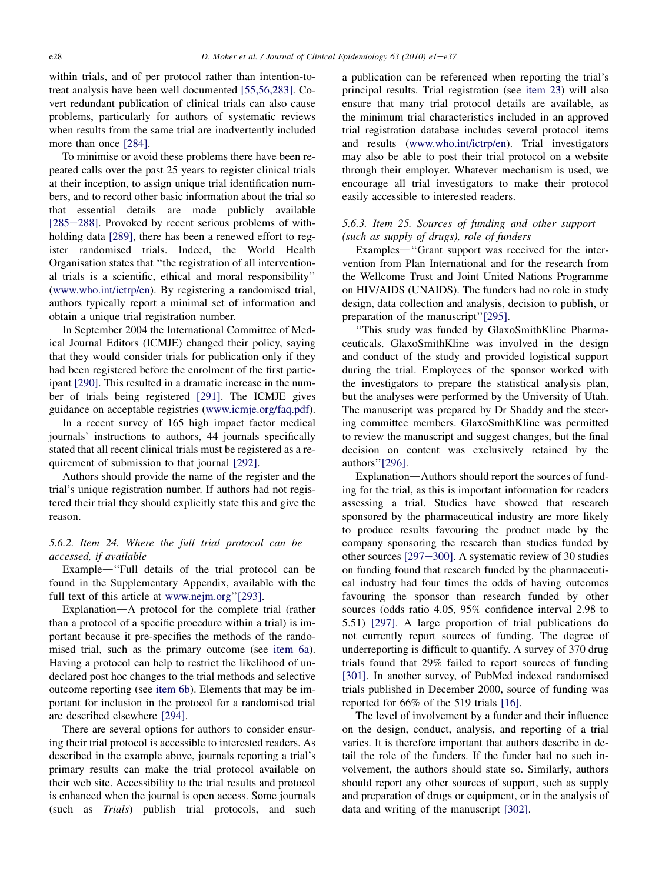within trials, and of per protocol rather than intention-totreat analysis have been well documented [\[55,56,283\].](#page-30-0) Covert redundant publication of clinical trials can also cause problems, particularly for authors of systematic reviews when results from the same trial are inadvertently included more than once [\[284\]](#page-35-0).

To minimise or avoid these problems there have been repeated calls over the past 25 years to register clinical trials at their inception, to assign unique trial identification numbers, and to record other basic information about the trial so that essential details are made publicly available  $[285-288]$  $[285-288]$ . Provoked by recent serious problems of with-holding data [\[289\]](#page-35-0), there has been a renewed effort to register randomised trials. Indeed, the World Health Organisation states that ''the registration of all interventional trials is a scientific, ethical and moral responsibility'' [\(www.who.int/ictrp/en\)](http://www.who.int/ictrp/en). By registering a randomised trial, authors typically report a minimal set of information and obtain a unique trial registration number.

In September 2004 the International Committee of Medical Journal Editors (ICMJE) changed their policy, saying that they would consider trials for publication only if they had been registered before the enrolment of the first participant [\[290\]](#page-35-0). This resulted in a dramatic increase in the number of trials being registered [\[291\].](#page-35-0) The ICMJE gives guidance on acceptable registries ([www.icmje.org/faq.pdf](http://www.icmje.org/faq.pdf)).

In a recent survey of 165 high impact factor medical journals' instructions to authors, 44 journals specifically stated that all recent clinical trials must be registered as a requirement of submission to that journal [\[292\].](#page-35-0)

Authors should provide the name of the register and the trial's unique registration number. If authors had not registered their trial they should explicitly state this and give the reason.

#### 5.6.2. Item 24. Where the full trial protocol can be accessed, if available

Example—"Full details of the trial protocol can be found in the Supplementary Appendix, available with the full text of this article at [www.nejm.org](http://www.nejm.org)'['\[293\].](#page-36-0)

Explanation $-A$  protocol for the complete trial (rather than a protocol of a specific procedure within a trial) is important because it pre-specifies the methods of the randomised trial, such as the primary outcome (see item 6a). Having a protocol can help to restrict the likelihood of undeclared post hoc changes to the trial methods and selective outcome reporting (see item 6b). Elements that may be important for inclusion in the protocol for a randomised trial are described elsewhere [\[294\]](#page-36-0).

There are several options for authors to consider ensuring their trial protocol is accessible to interested readers. As described in the example above, journals reporting a trial's primary results can make the trial protocol available on their web site. Accessibility to the trial results and protocol is enhanced when the journal is open access. Some journals (such as Trials) publish trial protocols, and such

a publication can be referenced when reporting the trial's principal results. Trial registration (see item 23) will also ensure that many trial protocol details are available, as the minimum trial characteristics included in an approved trial registration database includes several protocol items and results [\(www.who.int/ictrp/en](http://www.who.int/ictrp/en)). Trial investigators may also be able to post their trial protocol on a website through their employer. Whatever mechanism is used, we encourage all trial investigators to make their protocol easily accessible to interested readers.

### 5.6.3. Item 25. Sources of funding and other support (such as supply of drugs), role of funders

Examples—"Grant support was received for the intervention from Plan International and for the research from the Wellcome Trust and Joint United Nations Programme on HIV/AIDS (UNAIDS). The funders had no role in study design, data collection and analysis, decision to publish, or preparation of the manuscript''[\[295\]](#page-36-0).

''This study was funded by GlaxoSmithKline Pharmaceuticals. GlaxoSmithKline was involved in the design and conduct of the study and provided logistical support during the trial. Employees of the sponsor worked with the investigators to prepare the statistical analysis plan, but the analyses were performed by the University of Utah. The manuscript was prepared by Dr Shaddy and the steering committee members. GlaxoSmithKline was permitted to review the manuscript and suggest changes, but the final decision on content was exclusively retained by the authors'['\[296\]](#page-36-0).

Explanation-Authors should report the sources of funding for the trial, as this is important information for readers assessing a trial. Studies have showed that research sponsored by the pharmaceutical industry are more likely to produce results favouring the product made by the company sponsoring the research than studies funded by other sources  $[297-300]$ . A systematic review of 30 studies on funding found that research funded by the pharmaceutical industry had four times the odds of having outcomes favouring the sponsor than research funded by other sources (odds ratio 4.05, 95% confidence interval 2.98 to 5.51) [\[297\].](#page-36-0) A large proportion of trial publications do not currently report sources of funding. The degree of underreporting is difficult to quantify. A survey of 370 drug trials found that 29% failed to report sources of funding [\[301\].](#page-36-0) In another survey, of PubMed indexed randomised trials published in December 2000, source of funding was reported for 66% of the 519 trials [\[16\].](#page-29-0)

The level of involvement by a funder and their influence on the design, conduct, analysis, and reporting of a trial varies. It is therefore important that authors describe in detail the role of the funders. If the funder had no such involvement, the authors should state so. Similarly, authors should report any other sources of support, such as supply and preparation of drugs or equipment, or in the analysis of data and writing of the manuscript [\[302\].](#page-36-0)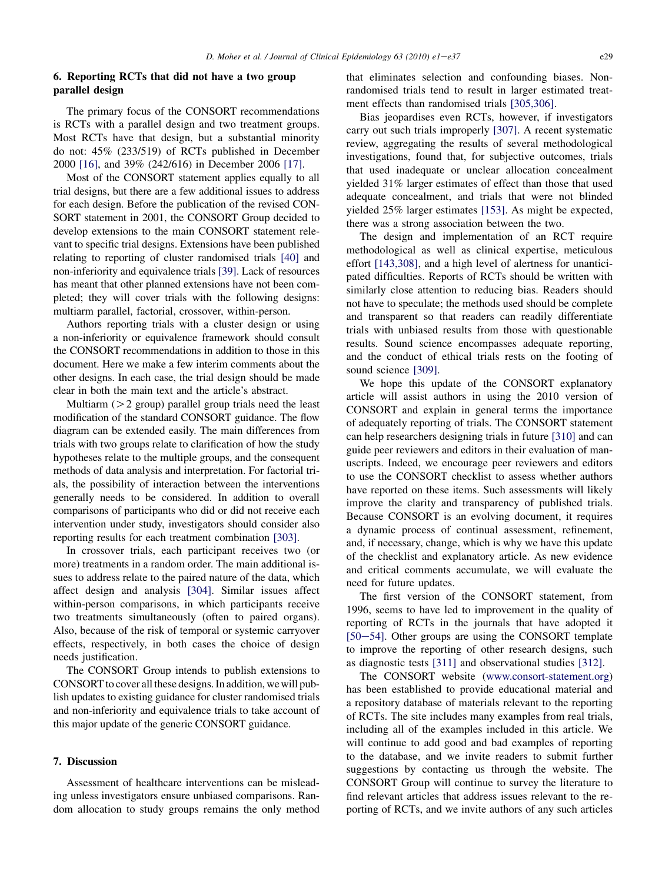#### 6. Reporting RCTs that did not have a two group parallel design

The primary focus of the CONSORT recommendations is RCTs with a parallel design and two treatment groups. Most RCTs have that design, but a substantial minority do not: 45% (233/519) of RCTs published in December 2000 [\[16\],](#page-29-0) and 39% (242/616) in December 2006 [\[17\]](#page-29-0).

Most of the CONSORT statement applies equally to all trial designs, but there are a few additional issues to address for each design. Before the publication of the revised CON-SORT statement in 2001, the CONSORT Group decided to develop extensions to the main CONSORT statement relevant to specific trial designs. Extensions have been published relating to reporting of cluster randomised trials [\[40\]](#page-30-0) and non-inferiority and equivalence trials [\[39\]](#page-30-0). Lack of resources has meant that other planned extensions have not been completed; they will cover trials with the following designs: multiarm parallel, factorial, crossover, within-person.

Authors reporting trials with a cluster design or using a non-inferiority or equivalence framework should consult the CONSORT recommendations in addition to those in this document. Here we make a few interim comments about the other designs. In each case, the trial design should be made clear in both the main text and the article's abstract.

Multiarm  $(2 \text{ group})$  parallel group trials need the least modification of the standard CONSORT guidance. The flow diagram can be extended easily. The main differences from trials with two groups relate to clarification of how the study hypotheses relate to the multiple groups, and the consequent methods of data analysis and interpretation. For factorial trials, the possibility of interaction between the interventions generally needs to be considered. In addition to overall comparisons of participants who did or did not receive each intervention under study, investigators should consider also reporting results for each treatment combination [\[303\]](#page-36-0).

In crossover trials, each participant receives two (or more) treatments in a random order. The main additional issues to address relate to the paired nature of the data, which affect design and analysis [\[304\].](#page-36-0) Similar issues affect within-person comparisons, in which participants receive two treatments simultaneously (often to paired organs). Also, because of the risk of temporal or systemic carryover effects, respectively, in both cases the choice of design needs justification.

The CONSORT Group intends to publish extensions to CONSORT to cover all these designs. In addition, wewill publish updates to existing guidance for cluster randomised trials and non-inferiority and equivalence trials to take account of this major update of the generic CONSORT guidance.

#### 7. Discussion

Assessment of healthcare interventions can be misleading unless investigators ensure unbiased comparisons. Random allocation to study groups remains the only method that eliminates selection and confounding biases. Nonrandomised trials tend to result in larger estimated treatment effects than randomised trials [\[305,306\]](#page-36-0).

Bias jeopardises even RCTs, however, if investigators carry out such trials improperly [\[307\]](#page-36-0). A recent systematic review, aggregating the results of several methodological investigations, found that, for subjective outcomes, trials that used inadequate or unclear allocation concealment yielded 31% larger estimates of effect than those that used adequate concealment, and trials that were not blinded yielded 25% larger estimates [\[153\]](#page-32-0). As might be expected, there was a strong association between the two.

The design and implementation of an RCT require methodological as well as clinical expertise, meticulous effort [\[143,308\]](#page-32-0), and a high level of alertness for unanticipated difficulties. Reports of RCTs should be written with similarly close attention to reducing bias. Readers should not have to speculate; the methods used should be complete and transparent so that readers can readily differentiate trials with unbiased results from those with questionable results. Sound science encompasses adequate reporting, and the conduct of ethical trials rests on the footing of sound science [\[309\]](#page-36-0).

We hope this update of the CONSORT explanatory article will assist authors in using the 2010 version of CONSORT and explain in general terms the importance of adequately reporting of trials. The CONSORT statement can help researchers designing trials in future [\[310\]](#page-36-0) and can guide peer reviewers and editors in their evaluation of manuscripts. Indeed, we encourage peer reviewers and editors to use the CONSORT checklist to assess whether authors have reported on these items. Such assessments will likely improve the clarity and transparency of published trials. Because CONSORT is an evolving document, it requires a dynamic process of continual assessment, refinement, and, if necessary, change, which is why we have this update of the checklist and explanatory article. As new evidence and critical comments accumulate, we will evaluate the need for future updates.

The first version of the CONSORT statement, from 1996, seems to have led to improvement in the quality of reporting of RCTs in the journals that have adopted it  $[50-54]$ . Other groups are using the CONSORT template to improve the reporting of other research designs, such as diagnostic tests [\[311\]](#page-36-0) and observational studies [\[312\].](#page-36-0)

The CONSORT website [\(www.consort-statement.org\)](http://www.consort-statement.org) has been established to provide educational material and a repository database of materials relevant to the reporting of RCTs. The site includes many examples from real trials, including all of the examples included in this article. We will continue to add good and bad examples of reporting to the database, and we invite readers to submit further suggestions by contacting us through the website. The CONSORT Group will continue to survey the literature to find relevant articles that address issues relevant to the reporting of RCTs, and we invite authors of any such articles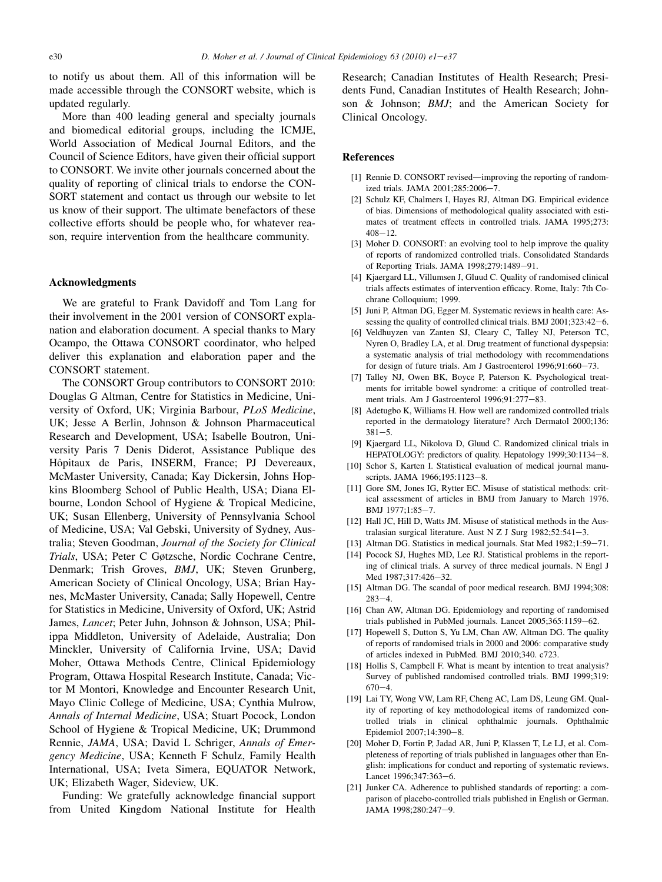<span id="page-29-0"></span>to notify us about them. All of this information will be made accessible through the CONSORT website, which is updated regularly.

More than 400 leading general and specialty journals and biomedical editorial groups, including the ICMJE, World Association of Medical Journal Editors, and the Council of Science Editors, have given their official support to CONSORT. We invite other journals concerned about the quality of reporting of clinical trials to endorse the CON-SORT statement and contact us through our website to let us know of their support. The ultimate benefactors of these collective efforts should be people who, for whatever reason, require intervention from the healthcare community.

#### Acknowledgments

We are grateful to Frank Davidoff and Tom Lang for their involvement in the 2001 version of CONSORT explanation and elaboration document. A special thanks to Mary Ocampo, the Ottawa CONSORT coordinator, who helped deliver this explanation and elaboration paper and the CONSORT statement.

The CONSORT Group contributors to CONSORT 2010: Douglas G Altman, Centre for Statistics in Medicine, University of Oxford, UK; Virginia Barbour, PLoS Medicine, UK; Jesse A Berlin, Johnson & Johnson Pharmaceutical Research and Development, USA; Isabelle Boutron, University Paris 7 Denis Diderot, Assistance Publique des Hôpitaux de Paris, INSERM, France; PJ Devereaux, McMaster University, Canada; Kay Dickersin, Johns Hopkins Bloomberg School of Public Health, USA; Diana Elbourne, London School of Hygiene & Tropical Medicine, UK; Susan Ellenberg, University of Pennsylvania School of Medicine, USA; Val Gebski, University of Sydney, Australia; Steven Goodman, Journal of the Society for Clinical Trials, USA; Peter C Gøtzsche, Nordic Cochrane Centre, Denmark; Trish Groves, BMJ, UK; Steven Grunberg, American Society of Clinical Oncology, USA; Brian Haynes, McMaster University, Canada; Sally Hopewell, Centre for Statistics in Medicine, University of Oxford, UK; Astrid James, Lancet; Peter Juhn, Johnson & Johnson, USA; Philippa Middleton, University of Adelaide, Australia; Don Minckler, University of California Irvine, USA; David Moher, Ottawa Methods Centre, Clinical Epidemiology Program, Ottawa Hospital Research Institute, Canada; Victor M Montori, Knowledge and Encounter Research Unit, Mayo Clinic College of Medicine, USA; Cynthia Mulrow, Annals of Internal Medicine, USA; Stuart Pocock, London School of Hygiene & Tropical Medicine, UK; Drummond Rennie, JAMA, USA; David L Schriger, Annals of Emergency Medicine, USA; Kenneth F Schulz, Family Health International, USA; Iveta Simera, EQUATOR Network, UK; Elizabeth Wager, Sideview, UK.

Funding: We gratefully acknowledge financial support from United Kingdom National Institute for Health Research; Canadian Institutes of Health Research; Presidents Fund, Canadian Institutes of Health Research; Johnson & Johnson; BMJ; and the American Society for Clinical Oncology.

#### References

- [1] Rennie D. CONSORT revised-improving the reporting of randomized trials. JAMA 2001;285:2006-7.
- [2] Schulz KF, Chalmers I, Hayes RJ, Altman DG. Empirical evidence of bias. Dimensions of methodological quality associated with estimates of treatment effects in controlled trials. JAMA 1995;273:  $408 - 12$ .
- [3] Moher D. CONSORT: an evolving tool to help improve the quality of reports of randomized controlled trials. Consolidated Standards of Reporting Trials. JAMA 1998;279:1489-91.
- [4] Kjaergard LL, Villumsen J, Gluud C. Quality of randomised clinical trials affects estimates of intervention efficacy. Rome, Italy: 7th Cochrane Colloquium; 1999.
- [5] Juni P, Altman DG, Egger M. Systematic reviews in health care: Assessing the quality of controlled clinical trials. BMJ 2001;323:42-6.
- [6] Veldhuyzen van Zanten SJ, Cleary C, Talley NJ, Peterson TC, Nyren O, Bradley LA, et al. Drug treatment of functional dyspepsia: a systematic analysis of trial methodology with recommendations for design of future trials. Am J Gastroenterol 1996;91:660-73.
- [7] Talley NJ, Owen BK, Boyce P, Paterson K. Psychological treatments for irritable bowel syndrome: a critique of controlled treatment trials. Am J Gastroenterol 1996;91:277-83.
- [8] Adetugbo K, Williams H. How well are randomized controlled trials reported in the dermatology literature? Arch Dermatol 2000;136:  $381 - 5$ .
- [9] Kjaergard LL, Nikolova D, Gluud C. Randomized clinical trials in HEPATOLOGY: predictors of quality. Hepatology 1999;30:1134-8.
- [10] Schor S, Karten I. Statistical evaluation of medical journal manuscripts. JAMA 1966;195:1123-8.
- [11] Gore SM, Jones IG, Rytter EC. Misuse of statistical methods: critical assessment of articles in BMJ from January to March 1976. BMJ 1977;1:85-7.
- [12] Hall JC, Hill D, Watts JM. Misuse of statistical methods in the Australasian surgical literature. Aust N Z J Surg  $1982;52:541-3$ .
- [13] Altman DG. Statistics in medical journals. Stat Med  $1982;1:59-71$ .
- [14] Pocock SJ, Hughes MD, Lee RJ. Statistical problems in the reporting of clinical trials. A survey of three medical journals. N Engl J Med 1987:317:426-32.
- [15] Altman DG. The scandal of poor medical research. BMJ 1994;308:  $283 - 4.$
- [16] Chan AW, Altman DG. Epidemiology and reporting of randomised trials published in PubMed journals. Lancet  $2005;365:1159-62$ .
- [17] Hopewell S, Dutton S, Yu LM, Chan AW, Altman DG. The quality of reports of randomised trials in 2000 and 2006: comparative study of articles indexed in PubMed. BMJ 2010;340. c723.
- [18] Hollis S, Campbell F. What is meant by intention to treat analysis? Survey of published randomised controlled trials. BMJ 1999;319:  $670 - 4.$
- [19] Lai TY, Wong VW, Lam RF, Cheng AC, Lam DS, Leung GM. Quality of reporting of key methodological items of randomized controlled trials in clinical ophthalmic journals. Ophthalmic Epidemiol 2007;14:390-8.
- [20] Moher D, Fortin P, Jadad AR, Juni P, Klassen T, Le LJ, et al. Completeness of reporting of trials published in languages other than English: implications for conduct and reporting of systematic reviews. Lancet 1996;347:363-6.
- [21] Junker CA. Adherence to published standards of reporting: a comparison of placebo-controlled trials published in English or German. JAMA 1998;280:247-9.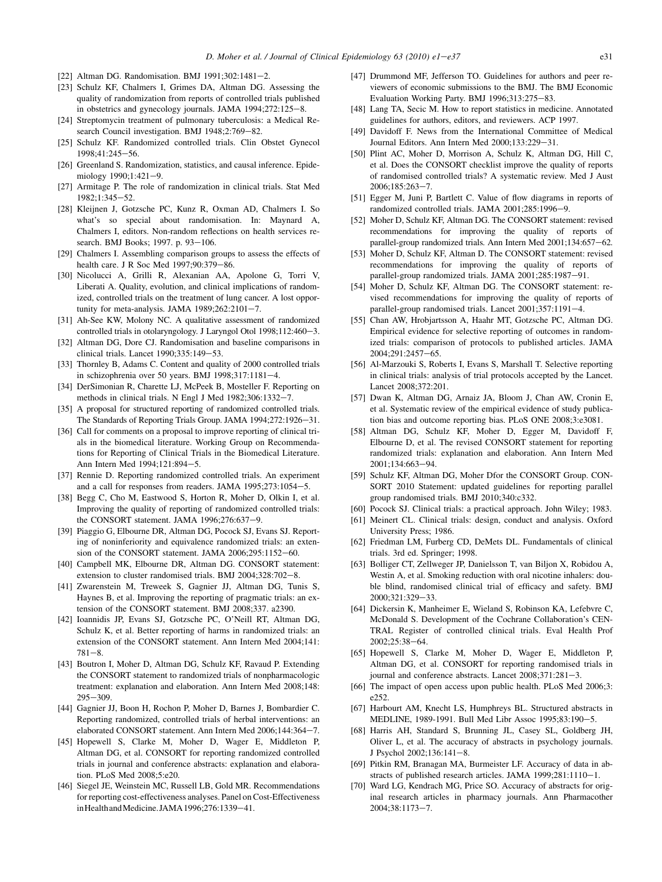- <span id="page-30-0"></span>[22] Altman DG. Randomisation. BMJ 1991;302:1481-2.
- [23] Schulz KF, Chalmers I, Grimes DA, Altman DG. Assessing the quality of randomization from reports of controlled trials published in obstetrics and gynecology journals. JAMA 1994;272:125-8.
- [24] Streptomycin treatment of pulmonary tuberculosis: a Medical Research Council investigation. BMJ 1948;2:769-82.
- [25] Schulz KF. Randomized controlled trials. Clin Obstet Gynecol 1998;41:245-56.
- [26] Greenland S. Randomization, statistics, and causal inference. Epidemiology 1990;1:421-9.
- [27] Armitage P. The role of randomization in clinical trials. Stat Med 1982;1:345-52.
- [28] Kleijnen J, Gotzsche PC, Kunz R, Oxman AD, Chalmers I. So what's so special about randomisation. In: Maynard A, Chalmers I, editors. Non-random reflections on health services research. BMJ Books; 1997. p. 93-106.
- [29] Chalmers I. Assembling comparison groups to assess the effects of health care. J R Soc Med 1997;90:379-86.
- [30] Nicolucci A, Grilli R, Alexanian AA, Apolone G, Torri V, Liberati A. Quality, evolution, and clinical implications of randomized, controlled trials on the treatment of lung cancer. A lost opportunity for meta-analysis. JAMA  $1989;262:2101-7$ .
- [31] Ah-See KW, Molony NC. A qualitative assessment of randomized controlled trials in otolaryngology. J Laryngol Otol 1998;112:460-3.
- [32] Altman DG, Dore CJ. Randomisation and baseline comparisons in clinical trials. Lancet  $1990:335:149-53$ .
- [33] Thornley B, Adams C. Content and quality of 2000 controlled trials in schizophrenia over 50 years. BMJ 1998;317:1181-4.
- [34] DerSimonian R, Charette LJ, McPeek B, Mosteller F. Reporting on methods in clinical trials. N Engl J Med 1982;306:1332-7.
- [35] A proposal for structured reporting of randomized controlled trials. The Standards of Reporting Trials Group. JAMA 1994;272:1926-31.
- [36] Call for comments on a proposal to improve reporting of clinical trials in the biomedical literature. Working Group on Recommendations for Reporting of Clinical Trials in the Biomedical Literature. Ann Intern Med 1994;121:894-5.
- [37] Rennie D. Reporting randomized controlled trials. An experiment and a call for responses from readers. JAMA  $1995;273:1054-5$ .
- [38] Begg C, Cho M, Eastwood S, Horton R, Moher D, Olkin I, et al. Improving the quality of reporting of randomized controlled trials: the CONSORT statement. JAMA 1996;276:637-9.
- [39] Piaggio G, Elbourne DR, Altman DG, Pocock SJ, Evans SJ. Reporting of noninferiority and equivalence randomized trials: an extension of the CONSORT statement. JAMA  $2006;295:1152-60$ .
- [40] Campbell MK, Elbourne DR, Altman DG. CONSORT statement: extension to cluster randomised trials. BMJ  $2004;328:702-8$ .
- [41] Zwarenstein M, Treweek S, Gagnier JJ, Altman DG, Tunis S, Haynes B, et al. Improving the reporting of pragmatic trials: an extension of the CONSORT statement. BMJ 2008;337. a2390.
- [42] Ioannidis JP, Evans SJ, Gotzsche PC, O'Neill RT, Altman DG, Schulz K, et al. Better reporting of harms in randomized trials: an extension of the CONSORT statement. Ann Intern Med 2004;141:  $781 - 8$
- [43] Boutron I, Moher D, Altman DG, Schulz KF, Ravaud P. Extending the CONSORT statement to randomized trials of nonpharmacologic treatment: explanation and elaboration. Ann Intern Med 2008;148:  $295 - 309$ .
- [44] Gagnier JJ, Boon H, Rochon P, Moher D, Barnes J, Bombardier C. Reporting randomized, controlled trials of herbal interventions: an elaborated CONSORT statement. Ann Intern Med 2006;144:364-7.
- [45] Hopewell S, Clarke M, Moher D, Wager E, Middleton P, Altman DG, et al. CONSORT for reporting randomized controlled trials in journal and conference abstracts: explanation and elaboration. PLoS Med 2008;5:e20.
- [46] Siegel JE, Weinstein MC, Russell LB, Gold MR. Recommendations for reporting cost-effectiveness analyses. Panel on Cost-Effectiveness in Health and Medicine. JAMA 1996;276:1339-41.
- [47] Drummond MF, Jefferson TO. Guidelines for authors and peer reviewers of economic submissions to the BMJ. The BMJ Economic Evaluation Working Party. BMJ 1996;313:275-83.
- [48] Lang TA, Secic M. How to report statistics in medicine. Annotated guidelines for authors, editors, and reviewers. ACP 1997.
- [49] Davidoff F. News from the International Committee of Medical Journal Editors. Ann Intern Med 2000;133:229-31.
- [50] Plint AC, Moher D, Morrison A, Schulz K, Altman DG, Hill C, et al. Does the CONSORT checklist improve the quality of reports of randomised controlled trials? A systematic review. Med J Aust  $2006:185:263 - 7$ .
- [51] Egger M, Juni P, Bartlett C. Value of flow diagrams in reports of randomized controlled trials. JAMA 2001;285:1996-9.
- [52] Moher D, Schulz KF, Altman DG. The CONSORT statement: revised recommendations for improving the quality of reports of parallel-group randomized trials. Ann Intern Med 2001;134:657-62.
- [53] Moher D, Schulz KF, Altman D. The CONSORT statement: revised recommendations for improving the quality of reports of parallel-group randomized trials. JAMA 2001;285:1987-91.
- [54] Moher D, Schulz KF, Altman DG. The CONSORT statement: revised recommendations for improving the quality of reports of parallel-group randomised trials. Lancet 2001;357:1191-4.
- [55] Chan AW, Hrobjartsson A, Haahr MT, Gotzsche PC, Altman DG. Empirical evidence for selective reporting of outcomes in randomized trials: comparison of protocols to published articles. JAMA  $2004:291:2457-65.$
- [56] Al-Marzouki S, Roberts I, Evans S, Marshall T. Selective reporting in clinical trials: analysis of trial protocols accepted by the Lancet. Lancet 2008;372:201.
- [57] Dwan K, Altman DG, Arnaiz JA, Bloom J, Chan AW, Cronin E, et al. Systematic review of the empirical evidence of study publication bias and outcome reporting bias. PLoS ONE 2008;3:e3081.
- [58] Altman DG, Schulz KF, Moher D, Egger M, Davidoff F, Elbourne D, et al. The revised CONSORT statement for reporting randomized trials: explanation and elaboration. Ann Intern Med 2001:134:663-94.
- [59] Schulz KF, Altman DG, Moher Dfor the CONSORT Group. CON-SORT 2010 Statement: updated guidelines for reporting parallel group randomised trials. BMJ 2010;340:c332.
- [60] Pocock SJ. Clinical trials: a practical approach. John Wiley; 1983.
- [61] Meinert CL. Clinical trials: design, conduct and analysis. Oxford University Press; 1986.
- [62] Friedman LM, Furberg CD, DeMets DL. Fundamentals of clinical trials. 3rd ed. Springer; 1998.
- [63] Bolliger CT, Zellweger JP, Danielsson T, van Biljon X, Robidou A, Westin A, et al. Smoking reduction with oral nicotine inhalers: double blind, randomised clinical trial of efficacy and safety. BMJ  $2000:321:329-33.$
- [64] Dickersin K, Manheimer E, Wieland S, Robinson KA, Lefebvre C, McDonald S. Development of the Cochrane Collaboration's CEN-TRAL Register of controlled clinical trials. Eval Health Prof 2002;25:38-64.
- [65] Hopewell S, Clarke M, Moher D, Wager E, Middleton P, Altman DG, et al. CONSORT for reporting randomised trials in journal and conference abstracts. Lancet 2008;371:281-3.
- [66] The impact of open access upon public health. PLoS Med 2006;3: e252.
- [67] Harbourt AM, Knecht LS, Humphreys BL. Structured abstracts in MEDLINE, 1989-1991. Bull Med Libr Assoc 1995;83:190-5.
- [68] Harris AH, Standard S, Brunning JL, Casey SL, Goldberg JH, Oliver L, et al. The accuracy of abstracts in psychology journals. J Psychol 2002;136:141-8.
- [69] Pitkin RM, Branagan MA, Burmeister LF. Accuracy of data in abstracts of published research articles. JAMA 1999;281:1110-1.
- [70] Ward LG, Kendrach MG, Price SO. Accuracy of abstracts for original research articles in pharmacy journals. Ann Pharmacother 2004;38:1173-7.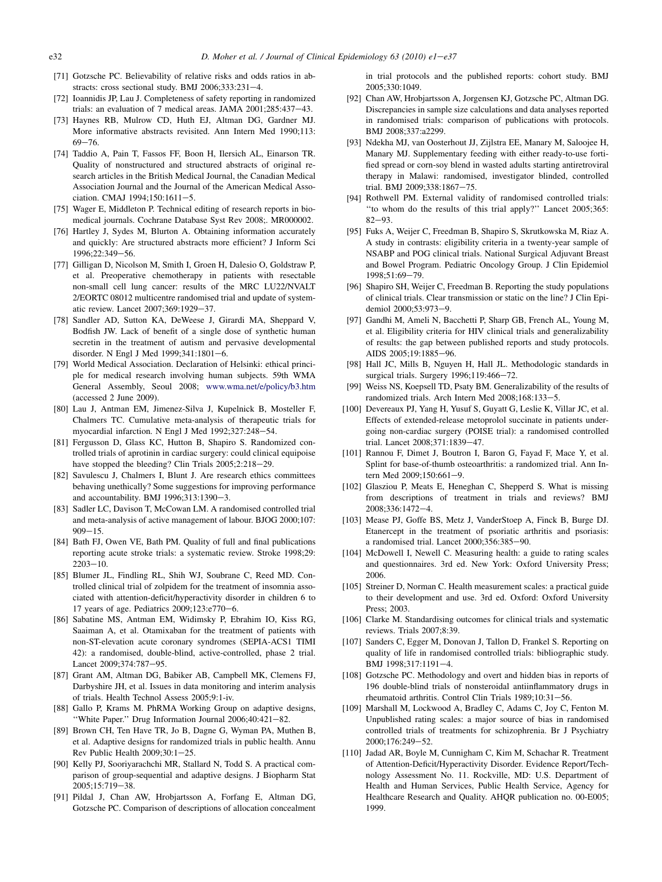- <span id="page-31-0"></span>[71] Gotzsche PC. Believability of relative risks and odds ratios in abstracts: cross sectional study. BMJ  $2006;333:231-4$ .
- [72] Ioannidis JP, Lau J. Completeness of safety reporting in randomized trials: an evaluation of 7 medical areas. JAMA  $2001;285:437-43$ .
- [73] Haynes RB, Mulrow CD, Huth EJ, Altman DG, Gardner MJ. More informative abstracts revisited. Ann Intern Med 1990;113:  $69 - 76.$
- [74] Taddio A, Pain T, Fassos FF, Boon H, Ilersich AL, Einarson TR. Quality of nonstructured and structured abstracts of original research articles in the British Medical Journal, the Canadian Medical Association Journal and the Journal of the American Medical Association. CMAJ 1994;150:1611-5.
- [75] Wager E, Middleton P. Technical editing of research reports in biomedical journals. Cochrane Database Syst Rev 2008;. MR000002.
- [76] Hartley J, Sydes M, Blurton A. Obtaining information accurately and quickly: Are structured abstracts more efficient? J Inform Sci 1996:22:349-56.
- [77] Gilligan D, Nicolson M, Smith I, Groen H, Dalesio O, Goldstraw P, et al. Preoperative chemotherapy in patients with resectable non-small cell lung cancer: results of the MRC LU22/NVALT 2/EORTC 08012 multicentre randomised trial and update of systematic review. Lancet 2007;369:1929-37.
- [78] Sandler AD, Sutton KA, DeWeese J, Girardi MA, Sheppard V, Bodfish JW. Lack of benefit of a single dose of synthetic human secretin in the treatment of autism and pervasive developmental disorder. N Engl J Med 1999;341:1801-6.
- [79] World Medical Association. Declaration of Helsinki: ethical principle for medical research involving human subjects. 59th WMA General Assembly, Seoul 2008; [www.wma.net/e/policy/b3.htm](http://www.wma.net/e/policy/b3.htm) (accessed 2 June 2009).
- [80] Lau J, Antman EM, Jimenez-Silva J, Kupelnick B, Mosteller F, Chalmers TC. Cumulative meta-analysis of therapeutic trials for myocardial infarction. N Engl J Med 1992;327:248-54.
- [81] Fergusson D, Glass KC, Hutton B, Shapiro S. Randomized controlled trials of aprotinin in cardiac surgery: could clinical equipoise have stopped the bleeding? Clin Trials  $2005;2:218-29$ .
- [82] Savulescu J, Chalmers I, Blunt J. Are research ethics committees behaving unethically? Some suggestions for improving performance and accountability. BMJ 1996;313:1390 $-3$ .
- [83] Sadler LC, Davison T, McCowan LM. A randomised controlled trial and meta-analysis of active management of labour. BJOG 2000;107:  $909 - 15$ .
- [84] Bath FJ, Owen VE, Bath PM. Quality of full and final publications reporting acute stroke trials: a systematic review. Stroke 1998;29:  $2203 - 10$ .
- [85] Blumer JL, Findling RL, Shih WJ, Soubrane C, Reed MD. Controlled clinical trial of zolpidem for the treatment of insomnia associated with attention-deficit/hyperactivity disorder in children 6 to 17 years of age. Pediatrics 2009;123:e770-6.
- [86] Sabatine MS, Antman EM, Widimsky P, Ebrahim IO, Kiss RG, Saaiman A, et al. Otamixaban for the treatment of patients with non-ST-elevation acute coronary syndromes (SEPIA-ACS1 TIMI 42): a randomised, double-blind, active-controlled, phase 2 trial. Lancet 2009;374:787-95.
- [87] Grant AM, Altman DG, Babiker AB, Campbell MK, Clemens FJ, Darbyshire JH, et al. Issues in data monitoring and interim analysis of trials. Health Technol Assess 2005;9:1-iv.
- [88] Gallo P, Krams M. PhRMA Working Group on adaptive designs, "White Paper." Drug Information Journal 2006;40:421-82.
- [89] Brown CH, Ten Have TR, Jo B, Dagne G, Wyman PA, Muthen B, et al. Adaptive designs for randomized trials in public health. Annu Rev Public Health  $2009;30:1-25$ .
- [90] Kelly PJ, Sooriyarachchi MR, Stallard N, Todd S. A practical comparison of group-sequential and adaptive designs. J Biopharm Stat 2005;15:719-38.
- [91] Pildal J, Chan AW, Hrobjartsson A, Forfang E, Altman DG, Gotzsche PC. Comparison of descriptions of allocation concealment

in trial protocols and the published reports: cohort study. BMJ 2005;330:1049.

- [92] Chan AW, Hrobjartsson A, Jorgensen KJ, Gotzsche PC, Altman DG. Discrepancies in sample size calculations and data analyses reported in randomised trials: comparison of publications with protocols. BMJ 2008;337:a2299.
- [93] Ndekha MJ, van Oosterhout JJ, Zijlstra EE, Manary M, Saloojee H, Manary MJ. Supplementary feeding with either ready-to-use fortified spread or corn-soy blend in wasted adults starting antiretroviral therapy in Malawi: randomised, investigator blinded, controlled trial. BMJ 2009;338:1867-75.
- [94] Rothwell PM. External validity of randomised controlled trials: ''to whom do the results of this trial apply?'' Lancet 2005;365:  $82 - 93.$
- [95] Fuks A, Weijer C, Freedman B, Shapiro S, Skrutkowska M, Riaz A. A study in contrasts: eligibility criteria in a twenty-year sample of NSABP and POG clinical trials. National Surgical Adjuvant Breast and Bowel Program. Pediatric Oncology Group. J Clin Epidemiol 1998;51:69-79.
- [96] Shapiro SH, Weijer C, Freedman B. Reporting the study populations of clinical trials. Clear transmission or static on the line? J Clin Epidemiol 2000;53:973-9.
- [97] Gandhi M, Ameli N, Bacchetti P, Sharp GB, French AL, Young M, et al. Eligibility criteria for HIV clinical trials and generalizability of results: the gap between published reports and study protocols. AIDS 2005;19:1885-96.
- [98] Hall JC, Mills B, Nguyen H, Hall JL. Methodologic standards in surgical trials. Surgery  $1996;119:466-72$ .
- [99] Weiss NS, Koepsell TD, Psaty BM. Generalizability of the results of randomized trials. Arch Intern Med 2008;168:133-5.
- [100] Devereaux PJ, Yang H, Yusuf S, Guyatt G, Leslie K, Villar JC, et al. Effects of extended-release metoprolol succinate in patients undergoing non-cardiac surgery (POISE trial): a randomised controlled trial. Lancet 2008;371:1839-47.
- [101] Rannou F, Dimet J, Boutron I, Baron G, Fayad F, Mace Y, et al. Splint for base-of-thumb osteoarthritis: a randomized trial. Ann Intern Med 2009;150:661-9.
- [102] Glasziou P, Meats E, Heneghan C, Shepperd S. What is missing from descriptions of treatment in trials and reviews? BMJ 2008;336:1472-4.
- [103] Mease PJ, Goffe BS, Metz J, VanderStoep A, Finck B, Burge DJ. Etanercept in the treatment of psoriatic arthritis and psoriasis: a randomised trial. Lancet  $2000;356:385-90$ .
- [104] McDowell I, Newell C. Measuring health: a guide to rating scales and questionnaires. 3rd ed. New York: Oxford University Press; 2006.
- [105] Streiner D, Norman C. Health measurement scales: a practical guide to their development and use. 3rd ed. Oxford: Oxford University Press; 2003.
- [106] Clarke M. Standardising outcomes for clinical trials and systematic reviews. Trials 2007;8:39.
- [107] Sanders C, Egger M, Donovan J, Tallon D, Frankel S. Reporting on quality of life in randomised controlled trials: bibliographic study. BMJ 1998;317:1191-4.
- [108] Gotzsche PC. Methodology and overt and hidden bias in reports of 196 double-blind trials of nonsteroidal antiinflammatory drugs in rheumatoid arthritis. Control Clin Trials 1989;10:31-56.
- [109] Marshall M, Lockwood A, Bradley C, Adams C, Joy C, Fenton M. Unpublished rating scales: a major source of bias in randomised controlled trials of treatments for schizophrenia. Br J Psychiatry 2000;176:249-52.
- [110] Jadad AR, Boyle M, Cunnigham C, Kim M, Schachar R. Treatment of Attention-Deficit/Hyperactivity Disorder. Evidence Report/Technology Assessment No. 11. Rockville, MD: U.S. Department of Health and Human Services, Public Health Service, Agency for Healthcare Research and Quality. AHQR publication no. 00-E005; 1999.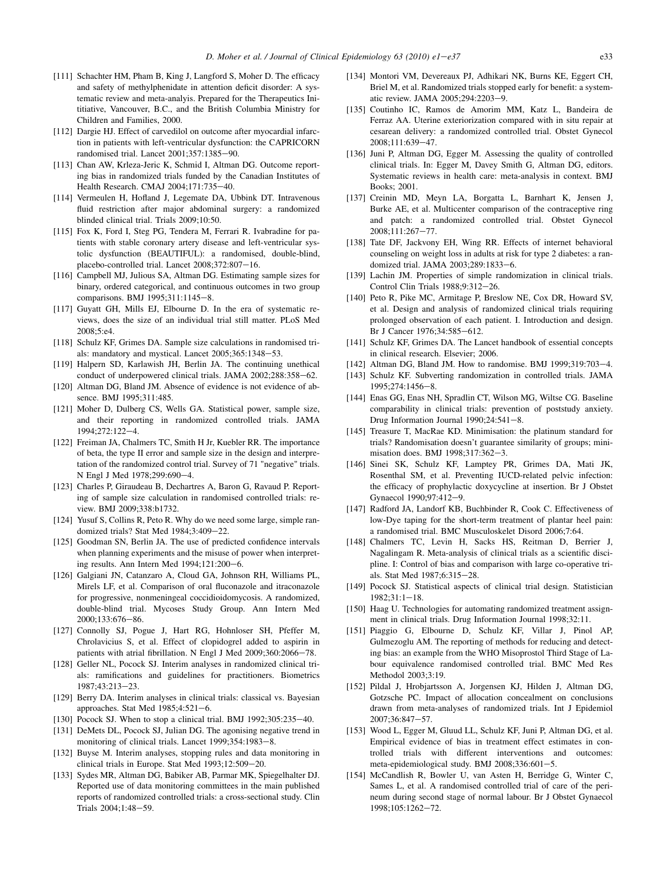- <span id="page-32-0"></span>[111] Schachter HM, Pham B, King J, Langford S, Moher D. The efficacy and safety of methylphenidate in attention deficit disorder: A systematic review and meta-analyis. Prepared for the Therapeutics Inititiative, Vancouver, B.C., and the British Columbia Ministry for Children and Families, 2000.
- [112] Dargie HJ. Effect of carvedilol on outcome after myocardial infarction in patients with left-ventricular dysfunction: the CAPRICORN randomised trial. Lancet 2001;357:1385-90.
- [113] Chan AW, Krleza-Jeric K, Schmid I, Altman DG. Outcome reporting bias in randomized trials funded by the Canadian Institutes of Health Research. CMAJ 2004;171:735-40.
- [114] Vermeulen H, Hofland J, Legemate DA, Ubbink DT. Intravenous fluid restriction after major abdominal surgery: a randomized blinded clinical trial. Trials 2009;10:50.
- [115] Fox K, Ford I, Steg PG, Tendera M, Ferrari R. Ivabradine for patients with stable coronary artery disease and left-ventricular systolic dysfunction (BEAUTIFUL): a randomised, double-blind, placebo-controlled trial. Lancet  $2008;372:807-16$ .
- [116] Campbell MJ, Julious SA, Altman DG. Estimating sample sizes for binary, ordered categorical, and continuous outcomes in two group comparisons. BMJ 1995;311:1145-8.
- [117] Guyatt GH, Mills EJ, Elbourne D. In the era of systematic reviews, does the size of an individual trial still matter. PLoS Med 2008;5:e4.
- [118] Schulz KF, Grimes DA. Sample size calculations in randomised trials: mandatory and mystical. Lancet  $2005;365:1348-53$ .
- [119] Halpern SD, Karlawish JH, Berlin JA. The continuing unethical conduct of underpowered clinical trials. JAMA 2002;288:358-62.
- [120] Altman DG, Bland JM. Absence of evidence is not evidence of absence. BMJ 1995;311:485.
- [121] Moher D, Dulberg CS, Wells GA. Statistical power, sample size, and their reporting in randomized controlled trials. JAMA 1994;272:122-4.
- [122] Freiman JA, Chalmers TC, Smith H Jr, Kuebler RR. The importance of beta, the type II error and sample size in the design and interpretation of the randomized control trial. Survey of 71 "negative" trials. N Engl J Med 1978;299:690-4.
- [123] Charles P, Giraudeau B, Dechartres A, Baron G, Ravaud P. Reporting of sample size calculation in randomised controlled trials: review. BMJ 2009;338:b1732.
- [124] Yusuf S, Collins R, Peto R. Why do we need some large, simple randomized trials? Stat Med 1984;3:409-22.
- [125] Goodman SN, Berlin JA. The use of predicted confidence intervals when planning experiments and the misuse of power when interpreting results. Ann Intern Med  $1994;121:200-6$ .
- [126] Galgiani JN, Catanzaro A, Cloud GA, Johnson RH, Williams PL, Mirels LF, et al. Comparison of oral fluconazole and itraconazole for progressive, nonmeningeal coccidioidomycosis. A randomized, double-blind trial. Mycoses Study Group. Ann Intern Med 2000;133:676-86.
- [127] Connolly SJ, Pogue J, Hart RG, Hohnloser SH, Pfeffer M, Chrolavicius S, et al. Effect of clopidogrel added to aspirin in patients with atrial fibrillation. N Engl J Med 2009;360:2066-78.
- [128] Geller NL, Pocock SJ. Interim analyses in randomized clinical trials: ramifications and guidelines for practitioners. Biometrics 1987;43:213-23.
- [129] Berry DA. Interim analyses in clinical trials: classical vs. Bayesian approaches. Stat Med  $1985;4:521-6$ .
- [130] Pocock SJ. When to stop a clinical trial. BMJ 1992;305:235 $-40$ .
- [131] DeMets DL, Pocock SJ, Julian DG. The agonising negative trend in monitoring of clinical trials. Lancet 1999;354:1983-8.
- [132] Buyse M. Interim analyses, stopping rules and data monitoring in clinical trials in Europe. Stat Med 1993;12:509-20.
- [133] Sydes MR, Altman DG, Babiker AB, Parmar MK, Spiegelhalter DJ. Reported use of data monitoring committees in the main published reports of randomized controlled trials: a cross-sectional study. Clin Trials 2004;1:48-59.
- [134] Montori VM, Devereaux PJ, Adhikari NK, Burns KE, Eggert CH, Briel M, et al. Randomized trials stopped early for benefit: a systematic review. JAMA 2005;294:2203-9.
- [135] Coutinho IC, Ramos de Amorim MM, Katz L, Bandeira de Ferraz AA. Uterine exteriorization compared with in situ repair at cesarean delivery: a randomized controlled trial. Obstet Gynecol 2008;111:639-47.
- [136] Juni P, Altman DG, Egger M. Assessing the quality of controlled clinical trials. In: Egger M, Davey Smith G, Altman DG, editors. Systematic reviews in health care: meta-analysis in context. BMJ Books; 2001.
- [137] Creinin MD, Meyn LA, Borgatta L, Barnhart K, Jensen J, Burke AE, et al. Multicenter comparison of the contraceptive ring and patch: a randomized controlled trial. Obstet Gynecol 2008;111:267-77.
- [138] Tate DF, Jackvony EH, Wing RR. Effects of internet behavioral counseling on weight loss in adults at risk for type 2 diabetes: a randomized trial. JAMA 2003;289:1833-6.
- [139] Lachin JM. Properties of simple randomization in clinical trials. Control Clin Trials 1988;9:312-26.
- [140] Peto R, Pike MC, Armitage P, Breslow NE, Cox DR, Howard SV, et al. Design and analysis of randomized clinical trials requiring prolonged observation of each patient. I. Introduction and design. Br J Cancer 1976;34:585-612.
- [141] Schulz KF, Grimes DA. The Lancet handbook of essential concepts in clinical research. Elsevier; 2006.
- [142] Altman DG, Bland JM. How to randomise. BMJ 1999;319:703-4.
- [143] Schulz KF. Subverting randomization in controlled trials. JAMA 1995;274:1456-8.
- [144] Enas GG, Enas NH, Spradlin CT, Wilson MG, Wiltse CG. Baseline comparability in clinical trials: prevention of poststudy anxiety. Drug Information Journal  $1990;24:541-8$ .
- [145] Treasure T, MacRae KD. Minimisation: the platinum standard for trials? Randomisation doesn't guarantee similarity of groups; minimisation does. BMJ 1998;317:362-3.
- [146] Sinei SK, Schulz KF, Lamptey PR, Grimes DA, Mati JK, Rosenthal SM, et al. Preventing IUCD-related pelvic infection: the efficacy of prophylactic doxycycline at insertion. Br J Obstet Gynaecol 1990;97:412-9.
- [147] Radford JA, Landorf KB, Buchbinder R, Cook C. Effectiveness of low-Dye taping for the short-term treatment of plantar heel pain: a randomised trial. BMC Musculoskelet Disord 2006;7:64.
- [148] Chalmers TC, Levin H, Sacks HS, Reitman D, Berrier J, Nagalingam R. Meta-analysis of clinical trials as a scientific discipline. I: Control of bias and comparison with large co-operative trials. Stat Med 1987;6:315-28.
- [149] Pocock SJ. Statistical aspects of clinical trial design. Statistician  $1982:31:1-18$ .
- [150] Haag U. Technologies for automating randomized treatment assignment in clinical trials. Drug Information Journal 1998;32:11.
- [151] Piaggio G, Elbourne D, Schulz KF, Villar J, Pinol AP, Gulmezoglu AM. The reporting of methods for reducing and detecting bias: an example from the WHO Misoprostol Third Stage of Labour equivalence randomised controlled trial. BMC Med Res Methodol 2003;3:19.
- [152] Pildal J, Hrobjartsson A, Jorgensen KJ, Hilden J, Altman DG, Gotzsche PC. Impact of allocation concealment on conclusions drawn from meta-analyses of randomized trials. Int J Epidemiol 2007;36:847-57.
- [153] Wood L, Egger M, Gluud LL, Schulz KF, Juni P, Altman DG, et al. Empirical evidence of bias in treatment effect estimates in controlled trials with different interventions and outcomes: meta-epidemiological study. BMJ 2008;336:601-5.
- [154] McCandlish R, Bowler U, van Asten H, Berridge G, Winter C, Sames L, et al. A randomised controlled trial of care of the perineum during second stage of normal labour. Br J Obstet Gynaecol 1998:105:1262-72.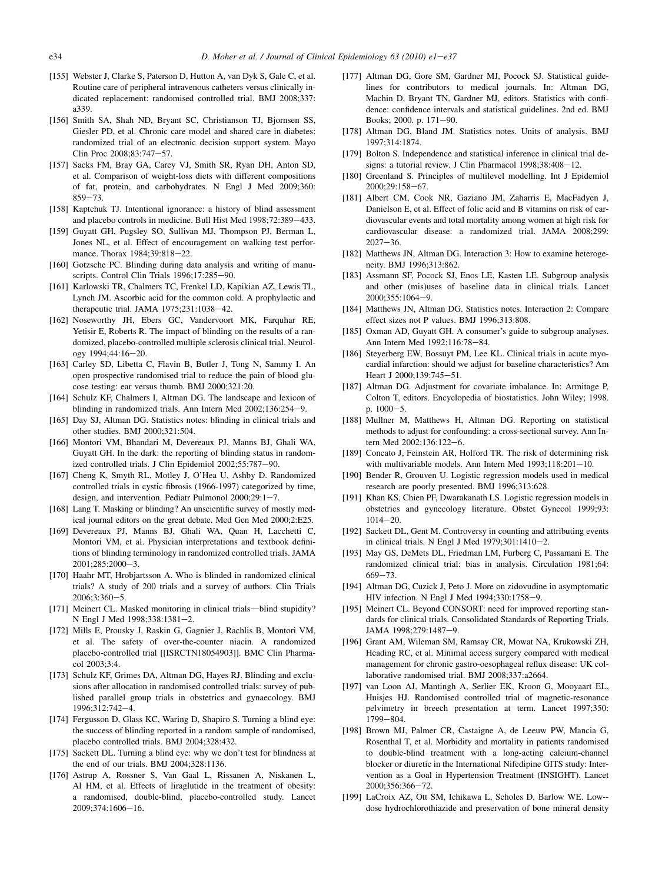- <span id="page-33-0"></span>[155] Webster J, Clarke S, Paterson D, Hutton A, van Dyk S, Gale C, et al. Routine care of peripheral intravenous catheters versus clinically indicated replacement: randomised controlled trial. BMJ 2008;337: a339.
- [156] Smith SA, Shah ND, Bryant SC, Christianson TJ, Bjornsen SS, Giesler PD, et al. Chronic care model and shared care in diabetes: randomized trial of an electronic decision support system. Mayo Clin Proc 2008;83:747-57.
- [157] Sacks FM, Bray GA, Carey VJ, Smith SR, Ryan DH, Anton SD, et al. Comparison of weight-loss diets with different compositions of fat, protein, and carbohydrates. N Engl J Med 2009;360:  $859 - 73$ .
- [158] Kaptchuk TJ. Intentional ignorance: a history of blind assessment and placebo controls in medicine. Bull Hist Med 1998;72:389-433.
- [159] Guyatt GH, Pugsley SO, Sullivan MJ, Thompson PJ, Berman L, Jones NL, et al. Effect of encouragement on walking test performance. Thorax 1984;39:818-22.
- [160] Gotzsche PC. Blinding during data analysis and writing of manuscripts. Control Clin Trials 1996;17:285-90.
- [161] Karlowski TR, Chalmers TC, Frenkel LD, Kapikian AZ, Lewis TL, Lynch JM. Ascorbic acid for the common cold. A prophylactic and therapeutic trial. JAMA 1975;231:1038-42.
- [162] Noseworthy JH, Ebers GC, Vandervoort MK, Farquhar RE, Yetisir E, Roberts R. The impact of blinding on the results of a randomized, placebo-controlled multiple sclerosis clinical trial. Neurology 1994;44:16-20.
- [163] Carley SD, Libetta C, Flavin B, Butler J, Tong N, Sammy I. An open prospective randomised trial to reduce the pain of blood glucose testing: ear versus thumb. BMJ 2000;321:20.
- [164] Schulz KF, Chalmers I, Altman DG. The landscape and lexicon of blinding in randomized trials. Ann Intern Med  $2002;136:254-9$ .
- [165] Day SJ, Altman DG. Statistics notes: blinding in clinical trials and other studies. BMJ 2000;321:504.
- [166] Montori VM, Bhandari M, Devereaux PJ, Manns BJ, Ghali WA, Guyatt GH. In the dark: the reporting of blinding status in randomized controlled trials. J Clin Epidemiol 2002;55:787-90.
- [167] Cheng K, Smyth RL, Motley J, O'Hea U, Ashby D. Randomized controlled trials in cystic fibrosis (1966-1997) categorized by time, design, and intervention. Pediatr Pulmonol  $2000;29:1-7$ .
- [168] Lang T. Masking or blinding? An unscientific survey of mostly medical journal editors on the great debate. Med Gen Med 2000;2:E25.
- [169] Devereaux PJ, Manns BJ, Ghali WA, Quan H, Lacchetti C, Montori VM, et al. Physician interpretations and textbook definitions of blinding terminology in randomized controlled trials. JAMA 2001;285:2000-3.
- [170] Haahr MT, Hrobjartsson A. Who is blinded in randomized clinical trials? A study of 200 trials and a survey of authors. Clin Trials  $2006:3:360-5$ .
- [171] Meinert CL. Masked monitoring in clinical trials—blind stupidity? N Engl J Med 1998;338:1381-2.
- [172] Mills E, Prousky J, Raskin G, Gagnier J, Rachlis B, Montori VM, et al. The safety of over-the-counter niacin. A randomized placebo-controlled trial [[ISRCTN18054903]]. BMC Clin Pharmacol 2003;3:4.
- [173] Schulz KF, Grimes DA, Altman DG, Hayes RJ. Blinding and exclusions after allocation in randomised controlled trials: survey of published parallel group trials in obstetrics and gynaecology. BMJ 1996;312:742-4.
- [174] Fergusson D, Glass KC, Waring D, Shapiro S. Turning a blind eye: the success of blinding reported in a random sample of randomised, placebo controlled trials. BMJ 2004;328:432.
- [175] Sackett DL. Turning a blind eye: why we don't test for blindness at the end of our trials. BMJ 2004;328:1136.
- [176] Astrup A, Rossner S, Van Gaal L, Rissanen A, Niskanen L, Al HM, et al. Effects of liraglutide in the treatment of obesity: a randomised, double-blind, placebo-controlled study. Lancet 2009;374:1606-16.
- [177] Altman DG, Gore SM, Gardner MJ, Pocock SJ. Statistical guidelines for contributors to medical journals. In: Altman DG, Machin D, Bryant TN, Gardner MJ, editors. Statistics with confidence: confidence intervals and statistical guidelines. 2nd ed. BMJ Books; 2000. p. 171-90.
- [178] Altman DG, Bland JM. Statistics notes. Units of analysis. BMJ 1997;314:1874.
- [179] Bolton S. Independence and statistical inference in clinical trial designs: a tutorial review. J Clin Pharmacol 1998;38:408-12.
- [180] Greenland S. Principles of multilevel modelling. Int J Epidemiol  $2000:29:158-67.$
- [181] Albert CM, Cook NR, Gaziano JM, Zaharris E, MacFadyen J, Danielson E, et al. Effect of folic acid and B vitamins on risk of cardiovascular events and total mortality among women at high risk for cardiovascular disease: a randomized trial. JAMA 2008;299:  $2027 - 36$ .
- [182] Matthews JN, Altman DG. Interaction 3: How to examine heterogeneity. BMJ 1996;313:862.
- [183] Assmann SF, Pocock SJ, Enos LE, Kasten LE. Subgroup analysis and other (mis)uses of baseline data in clinical trials. Lancet 2000;355:1064-9.
- [184] Matthews JN, Altman DG. Statistics notes. Interaction 2: Compare effect sizes not P values. BMJ 1996;313:808.
- [185] Oxman AD, Guyatt GH. A consumer's guide to subgroup analyses. Ann Intern Med 1992;116:78-84.
- [186] Steyerberg EW, Bossuyt PM, Lee KL. Clinical trials in acute myocardial infarction: should we adjust for baseline characteristics? Am Heart J 2000;139:745-51.
- [187] Altman DG. Adjustment for covariate imbalance. In: Armitage P, Colton T, editors. Encyclopedia of biostatistics. John Wiley; 1998. p.  $1000 - 5$ .
- [188] Mullner M, Matthews H, Altman DG. Reporting on statistical methods to adjust for confounding: a cross-sectional survey. Ann Intern Med 2002;136:122-6.
- [189] Concato J, Feinstein AR, Holford TR. The risk of determining risk with multivariable models. Ann Intern Med  $1993;118:201-10$ .
- [190] Bender R, Grouven U. Logistic regression models used in medical research are poorly presented. BMJ 1996;313:628.
- [191] Khan KS, Chien PF, Dwarakanath LS. Logistic regression models in obstetrics and gynecology literature. Obstet Gynecol 1999;93:  $1014 - 20.$
- [192] Sackett DL, Gent M. Controversy in counting and attributing events in clinical trials. N Engl J Med  $1979;301:1410-2$ .
- [193] May GS, DeMets DL, Friedman LM, Furberg C, Passamani E. The randomized clinical trial: bias in analysis. Circulation 1981;64: 669-73.
- [194] Altman DG, Cuzick J, Peto J. More on zidovudine in asymptomatic HIV infection. N Engl J Med 1994;330:1758-9.
- [195] Meinert CL. Beyond CONSORT: need for improved reporting standards for clinical trials. Consolidated Standards of Reporting Trials. JAMA 1998;279:1487-9.
- [196] Grant AM, Wileman SM, Ramsay CR, Mowat NA, Krukowski ZH, Heading RC, et al. Minimal access surgery compared with medical management for chronic gastro-oesophageal reflux disease: UK collaborative randomised trial. BMJ 2008;337:a2664.
- [197] van Loon AJ, Mantingh A, Serlier EK, Kroon G, Mooyaart EL, Huisjes HJ. Randomised controlled trial of magnetic-resonance pelvimetry in breech presentation at term. Lancet 1997;350: 1799-804.
- [198] Brown MJ, Palmer CR, Castaigne A, de Leeuw PW, Mancia G, Rosenthal T, et al. Morbidity and mortality in patients randomised to double-blind treatment with a long-acting calcium-channel blocker or diuretic in the International Nifedipine GITS study: Intervention as a Goal in Hypertension Treatment (INSIGHT). Lancet 2000;356:366-72.
- [199] LaCroix AZ, Ott SM, Ichikawa L, Scholes D, Barlow WE. Low-dose hydrochlorothiazide and preservation of bone mineral density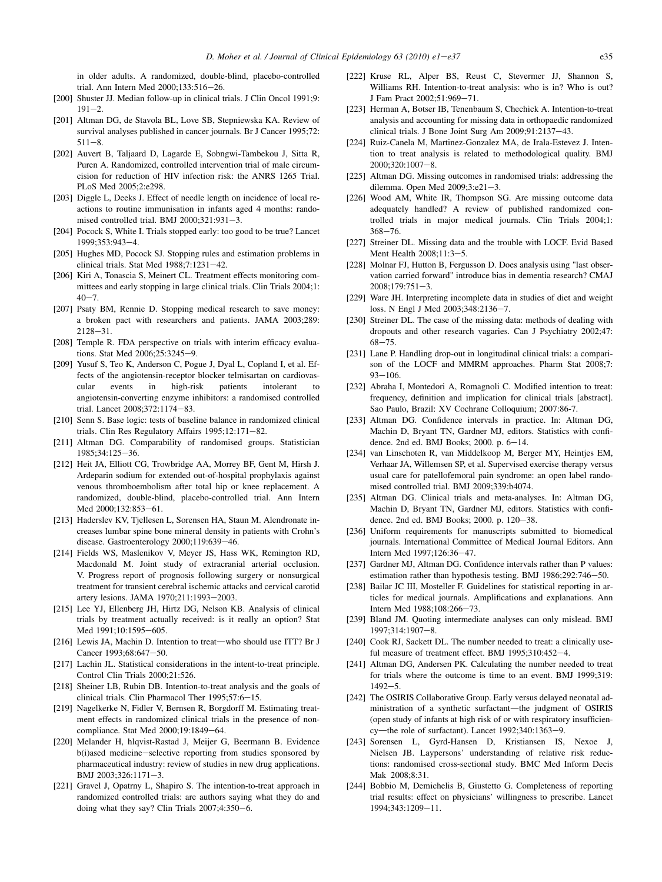<span id="page-34-0"></span>in older adults. A randomized, double-blind, placebo-controlled trial. Ann Intern Med 2000;133:516-26.

- [200] Shuster JJ. Median follow-up in clinical trials. J Clin Oncol 1991;9:  $191 - 2$
- [201] Altman DG, de Stavola BL, Love SB, Stepniewska KA. Review of survival analyses published in cancer journals. Br J Cancer 1995;72:  $511 - 8.$
- [202] Auvert B, Taljaard D, Lagarde E, Sobngwi-Tambekou J, Sitta R, Puren A. Randomized, controlled intervention trial of male circumcision for reduction of HIV infection risk: the ANRS 1265 Trial. PLoS Med 2005;2:e298.
- [203] Diggle L, Deeks J. Effect of needle length on incidence of local reactions to routine immunisation in infants aged 4 months: randomised controlled trial. BMJ  $2000;321:931-3$ .
- [204] Pocock S, White I. Trials stopped early: too good to be true? Lancet 1999:353:943-4.
- [205] Hughes MD, Pocock SJ. Stopping rules and estimation problems in clinical trials. Stat Med  $1988;7:1231-42$ .
- [206] Kiri A, Tonascia S, Meinert CL. Treatment effects monitoring committees and early stopping in large clinical trials. Clin Trials 2004;1:  $40 - 7$ .
- [207] Psaty BM, Rennie D. Stopping medical research to save money: a broken pact with researchers and patients. JAMA 2003;289:  $2128 - 31.$
- [208] Temple R. FDA perspective on trials with interim efficacy evaluations. Stat Med 2006;25:3245-9.
- [209] Yusuf S, Teo K, Anderson C, Pogue J, Dyal L, Copland I, et al. Effects of the angiotensin-receptor blocker telmisartan on cardiovascular events in high-risk patients intolerant angiotensin-converting enzyme inhibitors: a randomised controlled trial. Lancet 2008;372:1174-83.
- [210] Senn S. Base logic: tests of baseline balance in randomized clinical trials. Clin Res Regulatory Affairs 1995;12:171-82.
- [211] Altman DG. Comparability of randomised groups. Statistician 1985;34:125-36.
- [212] Heit JA, Elliott CG, Trowbridge AA, Morrey BF, Gent M, Hirsh J. Ardeparin sodium for extended out-of-hospital prophylaxis against venous thromboembolism after total hip or knee replacement. A randomized, double-blind, placebo-controlled trial. Ann Intern Med 2000;132:853-61.
- [213] Haderslev KV, Tjellesen L, Sorensen HA, Staun M. Alendronate increases lumbar spine bone mineral density in patients with Crohn's disease. Gastroenterology  $2000;119:639-46$ .
- [214] Fields WS, Maslenikov V, Meyer JS, Hass WK, Remington RD, Macdonald M. Joint study of extracranial arterial occlusion. V. Progress report of prognosis following surgery or nonsurgical treatment for transient cerebral ischemic attacks and cervical carotid artery lesions. JAMA  $1970:211:1993-2003$ .
- [215] Lee YJ, Ellenberg JH, Hirtz DG, Nelson KB. Analysis of clinical trials by treatment actually received: is it really an option? Stat Med 1991;10:1595-605.
- [216] Lewis JA, Machin D. Intention to treat—who should use ITT? Br J Cancer 1993;68:647-50.
- [217] Lachin JL. Statistical considerations in the intent-to-treat principle. Control Clin Trials 2000;21:526.
- [218] Sheiner LB, Rubin DB. Intention-to-treat analysis and the goals of clinical trials. Clin Pharmacol Ther 1995;57:6-15.
- [219] Nagelkerke N, Fidler V, Bernsen R, Borgdorff M. Estimating treatment effects in randomized clinical trials in the presence of noncompliance. Stat Med 2000;19:1849-64.
- [220] Melander H, hlqvist-Rastad J, Meijer G, Beermann B. Evidence b(i)ased medicine-selective reporting from studies sponsored by pharmaceutical industry: review of studies in new drug applications. BMJ 2003;326:1171-3.
- [221] Gravel J, Opatrny L, Shapiro S. The intention-to-treat approach in randomized controlled trials: are authors saying what they do and doing what they say? Clin Trials  $2007;4:350-6$ .
- [222] Kruse RL, Alper BS, Reust C, Stevermer JJ, Shannon S, Williams RH. Intention-to-treat analysis: who is in? Who is out? J Fam Pract 2002;51:969-71.
- [223] Herman A, Botser IB, Tenenbaum S, Chechick A. Intention-to-treat analysis and accounting for missing data in orthopaedic randomized clinical trials. J Bone Joint Surg Am 2009;91:2137-43.
- [224] Ruiz-Canela M, Martinez-Gonzalez MA, de Irala-Estevez J. Intention to treat analysis is related to methodological quality. BMJ 2000;320:1007-8.
- [225] Altman DG. Missing outcomes in randomised trials: addressing the dilemma. Open Med  $2009;3: e21-3$ .
- [226] Wood AM, White IR, Thompson SG. Are missing outcome data adequately handled? A review of published randomized controlled trials in major medical journals. Clin Trials 2004;1:  $368 - 76$ .
- [227] Streiner DL. Missing data and the trouble with LOCF. Evid Based Ment Health 2008:11:3-5.
- [228] Molnar FJ, Hutton B, Fergusson D. Does analysis using "last observation carried forward" introduce bias in dementia research? CMAJ  $2008:179:751-3.$
- [229] Ware JH. Interpreting incomplete data in studies of diet and weight loss. N Engl J Med 2003;348:2136-7.
- [230] Streiner DL. The case of the missing data: methods of dealing with dropouts and other research vagaries. Can J Psychiatry 2002;47:  $68 - 75.$
- [231] Lane P. Handling drop-out in longitudinal clinical trials: a comparison of the LOCF and MMRM approaches. Pharm Stat 2008;7:  $93 - 106$ .
- [232] Abraha I, Montedori A, Romagnoli C. Modified intention to treat: frequency, definition and implication for clinical trials [abstract]. Sao Paulo, Brazil: XV Cochrane Colloquium; 2007:86-7.
- [233] Altman DG. Confidence intervals in practice. In: Altman DG, Machin D, Bryant TN, Gardner MJ, editors. Statistics with confidence. 2nd ed. BMJ Books; 2000. p. 6-14.
- [234] van Linschoten R, van Middelkoop M, Berger MY, Heintjes EM, Verhaar JA, Willemsen SP, et al. Supervised exercise therapy versus usual care for patellofemoral pain syndrome: an open label randomised controlled trial. BMJ 2009;339:b4074.
- [235] Altman DG. Clinical trials and meta-analyses. In: Altman DG, Machin D, Bryant TN, Gardner MJ, editors. Statistics with confidence. 2nd ed. BMJ Books; 2000. p. 120-38.
- [236] Uniform requirements for manuscripts submitted to biomedical journals. International Committee of Medical Journal Editors. Ann Intern Med 1997;126:36-47.
- [237] Gardner MJ, Altman DG. Confidence intervals rather than P values: estimation rather than hypothesis testing. BMJ 1986;292:746-50.
- [238] Bailar JC III, Mosteller F. Guidelines for statistical reporting in articles for medical journals. Amplifications and explanations. Ann Intern Med 1988;108:266-73.
- [239] Bland JM. Quoting intermediate analyses can only mislead. BMJ 1997;314:1907-8.
- [240] Cook RJ, Sackett DL. The number needed to treat: a clinically useful measure of treatment effect. BMJ  $1995:310:452-4$ .
- [241] Altman DG, Andersen PK. Calculating the number needed to treat for trials where the outcome is time to an event. BMJ 1999;319:  $1492 - 5$ .
- [242] The OSIRIS Collaborative Group. Early versus delayed neonatal administration of a synthetic surfactant-the judgment of OSIRIS (open study of infants at high risk of or with respiratory insufficien $cy$ —the role of surfactant). Lancet 1992;340:1363-9.
- [243] Sorensen L, Gyrd-Hansen D, Kristiansen IS, Nexoe J, Nielsen JB. Laypersons' understanding of relative risk reductions: randomised cross-sectional study. BMC Med Inform Decis Mak 2008;8:31.
- [244] Bobbio M, Demichelis B, Giustetto G. Completeness of reporting trial results: effect on physicians' willingness to prescribe. Lancet 1994;343:1209-11.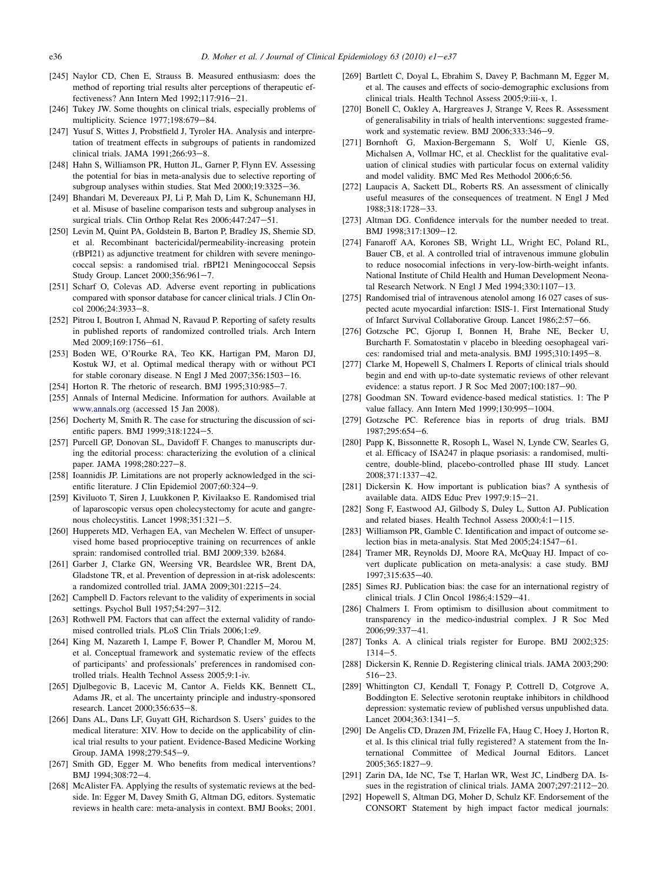- <span id="page-35-0"></span>[245] Naylor CD, Chen E, Strauss B. Measured enthusiasm: does the method of reporting trial results alter perceptions of therapeutic effectiveness? Ann Intern Med 1992;117:916-21.
- [246] Tukey JW. Some thoughts on clinical trials, especially problems of multiplicity. Science 1977;198:679-84.
- [247] Yusuf S, Wittes J, Probstfield J, Tyroler HA. Analysis and interpretation of treatment effects in subgroups of patients in randomized clinical trials. JAMA 1991;266:93-8.
- [248] Hahn S, Williamson PR, Hutton JL, Garner P, Flynn EV. Assessing the potential for bias in meta-analysis due to selective reporting of subgroup analyses within studies. Stat Med 2000;19:3325-36.
- [249] Bhandari M, Devereaux PJ, Li P, Mah D, Lim K, Schunemann HJ, et al. Misuse of baseline comparison tests and subgroup analyses in surgical trials. Clin Orthop Relat Res 2006;447:247-51.
- [250] Levin M, Quint PA, Goldstein B, Barton P, Bradley JS, Shemie SD, et al. Recombinant bactericidal/permeability-increasing protein (rBPI21) as adjunctive treatment for children with severe meningococcal sepsis: a randomised trial. rBPI21 Meningococcal Sepsis Study Group. Lancet 2000;356:961-7.
- [251] Scharf O, Colevas AD. Adverse event reporting in publications compared with sponsor database for cancer clinical trials. J Clin Oncol 2006;24:3933-8.
- [252] Pitrou I, Boutron I, Ahmad N, Ravaud P. Reporting of safety results in published reports of randomized controlled trials. Arch Intern Med 2009;169:1756-61.
- [253] Boden WE, O'Rourke RA, Teo KK, Hartigan PM, Maron DJ, Kostuk WJ, et al. Optimal medical therapy with or without PCI for stable coronary disease. N Engl J Med 2007;356:1503-16.
- [254] Horton R. The rhetoric of research. BMJ  $1995;310:985-7$ .
- [255] Annals of Internal Medicine. Information for authors. Available at [www.annals.org](http://www.annals.org) (accessed 15 Jan 2008).
- [256] Docherty M, Smith R. The case for structuring the discussion of scientific papers. BMJ 1999;318:1224-5.
- [257] Purcell GP, Donovan SL, Davidoff F. Changes to manuscripts during the editorial process: characterizing the evolution of a clinical paper. JAMA 1998;280:227-8.
- [258] Ioannidis JP. Limitations are not properly acknowledged in the scientific literature. J Clin Epidemiol 2007;60:324-9.
- [259] Kiviluoto T, Siren J, Luukkonen P, Kivilaakso E. Randomised trial of laparoscopic versus open cholecystectomy for acute and gangrenous cholecystitis. Lancet 1998;351:321-5.
- [260] Hupperets MD, Verhagen EA, van Mechelen W. Effect of unsupervised home based proprioceptive training on recurrences of ankle sprain: randomised controlled trial. BMJ 2009;339. b2684.
- [261] Garber J, Clarke GN, Weersing VR, Beardslee WR, Brent DA, Gladstone TR, et al. Prevention of depression in at-risk adolescents: a randomized controlled trial. JAMA 2009;301:2215-24.
- [262] Campbell D. Factors relevant to the validity of experiments in social settings. Psychol Bull 1957;54:297-312.
- [263] Rothwell PM. Factors that can affect the external validity of randomised controlled trials. PLoS Clin Trials 2006;1:e9.
- [264] King M, Nazareth I, Lampe F, Bower P, Chandler M, Morou M, et al. Conceptual framework and systematic review of the effects of participants' and professionals' preferences in randomised controlled trials. Health Technol Assess 2005;9:1-iv.
- [265] Djulbegovic B, Lacevic M, Cantor A, Fields KK, Bennett CL, Adams JR, et al. The uncertainty principle and industry-sponsored research. Lancet 2000;356:635-8.
- [266] Dans AL, Dans LF, Guyatt GH, Richardson S. Users' guides to the medical literature: XIV. How to decide on the applicability of clinical trial results to your patient. Evidence-Based Medicine Working Group. JAMA 1998;279:545-9.
- [267] Smith GD, Egger M. Who benefits from medical interventions? BMJ 1994;308:72-4.
- [268] McAlister FA. Applying the results of systematic reviews at the bedside. In: Egger M, Davey Smith G, Altman DG, editors. Systematic reviews in health care: meta-analysis in context. BMJ Books; 2001.
- [269] Bartlett C, Doyal L, Ebrahim S, Davey P, Bachmann M, Egger M, et al. The causes and effects of socio-demographic exclusions from clinical trials. Health Technol Assess 2005;9:iii-x, 1.
- [270] Bonell C, Oakley A, Hargreaves J, Strange V, Rees R. Assessment of generalisability in trials of health interventions: suggested framework and systematic review. BMJ  $2006;333:346-9$ .
- [271] Bornhoft G, Maxion-Bergemann S, Wolf U, Kienle GS, Michalsen A, Vollmar HC, et al. Checklist for the qualitative evaluation of clinical studies with particular focus on external validity and model validity. BMC Med Res Methodol 2006;6:56.
- [272] Laupacis A, Sackett DL, Roberts RS. An assessment of clinically useful measures of the consequences of treatment. N Engl J Med 1988:318:1728-33.
- [273] Altman DG. Confidence intervals for the number needed to treat. BMJ 1998;317:1309-12.
- [274] Fanaroff AA, Korones SB, Wright LL, Wright EC, Poland RL, Bauer CB, et al. A controlled trial of intravenous immune globulin to reduce nosocomial infections in very-low-birth-weight infants. National Institute of Child Health and Human Development Neonatal Research Network. N Engl J Med  $1994;330:1107-13$ .
- [275] Randomised trial of intravenous atenolol among 16 027 cases of suspected acute myocardial infarction: ISIS-1. First International Study of Infarct Survival Collaborative Group. Lancet 1986;2:57-66.
- [276] Gotzsche PC, Gjorup I, Bonnen H, Brahe NE, Becker U, Burcharth F. Somatostatin v placebo in bleeding oesophageal varices: randomised trial and meta-analysis. BMJ 1995;310:1495-8.
- [277] Clarke M, Hopewell S, Chalmers I. Reports of clinical trials should begin and end with up-to-date systematic reviews of other relevant evidence: a status report. J R Soc Med 2007;100:187-90.
- [278] Goodman SN. Toward evidence-based medical statistics. 1: The P value fallacy. Ann Intern Med 1999;130:995-1004.
- [279] Gotzsche PC. Reference bias in reports of drug trials. BMJ 1987;295:654-6.
- [280] Papp K, Bissonnette R, Rosoph L, Wasel N, Lynde CW, Searles G, et al. Efficacy of ISA247 in plaque psoriasis: a randomised, multicentre, double-blind, placebo-controlled phase III study. Lancet 2008;371:1337-42.
- [281] Dickersin K. How important is publication bias? A synthesis of available data. AIDS Educ Prev 1997;9:15-21.
- [282] Song F, Eastwood AJ, Gilbody S, Duley L, Sutton AJ. Publication and related biases. Health Technol Assess 2000;4:1-115.
- [283] Williamson PR, Gamble C. Identification and impact of outcome selection bias in meta-analysis. Stat Med  $2005;24:1547-61$ .
- [284] Tramer MR, Reynolds DJ, Moore RA, McQuay HJ. Impact of covert duplicate publication on meta-analysis: a case study. BMJ 1997;315:635-40.
- [285] Simes RJ. Publication bias: the case for an international registry of clinical trials. J Clin Oncol 1986;4:1529-41.
- [286] Chalmers I. From optimism to disillusion about commitment to transparency in the medico-industrial complex. J R Soc Med 2006;99:337-41.
- [287] Tonks A. A clinical trials register for Europe. BMJ 2002;325:  $1314 - 5.$
- [288] Dickersin K, Rennie D. Registering clinical trials. JAMA 2003;290:  $516 - 23$ .
- [289] Whittington CJ, Kendall T, Fonagy P, Cottrell D, Cotgrove A, Boddington E. Selective serotonin reuptake inhibitors in childhood depression: systematic review of published versus unpublished data. Lancet  $2004;363:1341-5$ .
- [290] De Angelis CD, Drazen JM, Frizelle FA, Haug C, Hoey J, Horton R, et al. Is this clinical trial fully registered? A statement from the International Committee of Medical Journal Editors. Lancet 2005:365:1827-9.
- [291] Zarin DA, Ide NC, Tse T, Harlan WR, West JC, Lindberg DA. Issues in the registration of clinical trials. JAMA  $2007;297:2112-20$ .
- [292] Hopewell S, Altman DG, Moher D, Schulz KF. Endorsement of the CONSORT Statement by high impact factor medical journals: